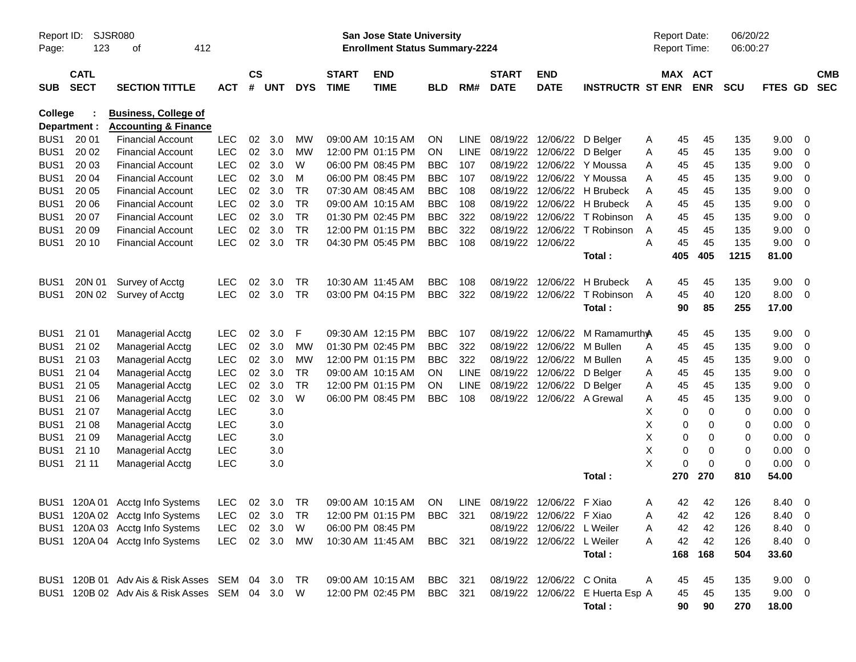| Page:            | SJSR080<br>Report ID:<br>123<br>412<br>оf<br><b>CATL</b> |                                                                |            |                    |                |            |                             | San Jose State University<br><b>Enrollment Status Summary-2224</b> |            |             |                               |                            |                                  | <b>Report Date:</b><br><b>Report Time:</b> |             | 06/20/22<br>06:00:27 |             |                          |  |
|------------------|----------------------------------------------------------|----------------------------------------------------------------|------------|--------------------|----------------|------------|-----------------------------|--------------------------------------------------------------------|------------|-------------|-------------------------------|----------------------------|----------------------------------|--------------------------------------------|-------------|----------------------|-------------|--------------------------|--|
| <b>SUB</b>       | <b>SECT</b>                                              | <b>SECTION TITTLE</b>                                          | <b>ACT</b> | $\mathsf{cs}$<br># | <b>UNT</b>     | <b>DYS</b> | <b>START</b><br><b>TIME</b> | <b>END</b><br><b>TIME</b>                                          | <b>BLD</b> | RM#         | <b>START</b><br><b>DATE</b>   | <b>END</b><br><b>DATE</b>  | <b>INSTRUCTR ST ENR</b>          | MAX ACT                                    | <b>ENR</b>  | <b>SCU</b>           | FTES GD     | <b>CMB</b><br><b>SEC</b> |  |
| <b>College</b>   | Department :                                             | <b>Business, College of</b><br><b>Accounting &amp; Finance</b> |            |                    |                |            |                             |                                                                    |            |             |                               |                            |                                  |                                            |             |                      |             |                          |  |
| BUS <sub>1</sub> | 20 01                                                    | <b>Financial Account</b>                                       | <b>LEC</b> | 02                 | 3.0            | <b>MW</b>  |                             | 09:00 AM 10:15 AM                                                  | <b>ON</b>  | LINE.       | 08/19/22                      | 12/06/22                   | D Belaer                         | 45<br>A                                    | 45          | 135                  | 9.00        | - 0                      |  |
| BUS1             | 20 02                                                    | <b>Financial Account</b>                                       | <b>LEC</b> | 02                 | 3.0            | <b>MW</b>  |                             | 12:00 PM 01:15 PM                                                  | <b>ON</b>  | <b>LINE</b> | 08/19/22                      | 12/06/22 D Belger          |                                  | 45<br>A                                    | 45          | 135                  | 9.00        | 0                        |  |
| BUS1             | 20 03                                                    | <b>Financial Account</b>                                       | <b>LEC</b> | 02                 | 3.0            | W          |                             | 06:00 PM 08:45 PM                                                  | <b>BBC</b> | 107         | 08/19/22                      |                            | 12/06/22 Y Moussa                | 45<br>A                                    | 45          | 135                  | 9.00        | 0                        |  |
| BUS1             | 20 04                                                    | <b>Financial Account</b>                                       | <b>LEC</b> | 02                 | 3.0            | м          |                             | 06:00 PM 08:45 PM                                                  | <b>BBC</b> | 107         | 08/19/22                      |                            | 12/06/22 Y Moussa                | 45<br>A                                    | 45          | 135                  | 9.00        | 0                        |  |
| BUS1             | 20 05                                                    | <b>Financial Account</b>                                       | <b>LEC</b> | 02                 | 3.0            | TR.        |                             | 07:30 AM 08:45 AM                                                  | <b>BBC</b> | 108         | 08/19/22                      |                            | 12/06/22 H Brubeck               | 45<br>A                                    | 45          | 135                  | 9.00        | $\mathbf 0$              |  |
| BUS1             | 20 06                                                    | <b>Financial Account</b>                                       | <b>LEC</b> | 02                 | 3.0            | <b>TR</b>  |                             | 09:00 AM 10:15 AM                                                  | <b>BBC</b> | 108         | 08/19/22                      |                            | 12/06/22 H Brubeck               | 45<br>A                                    | 45          | 135                  | 9.00        | $\mathbf 0$              |  |
| BUS1             | 20 07                                                    | <b>Financial Account</b>                                       | <b>LEC</b> | 02                 | 3.0            | <b>TR</b>  |                             | 01:30 PM 02:45 PM                                                  | <b>BBC</b> | 322         | 08/19/22                      | 12/06/22                   | T Robinson                       | 45<br>A                                    | 45          | 135                  | 9.00        | $\overline{0}$           |  |
| BUS1             | 20 09                                                    | <b>Financial Account</b>                                       | <b>LEC</b> | 02                 | 3.0            | <b>TR</b>  |                             | 12:00 PM 01:15 PM                                                  | <b>BBC</b> | 322         | 08/19/22                      | 12/06/22                   | T Robinson                       | 45<br>A                                    | 45          | 135                  | 9.00        | $\mathbf 0$              |  |
| BUS1             | 20 10                                                    | <b>Financial Account</b>                                       | <b>LEC</b> | 02                 | 3.0            | <b>TR</b>  |                             | 04:30 PM 05:45 PM                                                  | <b>BBC</b> | 108         | 08/19/22                      | 12/06/22                   |                                  | 45<br>A                                    | 45          | 135                  | 9.00        | $\overline{0}$           |  |
|                  |                                                          |                                                                |            |                    |                |            |                             |                                                                    |            |             |                               |                            | Total:                           | 405                                        | 405         | 1215                 | 81.00       |                          |  |
| BUS <sub>1</sub> | 20N 01                                                   | Survey of Acctg                                                | <b>LEC</b> | 02                 | 3.0            | TR.        | 10:30 AM 11:45 AM           |                                                                    | <b>BBC</b> | 108         | 08/19/22                      | 12/06/22                   | H Brubeck                        | 45<br>A                                    | 45          | 135                  | 9.00        | $\overline{0}$           |  |
| BUS <sub>1</sub> |                                                          | 20N 02 Survey of Acctg                                         | <b>LEC</b> | 02                 | 3.0            | <b>TR</b>  |                             | 03:00 PM 04:15 PM                                                  | <b>BBC</b> | 322         | 08/19/22                      | 12/06/22                   | T Robinson                       | 45<br>A                                    | 40          | 120                  | 8.00        | - 0                      |  |
|                  |                                                          |                                                                |            |                    |                |            |                             |                                                                    |            |             |                               |                            | Total:                           | 90                                         | 85          | 255                  | 17.00       |                          |  |
| BUS <sub>1</sub> | 21 01                                                    | <b>Managerial Acctg</b>                                        | <b>LEC</b> | 02                 | 3.0            | F.         |                             | 09:30 AM 12:15 PM                                                  | <b>BBC</b> | 107         | 08/19/22                      | 12/06/22                   | M Ramamurth <sub>A</sub>         | 45                                         | 45          | 135                  | 9.00        | - 0                      |  |
| BUS <sub>1</sub> | 21 02                                                    | <b>Managerial Acctg</b>                                        | <b>LEC</b> | 02                 | 3.0            | <b>MW</b>  |                             | 01:30 PM 02:45 PM                                                  | <b>BBC</b> | 322         | 08/19/22                      | 12/06/22                   | M Bullen                         | 45<br>A                                    | 45          | 135                  | 9.00        | 0                        |  |
| BUS <sub>1</sub> | 21 03                                                    | <b>Managerial Acctg</b>                                        | <b>LEC</b> | 02                 | 3.0            | <b>MW</b>  |                             | 12:00 PM 01:15 PM                                                  | <b>BBC</b> | 322         | 08/19/22                      | 12/06/22                   | M Bullen                         | 45<br>A                                    | 45          | 135                  | 9.00        | 0                        |  |
| BUS <sub>1</sub> | 21 04                                                    | <b>Managerial Acctg</b>                                        | <b>LEC</b> | 02                 | 3.0            | <b>TR</b>  |                             | 09:00 AM 10:15 AM                                                  | ON.        | <b>LINE</b> | 08/19/22                      | 12/06/22                   | D Belger                         | 45<br>A                                    | 45          | 135                  | 9.00        | 0                        |  |
| BUS <sub>1</sub> | 21 05                                                    | <b>Managerial Acctg</b>                                        | <b>LEC</b> | 02                 | 3.0            | <b>TR</b>  |                             | 12:00 PM 01:15 PM                                                  | <b>ON</b>  | <b>LINE</b> | 08/19/22                      | 12/06/22                   | D Belger                         | 45<br>Α                                    | 45          | 135                  | 9.00        | $\mathbf 0$              |  |
| BUS <sub>1</sub> | 21 06                                                    | <b>Managerial Acctg</b>                                        | <b>LEC</b> | 02                 | 3.0            | W          |                             | 06:00 PM 08:45 PM                                                  | <b>BBC</b> | 108         |                               | 08/19/22 12/06/22 A Grewal |                                  | 45<br>A                                    | 45          | 135                  | 9.00        | $\overline{0}$           |  |
| BUS <sub>1</sub> | 21 07                                                    | <b>Managerial Acctg</b>                                        | <b>LEC</b> |                    | 3.0            |            |                             |                                                                    |            |             |                               |                            |                                  | 0<br>X                                     | $\mathbf 0$ | 0                    | 0.00        | $\mathbf 0$              |  |
| BUS <sub>1</sub> | 21 08                                                    | <b>Managerial Acctg</b>                                        | <b>LEC</b> |                    | 3.0            |            |                             |                                                                    |            |             |                               |                            |                                  | X<br>0                                     | $\mathbf 0$ | 0                    | 0.00        | $\mathbf 0$              |  |
| BUS <sub>1</sub> | 21 09                                                    | <b>Managerial Acctg</b>                                        | <b>LEC</b> |                    | 3.0            |            |                             |                                                                    |            |             |                               |                            |                                  | X<br>0                                     | $\mathbf 0$ | 0                    | 0.00        | $\overline{0}$           |  |
| BUS <sub>1</sub> | 21 10                                                    | <b>Managerial Acctg</b>                                        | <b>LEC</b> |                    | 3.0            |            |                             |                                                                    |            |             |                               |                            |                                  | X<br>0                                     | $\mathbf 0$ | 0                    | 0.00        | 0                        |  |
| BUS1             | 21 11                                                    | <b>Managerial Acctg</b>                                        | <b>LEC</b> |                    | 3.0            |            |                             |                                                                    |            |             |                               |                            |                                  | X<br>$\Omega$                              | $\mathbf 0$ | 0                    | 0.00        | - 0                      |  |
|                  |                                                          |                                                                |            |                    |                |            |                             |                                                                    |            |             |                               |                            | Total:                           | 270                                        | 270         | 810                  | 54.00       |                          |  |
|                  |                                                          | BUS1 120A 01 Acctg Info Systems                                | LEC        |                    | $02 \quad 3.0$ | TR         |                             | 09:00 AM 10:15 AM                                                  | <b>ON</b>  |             | LINE 08/19/22 12/06/22 F Xiao |                            |                                  | 42<br>A                                    | 42          | 126                  | 8.40        | 0                        |  |
|                  |                                                          | BUS1 120A 02 Acctg Info Systems LEC 02 3.0 TR                  |            |                    |                |            |                             | 12:00 PM 01:15 PM BBC 321                                          |            |             |                               | 08/19/22 12/06/22 F Xiao   |                                  | Α                                          | 42 42       | 126                  | 8.40        | $\overline{\mathbf{0}}$  |  |
|                  |                                                          | BUS1 120A 03 Acctg Info Systems                                | LEC        |                    | 02 3.0         | W          |                             | 06:00 PM 08:45 PM                                                  |            |             |                               | 08/19/22 12/06/22 L Weiler |                                  | 42<br>A                                    | 42          | 126                  | 8.40        | $\overline{\phantom{0}}$ |  |
|                  |                                                          | BUS1 120A 04 Acctg Info Systems                                | LEC 02 3.0 |                    |                | MW         |                             | 10:30 AM 11:45 AM                                                  | BBC 321    |             |                               | 08/19/22 12/06/22 L Weiler |                                  | 42<br>Α                                    | 42          | 126                  | 8.40 0      |                          |  |
|                  |                                                          |                                                                |            |                    |                |            |                             |                                                                    |            |             |                               |                            | Total:                           | 168                                        | 168         | 504                  | 33.60       |                          |  |
|                  |                                                          | BUS1 120B 01 Adv Ais & Risk Asses SEM 04 3.0                   |            |                    |                | - TR       |                             | 09:00 AM 10:15 AM BBC 321                                          |            |             |                               | 08/19/22 12/06/22 C Onita  |                                  | A<br>45                                    | 45          | 135                  | $9.00 \t 0$ |                          |  |
|                  |                                                          | BUS1 120B 02 Adv Ais & Risk Asses SEM 04 3.0 W                 |            |                    |                |            |                             | 12:00 PM 02:45 PM                                                  | BBC 321    |             |                               |                            | 08/19/22 12/06/22 E Huerta Esp A | 45                                         | 45          | 135                  | $9.00 \t 0$ |                          |  |
|                  |                                                          |                                                                |            |                    |                |            |                             |                                                                    |            |             |                               |                            | Total:                           | 90                                         | 90          | 270                  | 18.00       |                          |  |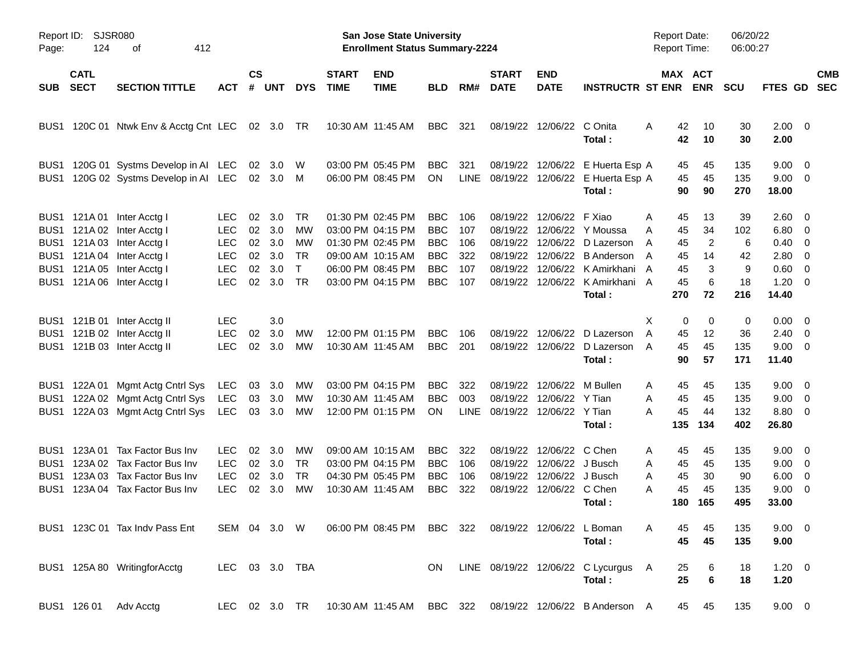| Report ID:<br>Page:                                              | <b>SJSR080</b><br>124      |                                                                                                                                                                                  |                                                                                  |                                  |                                        |                                                          | <b>San Jose State University</b><br><b>Enrollment Status Summary-2224</b> |                                                                                                                            |                                                                                  |                                        |                                                          |                                                                                              | <b>Report Date:</b><br><b>Report Time:</b>                                                                                           |                                                                  | 06/20/22<br>06:00:27                             |                                        |                                                                        |                                                                                  |                          |
|------------------------------------------------------------------|----------------------------|----------------------------------------------------------------------------------------------------------------------------------------------------------------------------------|----------------------------------------------------------------------------------|----------------------------------|----------------------------------------|----------------------------------------------------------|---------------------------------------------------------------------------|----------------------------------------------------------------------------------------------------------------------------|----------------------------------------------------------------------------------|----------------------------------------|----------------------------------------------------------|----------------------------------------------------------------------------------------------|--------------------------------------------------------------------------------------------------------------------------------------|------------------------------------------------------------------|--------------------------------------------------|----------------------------------------|------------------------------------------------------------------------|----------------------------------------------------------------------------------|--------------------------|
| <b>SUB</b>                                                       | <b>CATL</b><br><b>SECT</b> | <b>SECTION TITTLE</b>                                                                                                                                                            | <b>ACT</b>                                                                       | <b>CS</b><br>#                   | UNT                                    | <b>DYS</b>                                               | <b>START</b><br><b>TIME</b>                                               | <b>END</b><br><b>TIME</b>                                                                                                  | <b>BLD</b>                                                                       | RM#                                    | <b>START</b><br><b>DATE</b>                              | <b>END</b><br><b>DATE</b>                                                                    | <b>INSTRUCTR ST ENR</b>                                                                                                              |                                                                  | MAX ACT<br><b>ENR</b>                            | <b>SCU</b>                             | FTES GD                                                                |                                                                                  | <b>CMB</b><br><b>SEC</b> |
| BUS1                                                             |                            | 120C 01 Ntwk Env & Acctg Cnt LEC                                                                                                                                                 |                                                                                  |                                  | 02 3.0                                 | - TR                                                     |                                                                           | 10:30 AM 11:45 AM                                                                                                          | BBC                                                                              | 321                                    | 08/19/22                                                 | 12/06/22 C Onita                                                                             | Total:                                                                                                                               | 42<br>A<br>42                                                    | 10<br>10                                         | 30<br>30                               | $2.00 \t 0$<br>2.00                                                    |                                                                                  |                          |
| BUS <sub>1</sub><br>BUS1                                         |                            | 120G 01 Systms Develop in AI LEC<br>120G 02 Systms Develop in AI LEC                                                                                                             |                                                                                  | 02                               | -3.0<br>02 3.0 M                       | W                                                        |                                                                           | 03:00 PM 05:45 PM<br>06:00 PM 08:45 PM                                                                                     | BBC<br>ON                                                                        | 321<br>LINE                            |                                                          |                                                                                              | 08/19/22 12/06/22 E Huerta Esp A<br>08/19/22 12/06/22 E Huerta Esp A<br>Total:                                                       | 45<br>45<br>90                                                   | 45<br>45<br>90                                   | 135<br>135<br>270                      | $9.00 \t 0$<br>$9.00 \t 0$<br>18.00                                    |                                                                                  |                          |
|                                                                  |                            | BUS1 121A 01 Inter Acctg I<br>BUS1 121A 02 Inter Acctg I<br>BUS1 121A 03 Inter Acctg I<br>BUS1 121A 04 Inter Acctg I<br>BUS1 121A 05 Inter Acctg I<br>BUS1 121A 06 Inter Acctg I | <b>LEC</b><br><b>LEC</b><br><b>LEC</b><br><b>LEC</b><br><b>LEC</b><br><b>LEC</b> | 02<br>02<br>02<br>02<br>02<br>02 | 3.0<br>3.0<br>3.0<br>3.0<br>3.0<br>3.0 | TR<br>MW<br>MW<br><b>TR</b><br>$\mathsf{T}$<br><b>TR</b> |                                                                           | 01:30 PM 02:45 PM<br>03:00 PM 04:15 PM<br>01:30 PM 02:45 PM<br>09:00 AM 10:15 AM<br>06:00 PM 08:45 PM<br>03:00 PM 04:15 PM | <b>BBC</b><br><b>BBC</b><br><b>BBC</b><br><b>BBC</b><br><b>BBC</b><br><b>BBC</b> | 106<br>107<br>106<br>322<br>107<br>107 | 08/19/22<br>08/19/22<br>08/19/22<br>08/19/22<br>08/19/22 | 12/06/22 F Xiao                                                                              | 12/06/22 Y Moussa<br>12/06/22 D Lazerson<br>12/06/22 B Anderson<br>12/06/22 K Amirkhani<br>08/19/22 12/06/22 K Amirkhani A<br>Total: | 45<br>A<br>A<br>45<br>45<br>A<br>45<br>A<br>45<br>A<br>45<br>270 | 13<br>34<br>$\overline{2}$<br>14<br>3<br>6<br>72 | 39<br>102<br>6<br>42<br>9<br>18<br>216 | 2.60 0<br>$6.80\quad 0$<br>$0.40 \ 0$<br>2.80<br>0.60<br>1.20<br>14.40 | $\overline{\phantom{0}}$<br>$\overline{\phantom{0}}$<br>$\overline{\phantom{0}}$ |                          |
|                                                                  |                            | BUS1 121B 01 Inter Acctg II<br>BUS1 121B 02 Inter Acctg II<br>BUS1 121B 03 Inter Acctg II                                                                                        | <b>LEC</b><br><b>LEC</b><br><b>LEC</b>                                           | 02<br>02                         | 3.0<br>3.0<br>3.0                      | МW<br>МW                                                 |                                                                           | 12:00 PM 01:15 PM<br>10:30 AM 11:45 AM                                                                                     | <b>BBC</b><br><b>BBC</b>                                                         | 106<br>201                             |                                                          |                                                                                              | 08/19/22 12/06/22 D Lazerson<br>08/19/22 12/06/22 D Lazerson<br>Total:                                                               | X<br>A<br>45<br>45<br>A<br>90                                    | 0<br>0<br>12<br>45<br>57                         | 0<br>36<br>135<br>171                  | $0.00 \t 0$<br>$2.40 \ 0$<br>$9.00 \t 0$<br>11.40                      |                                                                                  |                          |
| BUS1<br>BUS1<br>BUS1                                             |                            | 122A 01 Mgmt Actg Cntrl Sys<br>122A 02 Mgmt Actg Cntrl Sys<br>122A 03 Mgmt Actg Cntrl Sys                                                                                        | LEC<br>LEC<br>LEC                                                                | 03<br>03                         | 3.0<br>3.0<br>03 3.0                   | МW<br>МW<br>МW                                           |                                                                           | 03:00 PM 04:15 PM<br>10:30 AM 11:45 AM<br>12:00 PM 01:15 PM                                                                | <b>BBC</b><br><b>BBC</b><br>ON                                                   | 322<br>003                             | 08/19/22<br>08/19/22<br>LINE 08/19/22 12/06/22 Y Tian    | 12/06/22 Y Tian                                                                              | 12/06/22 M Bullen<br>Total:                                                                                                          | 45<br>A<br>45<br>A<br>45<br>A<br>135                             | 45<br>45<br>44<br>134                            | 135<br>135<br>132<br>402               | $9.00 \t 0$<br>$9.00 \t 0$<br>8.80 0<br>26.80                          |                                                                                  |                          |
| BUS1<br>BUS <sub>1</sub><br>BUS <sub>1</sub><br>BUS <sub>1</sub> |                            | 123A 01 Tax Factor Bus Inv<br>123A 02 Tax Factor Bus Inv<br>123A 03 Tax Factor Bus Inv<br>123A 04 Tax Factor Bus Inv                                                             | <b>LEC</b><br><b>LEC</b><br><b>LEC</b><br><b>LEC</b>                             | 02<br>02<br>02<br>02             | 3.0<br>3.0<br>3.0<br>3.0               | МW<br><b>TR</b><br><b>TR</b><br>MW                       |                                                                           | 09:00 AM 10:15 AM<br>03:00 PM 04:15 PM<br>04:30 PM 05:45 PM<br>10:30 AM 11:45 AM                                           | <b>BBC</b><br><b>BBC</b><br><b>BBC</b><br><b>BBC</b>                             | 322<br>106<br>106<br>322               | 08/19/22<br>08/19/22                                     | 08/19/22 12/06/22 C Chen<br>12/06/22 J Busch<br>12/06/22 J Busch<br>08/19/22 12/06/22 C Chen | Total:                                                                                                                               | 45<br>A<br>45<br>A<br>45<br>A<br>45<br>Α<br>180                  | 45<br>45<br>30<br>45<br>165                      | 135<br>135<br>90<br>135<br>495         | $9.00 \t 0$<br>$9.00 \t 0$<br>6.00<br>9.00<br>33.00                    | $\overline{\phantom{0}}$<br>$\overline{\phantom{0}}$                             |                          |
|                                                                  |                            | BUS1 123C 01 Tax Indy Pass Ent                                                                                                                                                   |                                                                                  |                                  |                                        |                                                          |                                                                           | SEM 04 3.0 W 06:00 PM 08:45 PM BBC 322 08/19/22 12/06/22 L Boman                                                           |                                                                                  |                                        |                                                          |                                                                                              | Total:                                                                                                                               | A<br>45<br>45                                                    | 45<br>45                                         | 135<br>135                             | $9.00 \t 0$<br>9.00                                                    |                                                                                  |                          |
|                                                                  |                            | BUS1 125A 80 WritingforAcctg                                                                                                                                                     |                                                                                  |                                  |                                        | LEC 03 3.0 TBA                                           |                                                                           |                                                                                                                            |                                                                                  |                                        |                                                          |                                                                                              | ON LINE 08/19/22 12/06/22 C Lycurgus A<br>Total:                                                                                     | 25<br>25                                                         | 6<br>$\bf 6$                                     | 18<br>18                               | $1.20 \t 0$<br>1.20                                                    |                                                                                  |                          |
|                                                                  |                            | BUS1 126 01 Adv Acctg                                                                                                                                                            |                                                                                  |                                  |                                        |                                                          |                                                                           |                                                                                                                            |                                                                                  |                                        |                                                          |                                                                                              | LEC 02 3.0 TR 10:30 AM 11:45 AM BBC 322 08/19/22 12/06/22 B Anderson A                                                               |                                                                  | 45<br>45                                         | 135                                    | $9.00 \t 0$                                                            |                                                                                  |                          |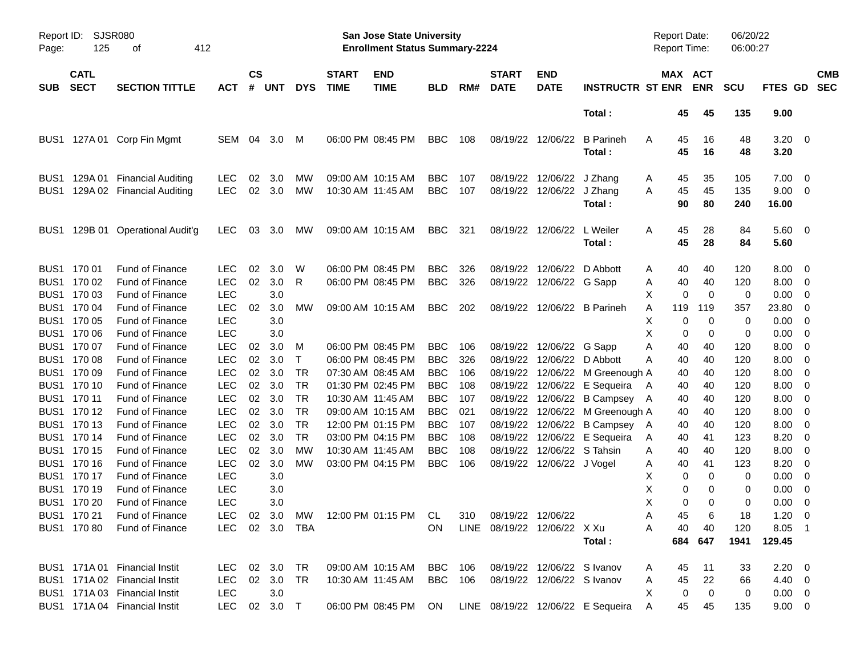| Page:            | SJSR080<br>Report ID:<br>125<br>412<br>οf<br><b>CATL</b> |                                                                            |                                        |                    |                   |                                     |                             | <b>San Jose State University</b><br><b>Enrollment Status Summary-2224</b> |                                        |                   |                             |                                                             |                                            | <b>Report Date:</b><br><b>Report Time:</b> |                |                       | 06/20/22<br>06:00:27 |                                 |               |                          |
|------------------|----------------------------------------------------------|----------------------------------------------------------------------------|----------------------------------------|--------------------|-------------------|-------------------------------------|-----------------------------|---------------------------------------------------------------------------|----------------------------------------|-------------------|-----------------------------|-------------------------------------------------------------|--------------------------------------------|--------------------------------------------|----------------|-----------------------|----------------------|---------------------------------|---------------|--------------------------|
| <b>SUB</b>       | <b>SECT</b>                                              | <b>SECTION TITTLE</b>                                                      | <b>ACT</b>                             | $\mathsf{cs}$<br># | <b>UNT</b>        | <b>DYS</b>                          | <b>START</b><br><b>TIME</b> | <b>END</b><br><b>TIME</b>                                                 | <b>BLD</b>                             | RM#               | <b>START</b><br><b>DATE</b> | <b>END</b><br><b>DATE</b>                                   | <b>INSTRUCTR ST ENR</b>                    |                                            |                | MAX ACT<br><b>ENR</b> | <b>SCU</b>           | <b>FTES GD</b>                  |               | <b>CMB</b><br><b>SEC</b> |
|                  |                                                          |                                                                            |                                        |                    |                   |                                     |                             |                                                                           |                                        |                   |                             |                                                             | Total:                                     |                                            | 45             | 45                    | 135                  | 9.00                            |               |                          |
|                  |                                                          | BUS1 127A 01 Corp Fin Mgmt                                                 | SEM                                    | 04                 | 3.0               | M                                   |                             | 06:00 PM 08:45 PM                                                         | <b>BBC</b>                             | 108               |                             | 08/19/22 12/06/22                                           | <b>B</b> Parineh<br>Total:                 | A                                          | 45<br>45       | 16<br>16              | 48<br>48             | $3.20 \ 0$<br>3.20              |               |                          |
| BUS <sub>1</sub> |                                                          | 129A 01 Financial Auditing<br>BUS1 129A 02 Financial Auditing              | LEC<br><b>LEC</b>                      | 02                 | 3.0<br>02 3.0     | MW<br>MW                            | 10:30 AM 11:45 AM           | 09:00 AM 10:15 AM                                                         | <b>BBC</b><br><b>BBC</b>               | 107<br>107        |                             | 08/19/22 12/06/22<br>08/19/22 12/06/22                      | J Zhang<br>J Zhang<br>Total:               | A<br>A                                     | 45<br>45<br>90 | 35<br>45<br>80        | 105<br>135<br>240    | 7.00<br>9.00<br>16.00           | - 0<br>- 0    |                          |
| BUS1             |                                                          | 129B 01 Operational Audit'g                                                | LEC.                                   | 03                 | 3.0               | <b>MW</b>                           |                             | 09:00 AM 10:15 AM                                                         | <b>BBC</b>                             | 321               |                             | 08/19/22 12/06/22                                           | L Weiler<br>Total:                         | A                                          | 45<br>45       | 28<br>28              | 84<br>84             | $5.60 \ 0$<br>5.60              |               |                          |
|                  | BUS1 170 01<br>BUS1 170 02<br>BUS1 170 03                | <b>Fund of Finance</b><br>Fund of Finance<br><b>Fund of Finance</b>        | <b>LEC</b><br><b>LEC</b><br><b>LEC</b> | 02<br>02           | 3.0<br>3.0<br>3.0 | W<br>R                              |                             | 06:00 PM 08:45 PM<br>06:00 PM 08:45 PM                                    | <b>BBC</b><br><b>BBC</b>               | 326<br>326        |                             | 08/19/22 12/06/22<br>08/19/22 12/06/22 G Sapp               | D Abbott                                   | A<br>A<br>X                                | 40<br>40<br>0  | 40<br>40<br>0         | 120<br>120<br>0      | 8.00<br>8.00<br>0.00            | - 0<br>0<br>0 |                          |
|                  | BUS1 170 04<br>BUS1 170 05                               | <b>Fund of Finance</b><br>Fund of Finance                                  | <b>LEC</b><br><b>LEC</b>               | 02                 | 3.0<br>3.0        | МW                                  |                             | 09:00 AM 10:15 AM                                                         | BBC                                    | 202               |                             |                                                             | 08/19/22 12/06/22 B Parineh                | A<br>Х                                     | 119<br>0       | 119<br>0              | 357<br>0             | 23.80<br>0.00                   | 0<br>0        |                          |
|                  | BUS1 170 06<br>BUS1 170 07<br>BUS1 170 08                | <b>Fund of Finance</b><br>Fund of Finance<br>Fund of Finance               | <b>LEC</b><br><b>LEC</b><br><b>LEC</b> | 02<br>02           | 3.0<br>3.0<br>3.0 | м<br>Τ                              |                             | 06:00 PM 08:45 PM<br>06:00 PM 08:45 PM                                    | <b>BBC</b><br><b>BBC</b>               | 106<br>326        |                             | 08/19/22 12/06/22<br>08/19/22 12/06/22                      | G Sapp<br>D Abbott                         | Х<br>Α<br>A                                | 0<br>40<br>40  | 0<br>40<br>40         | 0<br>120<br>120      | 0.00<br>8.00<br>8.00            | 0<br>0<br>0   |                          |
|                  | BUS1 170 09<br>BUS1 170 10<br>BUS1 170 11                | <b>Fund of Finance</b><br><b>Fund of Finance</b><br>Fund of Finance        | <b>LEC</b><br><b>LEC</b><br><b>LEC</b> | 02<br>02<br>02     | 3.0<br>3.0<br>3.0 | <b>TR</b><br><b>TR</b><br><b>TR</b> | 10:30 AM 11:45 AM           | 07:30 AM 08:45 AM<br>01:30 PM 02:45 PM                                    | <b>BBC</b><br><b>BBC</b><br><b>BBC</b> | 106<br>108<br>107 |                             | 08/19/22 12/06/22<br>08/19/22 12/06/22<br>08/19/22 12/06/22 | M Greenough A<br>E Sequeira<br>B Campsey A | A                                          | 40<br>40<br>40 | 40<br>40<br>40        | 120<br>120<br>120    | 8.00<br>8.00<br>8.00            | 0<br>0<br>0   |                          |
|                  | BUS1 170 12<br>BUS1 170 13<br>BUS1 170 14                | <b>Fund of Finance</b><br><b>Fund of Finance</b><br>Fund of Finance        | <b>LEC</b><br><b>LEC</b><br><b>LEC</b> | 02<br>02<br>02     | 3.0<br>3.0<br>3.0 | <b>TR</b><br><b>TR</b><br><b>TR</b> |                             | 09:00 AM 10:15 AM<br>12:00 PM 01:15 PM<br>03:00 PM 04:15 PM               | <b>BBC</b><br><b>BBC</b><br><b>BBC</b> | 021<br>107<br>108 |                             | 08/19/22 12/06/22<br>08/19/22 12/06/22<br>08/19/22 12/06/22 | M Greenough A<br>B Campsey A<br>E Sequeira | A                                          | 40<br>40<br>40 | 40<br>40<br>41        | 120<br>120<br>123    | 8.00<br>8.00<br>8.20            | 0<br>0<br>0   |                          |
|                  | BUS1 170 15<br>BUS1 170 16                               | <b>Fund of Finance</b><br><b>Fund of Finance</b>                           | <b>LEC</b><br><b>LEC</b>               | 02<br>02           | 3.0<br>3.0        | МW<br>МW                            | 10:30 AM 11:45 AM           | 03:00 PM 04:15 PM                                                         | <b>BBC</b><br><b>BBC</b>               | 108<br>106        |                             | 08/19/22 12/06/22<br>08/19/22 12/06/22 J Vogel              | S Tahsin                                   | Α<br>A                                     | 40<br>40       | 40<br>41              | 120<br>123           | 8.00<br>8.20                    | 0<br>0        |                          |
|                  | BUS1 170 17<br>BUS1 170 19<br>BUS1 170 20                | <b>Fund of Finance</b><br><b>Fund of Finance</b><br><b>Fund of Finance</b> | <b>LEC</b><br><b>LEC</b><br><b>LEC</b> |                    | 3.0<br>3.0<br>3.0 |                                     |                             |                                                                           |                                        |                   |                             |                                                             |                                            | X<br>X<br>X                                | 0<br>0<br>0    | 0<br>0<br>$\Omega$    | 0<br>0<br>0          | 0.00<br>0.00<br>0.00            | 0<br>0<br>0   |                          |
|                  | BUS1 170 21<br>BUS1 170 80                               | Fund of Finance<br>Fund of Finance                                         | LEC<br>LEC.                            |                    | 02 3.0 TBA        |                                     |                             | 02 3.0 MW 12:00 PM 01:15 PM CL 310 08/19/22 12/06/22                      | <b>ON</b>                              |                   | LINE 08/19/22 12/06/22 X Xu |                                                             | Total:                                     | Α<br>A                                     | 45<br>40       | 6<br>40<br>684 647    | 18<br>120<br>1941    | $1.20 \t 0$<br>8.05 1<br>129.45 |               |                          |
|                  |                                                          | BUS1 171A 01 Financial Instit<br>BUS1 171A 02 Financial Instit             | LEC 02 3.0<br>LEC                      |                    | 02 3.0            | TR<br>TR                            |                             | 09:00 AM 10:15 AM BBC 106<br>10:30 AM 11:45 AM                            | BBC 106                                |                   |                             | 08/19/22 12/06/22 S Ivanov<br>08/19/22 12/06/22 S Ivanov    |                                            | A<br>Α                                     | 45<br>45       | 11<br>22              | 33<br>66             | $2.20 \t 0$<br>$4.40 \quad 0$   |               |                          |
|                  |                                                          | BUS1 171A 03 Financial Instit<br>BUS1 171A 04 Financial Instit             | LEC<br>LEC                             |                    | 3.0<br>02 3.0 T   |                                     |                             | 06:00 PM 08:45 PM ON                                                      |                                        |                   |                             |                                                             | LINE 08/19/22 12/06/22 E Sequeira          | X<br>A                                     | 0<br>45        | $\mathbf 0$<br>45     | 0<br>135             | $0.00 \quad 0$<br>$9.00 \t 0$   |               |                          |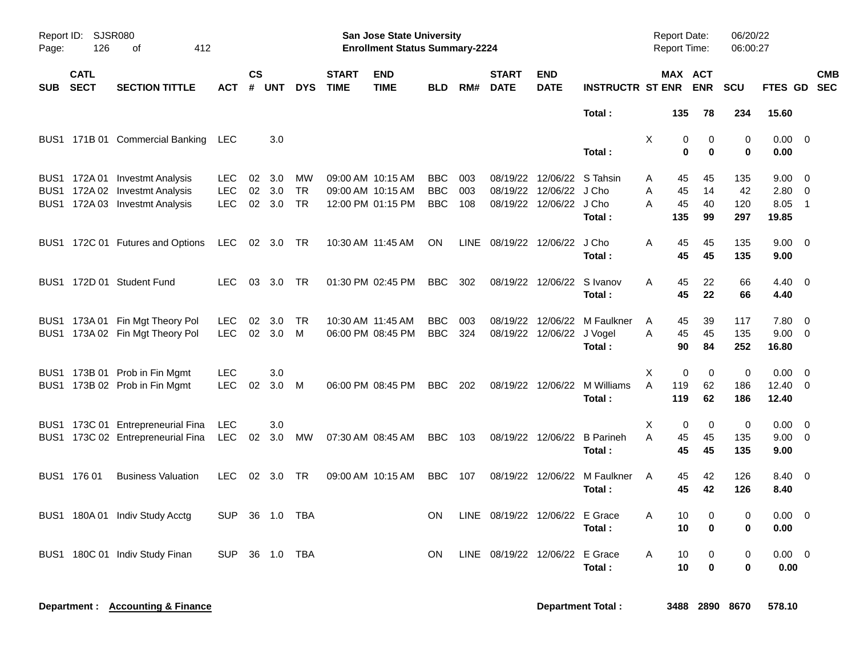| Page:    | Report ID: SJSR080<br>126 | 412                                                                                                |                                        |    |                         |                       | <b>San Jose State University</b><br><b>Enrollment Status Summary-2224</b> |                                                             |                                        |                   |                             |                                                                            |                                        | <b>Report Date:</b><br>Report Time: |                 | 06/20/22<br>06:00:27    |                         |                               |                                           |
|----------|---------------------------|----------------------------------------------------------------------------------------------------|----------------------------------------|----|-------------------------|-----------------------|---------------------------------------------------------------------------|-------------------------------------------------------------|----------------------------------------|-------------------|-----------------------------|----------------------------------------------------------------------------|----------------------------------------|-------------------------------------|-----------------|-------------------------|-------------------------|-------------------------------|-------------------------------------------|
| SUB SECT | <b>CATL</b>               | <b>SECTION TITTLE</b>                                                                              | <b>ACT</b>                             | CS | # UNT                   | <b>DYS</b>            | <b>START</b><br><b>TIME</b>                                               | <b>END</b><br><b>TIME</b>                                   | <b>BLD</b>                             | RM#               | <b>START</b><br><b>DATE</b> | <b>END</b><br><b>DATE</b>                                                  | <b>INSTRUCTR ST ENR</b>                |                                     |                 | MAX ACT<br><b>ENR</b>   | <b>SCU</b>              | FTES GD SEC                   | <b>CMB</b>                                |
|          |                           |                                                                                                    |                                        |    |                         |                       |                                                                           |                                                             |                                        |                   |                             |                                                                            | Total:                                 |                                     | 135             | 78                      | 234                     | 15.60                         |                                           |
|          |                           | BUS1 171B 01 Commercial Banking                                                                    | LEC                                    |    | 3.0                     |                       |                                                                           |                                                             |                                        |                   |                             |                                                                            | Total:                                 | X                                   | 0<br>$\bf{0}$   | $\mathbf 0$<br>$\bf{0}$ | $\Omega$<br>0           | $0.00 \quad 0$<br>0.00        |                                           |
|          |                           | BUS1 172A 01 Investmt Analysis<br>BUS1 172A 02 Investmt Analysis<br>BUS1 172A 03 Investmt Analysis | <b>LEC</b><br><b>LEC</b><br><b>LEC</b> | 02 | 02 3.0<br>3.0<br>02 3.0 | MW<br>TR<br><b>TR</b> |                                                                           | 09:00 AM 10:15 AM<br>09:00 AM 10:15 AM<br>12:00 PM 01:15 PM | <b>BBC</b><br><b>BBC</b><br><b>BBC</b> | 003<br>003<br>108 |                             | 08/19/22 12/06/22 S Tahsin<br>08/19/22 12/06/22<br>08/19/22 12/06/22 J Cho | J Cho                                  | Α<br>A<br>A                         | 45<br>45<br>45  | 45<br>14<br>40          | 135<br>42<br>120        | $9.00 \t 0$<br>2.80<br>8.05   | $\overline{\mathbf{0}}$<br>$\overline{1}$ |
|          |                           |                                                                                                    |                                        |    |                         |                       |                                                                           |                                                             |                                        |                   |                             |                                                                            | Total:                                 |                                     | 135             | 99                      | 297                     | 19.85                         |                                           |
|          |                           | BUS1 172C 01 Futures and Options                                                                   | <b>LEC</b>                             |    | 02 3.0                  | TR                    |                                                                           | 10:30 AM 11:45 AM                                           | ON                                     | LINE              |                             | 08/19/22 12/06/22                                                          | J Cho<br>Total:                        | Α                                   | 45<br>45        | 45<br>45                | 135<br>135              | $9.00 \quad 0$<br>9.00        |                                           |
|          |                           | BUS1 172D 01 Student Fund                                                                          | <b>LEC</b>                             |    | 03 3.0                  | - TR                  |                                                                           | 01:30 PM 02:45 PM                                           | BBC.                                   | 302               |                             | 08/19/22 12/06/22 S Ivanov                                                 | Total:                                 | A                                   | 45<br>45        | 22<br>22                | 66<br>66                | $4.40 \quad 0$<br>4.40        |                                           |
|          |                           | BUS1 173A 01 Fin Mgt Theory Pol<br>BUS1 173A 02 Fin Mgt Theory Pol                                 | <b>LEC</b><br><b>LEC</b>               | 02 | 3.0<br>02 3.0           | TR<br>M               |                                                                           | 10:30 AM 11:45 AM<br>06:00 PM 08:45 PM                      | <b>BBC</b><br><b>BBC</b>               | 003<br>324        |                             | 08/19/22 12/06/22<br>08/19/22 12/06/22 J Vogel                             | M Faulkner<br>Total:                   | Α<br>A                              | 45<br>45<br>90  | 39<br>45<br>84          | 117<br>135<br>252       | 7.80<br>9.00 0<br>16.80       | $\overline{\mathbf{0}}$                   |
|          |                           | BUS1 173B 01 Prob in Fin Mgmt<br>BUS1 173B 02 Prob in Fin Mgmt                                     | <b>LEC</b><br>LEC.                     | 02 | 3.0<br>3.0              | M                     |                                                                           | 06:00 PM 08:45 PM                                           | <b>BBC</b>                             | 202               |                             |                                                                            | 08/19/22 12/06/22 M Williams<br>Total: | Χ<br>A                              | 0<br>119<br>119 | $\mathbf 0$<br>62<br>62 | 0<br>186<br>186         | 0.00<br>$12.40 \t 0$<br>12.40 | $\overline{\mathbf{0}}$                   |
|          |                           | BUS1 173C 01 Entrepreneurial Fina<br>BUS1 173C 02 Entrepreneurial Fina                             | <b>LEC</b><br><b>LEC</b>               | 02 | 3.0<br>3.0              | МW                    |                                                                           | 07:30 AM 08:45 AM                                           | <b>BBC</b>                             | 103               |                             | 08/19/22 12/06/22                                                          | <b>B</b> Parineh<br>Total:             | X<br>A                              | 0<br>45<br>45   | 0<br>45<br>45           | $\pmb{0}$<br>135<br>135 | 0.00<br>$9.00 \t 0$<br>9.00   | $\overline{\mathbf{0}}$                   |
|          | BUS1 176 01               | <b>Business Valuation</b>                                                                          | <b>LEC</b>                             | 02 | 3.0                     | TR                    |                                                                           | 09:00 AM 10:15 AM                                           | <b>BBC</b>                             | 107               |                             | 08/19/22 12/06/22                                                          | M Faulkner<br>Total:                   | A                                   | 45<br>45        | 42<br>42                | 126<br>126              | 8.40 0<br>8.40                |                                           |
|          |                           | BUS1 180A 01 Indiv Study Acctg                                                                     | <b>SUP</b>                             |    | 36 1.0                  | TBA                   |                                                                           |                                                             | <b>ON</b>                              | LINE              | 08/19/22 12/06/22 E Grace   |                                                                            | Total:                                 | A                                   | 10<br>10        | 0<br>0                  | 0<br>0                  | $0.00 \ 0$<br>0.00            |                                           |
| BUS1     |                           | 180C 01 Indiv Study Finan                                                                          | <b>SUP</b>                             | 36 | 1.0                     | TBA                   |                                                                           |                                                             | <b>ON</b>                              | LINE              | 08/19/22 12/06/22 E Grace   |                                                                            | Total :                                | A                                   | 10<br>10        | 0<br>$\bf{0}$           | 0<br>0                  | $0.00 \quad 0$<br>0.00        |                                           |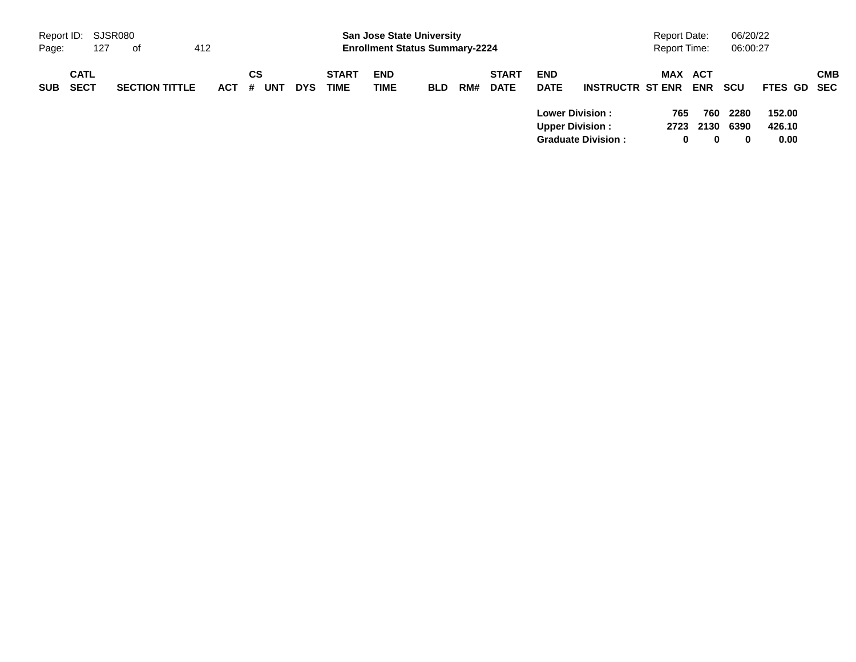| Report ID: SJSR080 |                            |     |                       |            |   |           |            |                             | <b>San Jose State University</b>      |            |     |                             |                           |                                                                               | <b>Report Date:</b> |                       | 06/20/22                     |                          |            |
|--------------------|----------------------------|-----|-----------------------|------------|---|-----------|------------|-----------------------------|---------------------------------------|------------|-----|-----------------------------|---------------------------|-------------------------------------------------------------------------------|---------------------|-----------------------|------------------------------|--------------------------|------------|
| Page:              |                            | 127 | of                    | 412        |   |           |            |                             | <b>Enrollment Status Summary-2224</b> |            |     |                             |                           |                                                                               | <b>Report Time:</b> |                       | 06:00:27                     |                          |            |
| <b>SUB</b>         | <b>CATL</b><br><b>SECT</b> |     | <b>SECTION TITTLE</b> | <b>ACT</b> | # | СS<br>UNT | <b>DYS</b> | <b>START</b><br><b>TIME</b> | <b>END</b><br><b>TIME</b>             | <b>BLD</b> | RM# | <b>START</b><br><b>DATE</b> | <b>END</b><br><b>DATE</b> | <b>INSTRUCTR ST ENR</b>                                                       | MAX ACT             | <b>ENR</b>            | <b>SCU</b>                   | FTES GD SEC              | <b>CMB</b> |
|                    |                            |     |                       |            |   |           |            |                             |                                       |            |     |                             |                           | <b>Lower Division:</b><br><b>Upper Division:</b><br><b>Graduate Division:</b> | 765<br>0            | 760<br>2723 2130<br>0 | 2280<br>6390<br>$\mathbf{0}$ | 152.00<br>426.10<br>0.00 |            |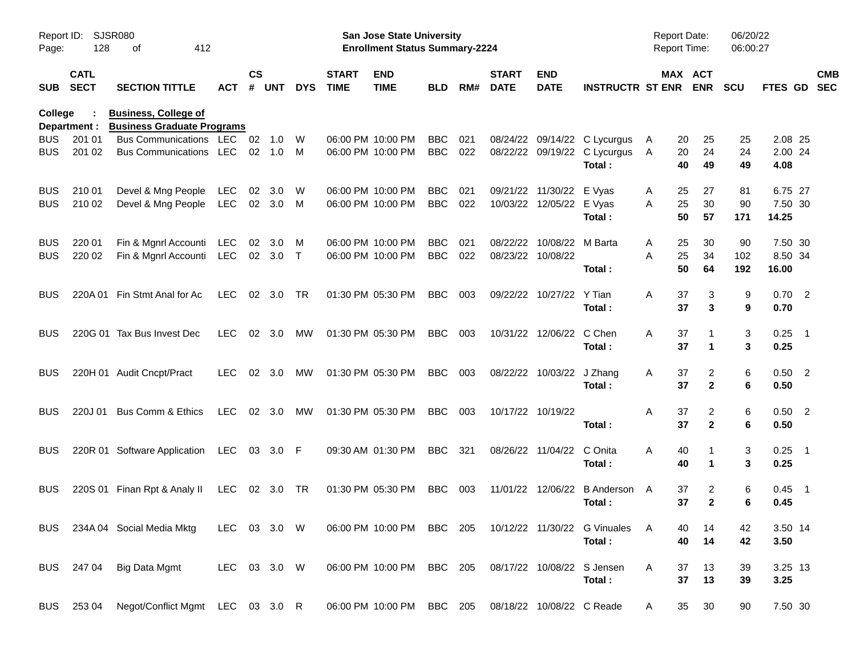| Report ID:<br>Page:      | 128                        | <b>SJSR080</b><br>412<br>оf                                      |                   |                    |               |             |                             | <b>San Jose State University</b><br><b>Enrollment Status Summary-2224</b> |                          |            |                             |                              |                                                                  | Report Date:<br>Report Time: |                       | 06/20/22<br>06:00:27 |                             |                          |
|--------------------------|----------------------------|------------------------------------------------------------------|-------------------|--------------------|---------------|-------------|-----------------------------|---------------------------------------------------------------------------|--------------------------|------------|-----------------------------|------------------------------|------------------------------------------------------------------|------------------------------|-----------------------|----------------------|-----------------------------|--------------------------|
| <b>SUB</b>               | <b>CATL</b><br><b>SECT</b> | <b>SECTION TITTLE</b>                                            | <b>ACT</b>        | $\mathsf{cs}$<br># | <b>UNT</b>    | <b>DYS</b>  | <b>START</b><br><b>TIME</b> | <b>END</b><br><b>TIME</b>                                                 | <b>BLD</b>               | RM#        | <b>START</b><br><b>DATE</b> | <b>END</b><br><b>DATE</b>    | <b>INSTRUCTR ST ENR</b>                                          |                              | MAX ACT<br><b>ENR</b> | <b>SCU</b>           | <b>FTES GD</b>              | <b>CMB</b><br><b>SEC</b> |
| <b>College</b>           | Department :               | <b>Business, College of</b><br><b>Business Graduate Programs</b> |                   |                    |               |             |                             |                                                                           |                          |            |                             |                              |                                                                  |                              |                       |                      |                             |                          |
| BUS<br>BUS               | 201 01<br>201 02           | <b>Bus Communications</b><br><b>Bus Communications</b>           | LEC<br>LEC        | 02<br>02           | 1.0<br>1.0    | W<br>M      |                             | 06:00 PM 10:00 PM<br>06:00 PM 10:00 PM                                    | <b>BBC</b><br><b>BBC</b> | 021<br>022 | 08/24/22                    |                              | 09/14/22 C Lycurgus<br>08/22/22 09/19/22 C Lycurgus<br>Total:    | 20<br>A<br>20<br>A<br>40     | 25<br>24<br>49        | 25<br>24<br>49       | 2.08 25<br>2.00 24<br>4.08  |                          |
| <b>BUS</b><br><b>BUS</b> | 210 01<br>210 02           | Devel & Mng People<br>Devel & Mng People                         | LEC<br><b>LEC</b> | 02                 | 3.0<br>02 3.0 | W<br>M      |                             | 06:00 PM 10:00 PM<br>06:00 PM 10:00 PM                                    | <b>BBC</b><br><b>BBC</b> | 021<br>022 | 09/21/22<br>10/03/22        | 11/30/22<br>12/05/22 E Vyas  | E Vyas<br>Total:                                                 | 25<br>Α<br>25<br>A<br>50     | 27<br>30<br>57        | 81<br>90<br>171      | 6.75 27<br>7.50 30<br>14.25 |                          |
| <b>BUS</b><br><b>BUS</b> | 220 01<br>220 02           | Fin & Mgnrl Accounti<br>Fin & Mgnrl Accounti                     | LEC<br>LEC        | 02                 | 3.0<br>02 3.0 | M<br>$\top$ |                             | 06:00 PM 10:00 PM<br>06:00 PM 10:00 PM                                    | <b>BBC</b><br><b>BBC</b> | 021<br>022 | 08/22/22<br>08/23/22        | 10/08/22 M Barta<br>10/08/22 | Total:                                                           | 25<br>A<br>25<br>A<br>50     | 30<br>34<br>64        | 90<br>102<br>192     | 7.50 30<br>8.50 34<br>16.00 |                          |
| BUS                      | 220A 01                    | Fin Stmt Anal for Ac                                             | <b>LEC</b>        |                    | 02 3.0        | TR          |                             | 01:30 PM 05:30 PM                                                         | <b>BBC</b>               | 003        |                             | 09/22/22 10/27/22            | Y Tian<br>Total:                                                 | A<br>37<br>37                | 3<br>3                | 9<br>9               | 0.702<br>0.70               |                          |
| BUS                      |                            | 220G 01 Tax Bus Invest Dec                                       | <b>LEC</b>        |                    | 02 3.0        | МW          |                             | 01:30 PM 05:30 PM                                                         | <b>BBC</b>               | 003        |                             | 10/31/22 12/06/22            | C Chen<br>Total:                                                 | Α<br>37<br>37                | 1                     | 3<br>3               | $0.25$ 1<br>0.25            |                          |
| <b>BUS</b>               |                            | 220H 01 Audit Cncpt/Pract                                        | <b>LEC</b>        |                    | 02 3.0        | МW          |                             | 01:30 PM 05:30 PM                                                         | <b>BBC</b>               | 003        | 08/22/22                    | 10/03/22                     | J Zhang<br>Total:                                                | 37<br>A<br>37                | 2<br>$\mathbf{2}$     | 6<br>6               | $0.50$ 2<br>0.50            |                          |
| BUS                      | 220J 01                    | Bus Comm & Ethics                                                | <b>LEC</b>        |                    | 02 3.0        | МW          |                             | 01:30 PM 05:30 PM                                                         | <b>BBC</b>               | 003        |                             | 10/17/22 10/19/22            | Total:                                                           | A<br>37<br>37                | 2<br>$\mathbf{2}$     | 6<br>6               | $0.50$ 2<br>0.50            |                          |
| <b>BUS</b>               |                            | 220R 01 Software Application                                     | LEC               |                    | 03 3.0 F      |             |                             | 09:30 AM 01:30 PM                                                         | <b>BBC</b>               | 321        | 08/26/22                    | 11/04/22                     | C Onita<br>Total:                                                | A<br>40<br>40                | 1                     | 3<br>3               | $0.25$ 1<br>0.25            |                          |
| <b>BUS</b>               |                            | 220S 01 Finan Rpt & Analy II                                     | LEC               |                    | 02 3.0        | TR          |                             | 01:30 PM 05:30 PM                                                         | BBC                      | 003        | 11/01/22                    | 12/06/22                     | B Anderson A<br>Total:                                           | 37<br>37                     | 2<br>$\mathbf{2}$     | 6<br>6               | $0.45$ 1<br>0.45            |                          |
|                          |                            | BUS 234A 04 Social Media Mktg                                    | LEC 03 3.0 W      |                    |               |             |                             |                                                                           |                          |            |                             |                              | 06:00 PM 10:00 PM BBC 205 10/12/22 11/30/22 G Vinuales<br>Total: | - A<br>40<br>40              | 14<br>14              | 42<br>42             | 3.50 14<br>3.50             |                          |
|                          | BUS 247 04                 | Big Data Mgmt                                                    | LEC 03 3.0 W      |                    |               |             |                             | 06:00 PM 10:00 PM BBC 205                                                 |                          |            |                             |                              | 08/17/22 10/08/22 S Jensen<br>Total:                             | 37<br>A<br>37                | 13<br>13              | 39<br>39             | 3.25 13<br>3.25             |                          |
| <b>BUS</b>               | 253 04                     | Negot/Conflict Mgmt LEC 03 3.0 R                                 |                   |                    |               |             |                             | 06:00 PM 10:00 PM                                                         | BBC 205                  |            |                             | 08/18/22 10/08/22 C Reade    |                                                                  | 35<br>A                      | 30                    | 90                   | 7.50 30                     |                          |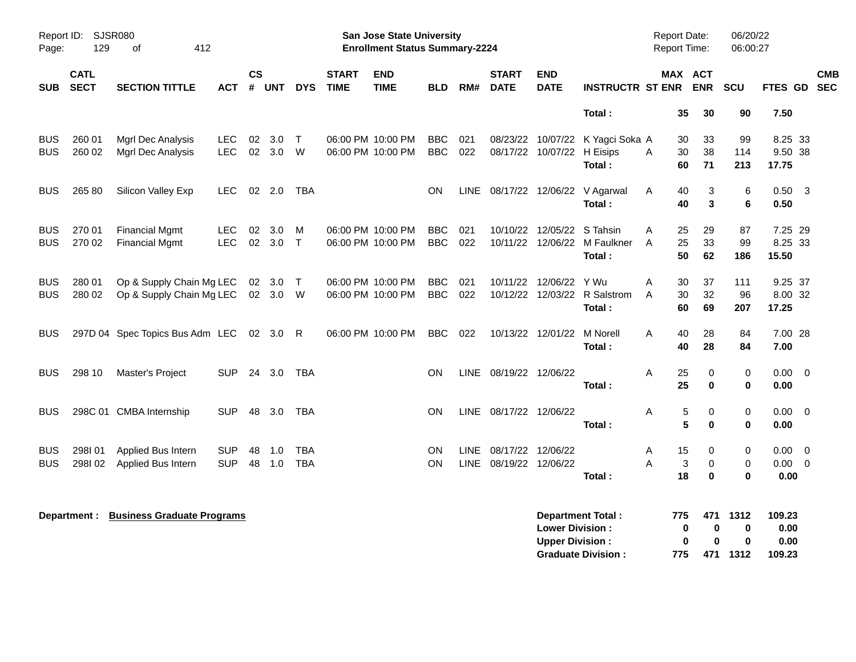| Page:                    | Report ID: SJSR080<br>129  | 412<br>οf                                            |                          |                    |                    |                          |                             | San Jose State University<br><b>Enrollment Status Summary-2224</b> |                          |                      |                                        |                                                  |                                                       | Report Date:<br><b>Report Time:</b> |                                     | 06/20/22<br>06:00:27          |                                       |                   |
|--------------------------|----------------------------|------------------------------------------------------|--------------------------|--------------------|--------------------|--------------------------|-----------------------------|--------------------------------------------------------------------|--------------------------|----------------------|----------------------------------------|--------------------------------------------------|-------------------------------------------------------|-------------------------------------|-------------------------------------|-------------------------------|---------------------------------------|-------------------|
| <b>SUB</b>               | <b>CATL</b><br><b>SECT</b> | <b>SECTION TITTLE</b>                                | <b>ACT</b>               | $\mathsf{cs}$<br># | <b>UNT</b>         | <b>DYS</b>               | <b>START</b><br><b>TIME</b> | <b>END</b><br><b>TIME</b>                                          | <b>BLD</b>               | RM#                  | <b>START</b><br><b>DATE</b>            | <b>END</b><br><b>DATE</b>                        | <b>INSTRUCTR ST ENR</b>                               |                                     | MAX ACT<br><b>ENR</b>               | <b>SCU</b>                    | FTES GD                               | <b>CMB</b><br>SEC |
|                          |                            |                                                      |                          |                    |                    |                          |                             |                                                                    |                          |                      |                                        |                                                  | Total:                                                |                                     | 35<br>30                            | 90                            | 7.50                                  |                   |
| <b>BUS</b><br><b>BUS</b> | 260 01<br>260 02           | Mgrl Dec Analysis<br>Mgrl Dec Analysis               | <b>LEC</b><br><b>LEC</b> | 02                 | 02 3.0<br>3.0 W    | $\top$                   |                             | 06:00 PM 10:00 PM<br>06:00 PM 10:00 PM                             | BBC<br><b>BBC</b>        | 021<br>022           |                                        | 08/17/22 10/07/22 H Eisips                       | 08/23/22 10/07/22 K Yagci Soka A<br>Total :           | A                                   | 30<br>33<br>30<br>38<br>60<br>71    | 99<br>114<br>213              | 8.25 33<br>9.50 38<br>17.75           |                   |
| <b>BUS</b>               | 265 80                     | Silicon Valley Exp                                   | <b>LEC</b>               |                    | $02 \quad 2.0$     | TBA                      |                             |                                                                    | <b>ON</b>                | <b>LINE</b>          |                                        |                                                  | 08/17/22 12/06/22 V Agarwal<br>Total:                 | A                                   | 3<br>40<br>40<br>3                  | 6<br>6                        | $0.50$ 3<br>0.50                      |                   |
| <b>BUS</b><br><b>BUS</b> | 270 01<br>270 02           | <b>Financial Mgmt</b><br><b>Financial Mgmt</b>       | LEC.<br><b>LEC</b>       | 02                 | 3.0<br>02 3.0 T    | M                        |                             | 06:00 PM 10:00 PM<br>06:00 PM 10:00 PM                             | <b>BBC</b><br><b>BBC</b> | 021<br>022           |                                        | 10/10/22 12/05/22 S Tahsin                       | 10/11/22 12/06/22 M Faulkner<br>Total:                | Α<br>A                              | 25<br>29<br>25<br>33<br>50<br>62    | 87<br>99<br>186               | 7.25 29<br>8.25 33<br>15.50           |                   |
| <b>BUS</b><br><b>BUS</b> | 280 01<br>280 02           | Op & Supply Chain Mg LEC<br>Op & Supply Chain Mg LEC |                          |                    | 02 3.0<br>02 3.0 W | $\top$                   |                             | 06:00 PM 10:00 PM<br>06:00 PM 10:00 PM                             | <b>BBC</b><br><b>BBC</b> | 021<br>022           |                                        | 10/11/22 12/06/22<br>10/12/22 12/03/22           | Y Wu<br>R Salstrom<br>Total:                          | Α<br>A                              | 30<br>37<br>32<br>30<br>60<br>69    | 111<br>96<br>207              | 9.25 37<br>8.00 32<br>17.25           |                   |
| <b>BUS</b>               |                            | 297D 04 Spec Topics Bus Adm LEC 02 3.0               |                          |                    |                    | R                        |                             | 06:00 PM 10:00 PM                                                  | BBC.                     | 022                  |                                        | 10/13/22 12/01/22 M Norell                       | Total:                                                | А                                   | 40<br>28<br>40<br>28                | 84<br>84                      | 7.00 28<br>7.00                       |                   |
| <b>BUS</b>               | 298 10                     | Master's Project                                     | <b>SUP</b>               |                    | 24 3.0             | TBA                      |                             |                                                                    | <b>ON</b>                | LINE                 | 08/19/22 12/06/22                      |                                                  | Total:                                                | Α                                   | 25<br>0<br>25<br>$\bf{0}$           | 0<br>0                        | $0.00 \quad 0$<br>0.00                |                   |
| <b>BUS</b>               |                            | 298C 01 CMBA Internship                              | <b>SUP</b>               | 48                 | 3.0                | <b>TBA</b>               |                             |                                                                    | <b>ON</b>                |                      | LINE 08/17/22 12/06/22                 |                                                  | Total:                                                | Α                                   | 5<br>0<br>5<br>$\bf{0}$             | 0<br>0                        | $0.00 \quad 0$<br>0.00                |                   |
| <b>BUS</b><br><b>BUS</b> | 298I01<br>298102           | Applied Bus Intern<br>Applied Bus Intern             | <b>SUP</b><br><b>SUP</b> | 48<br>48           | 1.0<br>1.0         | <b>TBA</b><br><b>TBA</b> |                             |                                                                    | ON<br>ON                 | <b>LINE</b><br>LINE. | 08/17/22 12/06/22<br>08/19/22 12/06/22 |                                                  | Total:                                                | Α<br>Α                              | 15<br>0<br>3<br>0<br>18<br>$\bf{0}$ | 0<br>0<br>0                   | $0.00 \quad 0$<br>$0.00 \t 0$<br>0.00 |                   |
|                          | Department :               | <b>Business Graduate Programs</b>                    |                          |                    |                    |                          |                             |                                                                    |                          |                      |                                        | <b>Lower Division:</b><br><b>Upper Division:</b> | <b>Department Total:</b><br><b>Graduate Division:</b> | 775<br>775                          | 471<br>0<br>0<br>0<br>0<br>471      | 1312<br>0<br>$\bf{0}$<br>1312 | 109.23<br>0.00<br>0.00<br>109.23      |                   |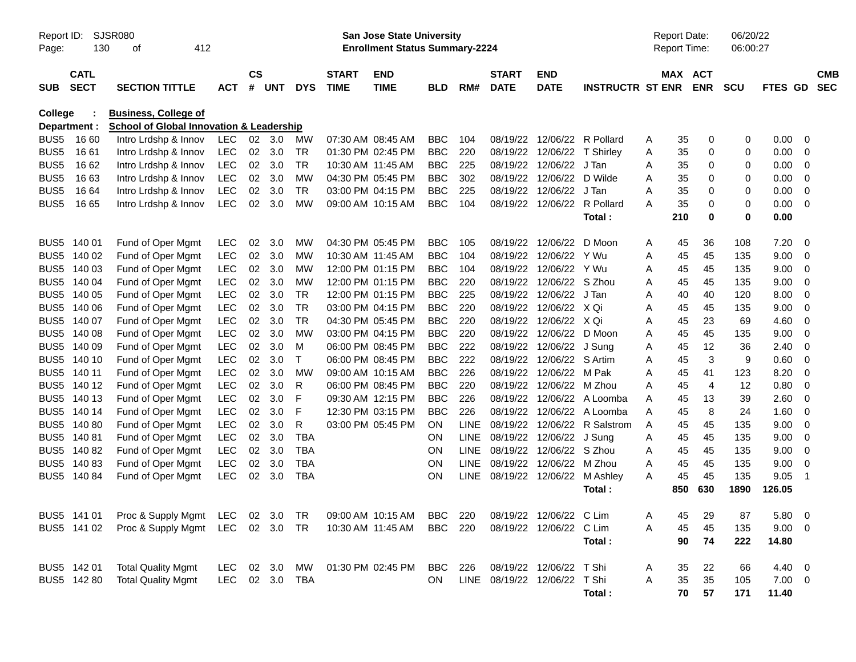| Report ID:<br>Page: | 130                        | <b>SJSR080</b><br>412<br>οf                                                        |                |                |                |              |                             | <b>San Jose State University</b><br><b>Enrollment Status Summary-2224</b> |            |             |                             |                              |                         |   | <b>Report Date:</b><br>Report Time: |                | 06/20/22<br>06:00:27 |         |                         |                          |
|---------------------|----------------------------|------------------------------------------------------------------------------------|----------------|----------------|----------------|--------------|-----------------------------|---------------------------------------------------------------------------|------------|-------------|-----------------------------|------------------------------|-------------------------|---|-------------------------------------|----------------|----------------------|---------|-------------------------|--------------------------|
| <b>SUB</b>          | <b>CATL</b><br><b>SECT</b> | <b>SECTION TITTLE</b>                                                              | <b>ACT</b>     | <b>CS</b><br># | <b>UNT</b>     | <b>DYS</b>   | <b>START</b><br><b>TIME</b> | <b>END</b><br><b>TIME</b>                                                 | <b>BLD</b> | RM#         | <b>START</b><br><b>DATE</b> | <b>END</b><br><b>DATE</b>    | <b>INSTRUCTR ST ENR</b> |   | MAX ACT                             | <b>ENR</b>     | <b>SCU</b>           | FTES GD |                         | <b>CMB</b><br><b>SEC</b> |
| <b>College</b>      | Department :               | <b>Business, College of</b><br><b>School of Global Innovation &amp; Leadership</b> |                |                |                |              |                             |                                                                           |            |             |                             |                              |                         |   |                                     |                |                      |         |                         |                          |
| BUS <sub>5</sub>    | 16 60                      | Intro Lrdshp & Innov                                                               | <b>LEC</b>     |                | $02 \quad 3.0$ | MW           | 07:30 AM 08:45 AM           |                                                                           | <b>BBC</b> | 104         | 08/19/22                    | 12/06/22                     | R Pollard               | Α | 35                                  | 0              | 0                    | 0.00    | 0                       |                          |
| BUS <sub>5</sub>    | 16 61                      | Intro Lrdshp & Innov                                                               | <b>LEC</b>     | 02             | 3.0            | <b>TR</b>    | 01:30 PM 02:45 PM           |                                                                           | <b>BBC</b> | 220         | 08/19/22                    | 12/06/22                     | T Shirley               | Α | 35                                  | 0              | 0                    | 0.00    | 0                       |                          |
| BUS <sub>5</sub>    | 16 62                      | Intro Lrdshp & Innov                                                               | <b>LEC</b>     | 02             | 3.0            | <b>TR</b>    | 10:30 AM 11:45 AM           |                                                                           | <b>BBC</b> | 225         | 08/19/22                    | 12/06/22                     | J Tan                   | Α | 35                                  | 0              | 0                    | 0.00    | 0                       |                          |
| BUS <sub>5</sub>    | 1663                       | Intro Lrdshp & Innov                                                               | <b>LEC</b>     | 02             | 3.0            | <b>MW</b>    | 04:30 PM 05:45 PM           |                                                                           | <b>BBC</b> | 302         | 08/19/22                    | 12/06/22                     | D Wilde                 | Α | 35                                  | 0              | 0                    | 0.00    | 0                       |                          |
| BUS <sub>5</sub>    | 16 64                      | Intro Lrdshp & Innov                                                               | <b>LEC</b>     | 02             | 3.0            | <b>TR</b>    | 03:00 PM 04:15 PM           |                                                                           | <b>BBC</b> | 225         | 08/19/22                    | 12/06/22                     | J Tan                   | Α | 35                                  | 0              | 0                    | 0.00    | 0                       |                          |
| BUS5                | 16 65                      | Intro Lrdshp & Innov                                                               | <b>LEC</b>     | 02             | 3.0            | <b>MW</b>    | 09:00 AM 10:15 AM           |                                                                           | <b>BBC</b> | 104         | 08/19/22                    | 12/06/22                     | R Pollard               | A | 35                                  | $\mathbf 0$    | 0                    | 0.00    | $\Omega$                |                          |
|                     |                            |                                                                                    |                |                |                |              |                             |                                                                           |            |             |                             |                              | Total:                  |   | 210                                 | $\mathbf 0$    | 0                    | 0.00    |                         |                          |
| BUS <sub>5</sub>    | 140 01                     | Fund of Oper Mgmt                                                                  | LEC            | 02             | 3.0            | <b>MW</b>    | 04:30 PM 05:45 PM           |                                                                           | <b>BBC</b> | 105         | 08/19/22                    | 12/06/22                     | D Moon                  | A | 45                                  | 36             | 108                  | 7.20    | 0                       |                          |
|                     | BUS5 140 02                | Fund of Oper Mgmt                                                                  | <b>LEC</b>     | 02             | 3.0            | <b>MW</b>    | 10:30 AM 11:45 AM           |                                                                           | <b>BBC</b> | 104         | 08/19/22                    | 12/06/22                     | Y Wu                    | Α | 45                                  | 45             | 135                  | 9.00    | 0                       |                          |
| BUS5                | 140 03                     | Fund of Oper Mgmt                                                                  | <b>LEC</b>     | 02             | 3.0            | <b>MW</b>    |                             | 12:00 PM 01:15 PM                                                         | <b>BBC</b> | 104         | 08/19/22                    | 12/06/22                     | Y Wu                    | Α | 45                                  | 45             | 135                  | 9.00    | 0                       |                          |
|                     | BUS5 140 04                | Fund of Oper Mgmt                                                                  | <b>LEC</b>     | 02             | 3.0            | <b>MW</b>    |                             | 12:00 PM 01:15 PM                                                         | <b>BBC</b> | 220         | 08/19/22                    | 12/06/22                     | S Zhou                  | Α | 45                                  | 45             | 135                  | 9.00    | 0                       |                          |
| BUS <sub>5</sub>    | 140 05                     | Fund of Oper Mgmt                                                                  | <b>LEC</b>     | 02             | 3.0            | <b>TR</b>    |                             | 12:00 PM 01:15 PM                                                         | <b>BBC</b> | 225         | 08/19/22                    | 12/06/22                     | J Tan                   | A | 40                                  | 40             | 120                  | 8.00    | 0                       |                          |
| BUS <sub>5</sub>    | 140 06                     | Fund of Oper Mgmt                                                                  | <b>LEC</b>     | 02             | 3.0            | <b>TR</b>    |                             | 03:00 PM 04:15 PM                                                         | <b>BBC</b> | 220         | 08/19/22                    | 12/06/22                     | X Qi                    | A | 45                                  | 45             | 135                  | 9.00    | 0                       |                          |
| BUS <sub>5</sub>    | 140 07                     | Fund of Oper Mgmt                                                                  | <b>LEC</b>     | 02             | 3.0            | <b>TR</b>    | 04:30 PM 05:45 PM           |                                                                           | <b>BBC</b> | 220         | 08/19/22                    | 12/06/22                     | X Qi                    | Α | 45                                  | 23             | 69                   | 4.60    | 0                       |                          |
| BUS <sub>5</sub>    | 140 08                     | Fund of Oper Mgmt                                                                  | <b>LEC</b>     | 02             | 3.0            | <b>MW</b>    | 03:00 PM 04:15 PM           |                                                                           | <b>BBC</b> | 220         | 08/19/22                    | 12/06/22                     | D Moon                  | Α | 45                                  | 45             | 135                  | 9.00    | $\mathbf 0$             |                          |
| BUS <sub>5</sub>    | 140 09                     | Fund of Oper Mgmt                                                                  | <b>LEC</b>     | 02             | 3.0            | M            | 06:00 PM 08:45 PM           |                                                                           | <b>BBC</b> | 222         | 08/19/22                    | 12/06/22                     | J Sung                  | Α | 45                                  | 12             | 36                   | 2.40    | 0                       |                          |
| BUS <sub>5</sub>    | 140 10                     | Fund of Oper Mgmt                                                                  | LEC            | 02             | 3.0            | $\mathsf{T}$ | 06:00 PM 08:45 PM           |                                                                           | <b>BBC</b> | 222         | 08/19/22                    | 12/06/22                     | S Artim                 | Α | 45                                  | $\mathbf{3}$   | 9                    | 0.60    | 0                       |                          |
| BUS <sub>5</sub>    | 140 11                     | Fund of Oper Mgmt                                                                  | <b>LEC</b>     | 02             | 3.0            | <b>MW</b>    | 09:00 AM 10:15 AM           |                                                                           | <b>BBC</b> | 226         | 08/19/22                    | 12/06/22                     | M Pak                   | Α | 45                                  | 41             | 123                  | 8.20    | 0                       |                          |
| BUS <sub>5</sub>    | 140 12                     | Fund of Oper Mgmt                                                                  | <b>LEC</b>     | 02             | 3.0            | R            | 06:00 PM 08:45 PM           |                                                                           | <b>BBC</b> | 220         | 08/19/22                    | 12/06/22                     | M Zhou                  | A | 45                                  | $\overline{4}$ | 12                   | 0.80    | 0                       |                          |
| BUS <sub>5</sub>    | 140 13                     | Fund of Oper Mgmt                                                                  | LEC            | 02             | 3.0            | F            | 09:30 AM 12:15 PM           |                                                                           | <b>BBC</b> | 226         | 08/19/22                    | 12/06/22                     | A Loomba                | A | 45                                  | 13             | 39                   | 2.60    | 0                       |                          |
|                     | BUS5 140 14                | Fund of Oper Mgmt                                                                  | <b>LEC</b>     | 02             | 3.0            | F            | 12:30 PM 03:15 PM           |                                                                           | <b>BBC</b> | 226         | 08/19/22                    | 12/06/22                     | A Loomba                | A | 45                                  | 8              | 24                   | 1.60    | 0                       |                          |
| BUS <sub>5</sub>    | 140 80                     | Fund of Oper Mgmt                                                                  | <b>LEC</b>     | 02             | 3.0            | R            | 03:00 PM 05:45 PM           |                                                                           | <b>ON</b>  | LINE        | 08/19/22                    | 12/06/22                     | R Salstrom              | A | 45                                  | 45             | 135                  | 9.00    | 0                       |                          |
|                     | BUS5 140 81                | Fund of Oper Mgmt                                                                  | <b>LEC</b>     | 02             | 3.0            | <b>TBA</b>   |                             |                                                                           | ON         | <b>LINE</b> | 08/19/22                    | 12/06/22                     | J Sung                  | Α | 45                                  | 45             | 135                  | 9.00    | 0                       |                          |
|                     | BUS5 140 82                | Fund of Oper Mgmt                                                                  | <b>LEC</b>     | 02             | 3.0            | <b>TBA</b>   |                             |                                                                           | ON         | <b>LINE</b> | 08/19/22                    | 12/06/22                     | S Zhou                  | Α | 45                                  | 45             | 135                  | 9.00    | 0                       |                          |
|                     | BUS5 140 83                | Fund of Oper Mgmt                                                                  | <b>LEC</b>     | 02             | 3.0            | <b>TBA</b>   |                             |                                                                           | ON         | <b>LINE</b> | 08/19/22                    | 12/06/22                     | M Zhou                  | Α | 45                                  | 45             | 135                  | 9.00    | 0                       |                          |
|                     | BUS5 140 84                | Fund of Oper Mgmt                                                                  | <b>LEC</b>     | 02             | 3.0            | <b>TBA</b>   |                             |                                                                           | ON         | <b>LINE</b> | 08/19/22                    | 12/06/22                     | M Ashley                | A | 45                                  | 45             | 135                  | 9.05    | $\overline{1}$          |                          |
|                     |                            |                                                                                    |                |                |                |              |                             |                                                                           |            |             |                             |                              | Total:                  |   | 850                                 | 630            | 1890                 | 126.05  |                         |                          |
|                     | BUS5 141 01                | Proc & Supply Mgmt LEC 02 3.0 TR 09:00 AM 10:15 AM BBC 220 08/19/22 12/06/22 C Lim |                |                |                |              |                             |                                                                           |            |             |                             |                              |                         | Α | 45                                  | 29             | 87                   | 5.80    | $\overline{\mathbf{0}}$ |                          |
|                     | BUS5 141 02                | Proc & Supply Mgmt LEC 02 3.0 TR                                                   |                |                |                |              | 10:30 AM 11:45 AM           |                                                                           | BBC 220    |             |                             | 08/19/22 12/06/22 C Lim      |                         | Α | 45                                  | 45             | 135                  | 9.00    | - 0                     |                          |
|                     |                            |                                                                                    |                |                |                |              |                             |                                                                           |            |             |                             |                              | Total:                  |   | 90                                  | 74             | 222                  | 14.80   |                         |                          |
|                     | BUS5 142 01                | <b>Total Quality Mgmt</b>                                                          | LEC 02 3.0     |                |                | МW           |                             | 01:30 PM 02:45 PM                                                         | BBC        | 226         |                             | 08/19/22 12/06/22            | T Shi                   | A | 35                                  | 22             | 66                   | 4.40 0  |                         |                          |
|                     | BUS5 142 80                | <b>Total Quality Mgmt</b>                                                          | LEC 02 3.0 TBA |                |                |              |                             |                                                                           | ON         |             |                             | LINE 08/19/22 12/06/22 T Shi |                         | Α | 35                                  | 35             | 105                  | 7.00 0  |                         |                          |
|                     |                            |                                                                                    |                |                |                |              |                             |                                                                           |            |             |                             |                              | Total:                  |   | 70                                  | 57             | 171                  | 11.40   |                         |                          |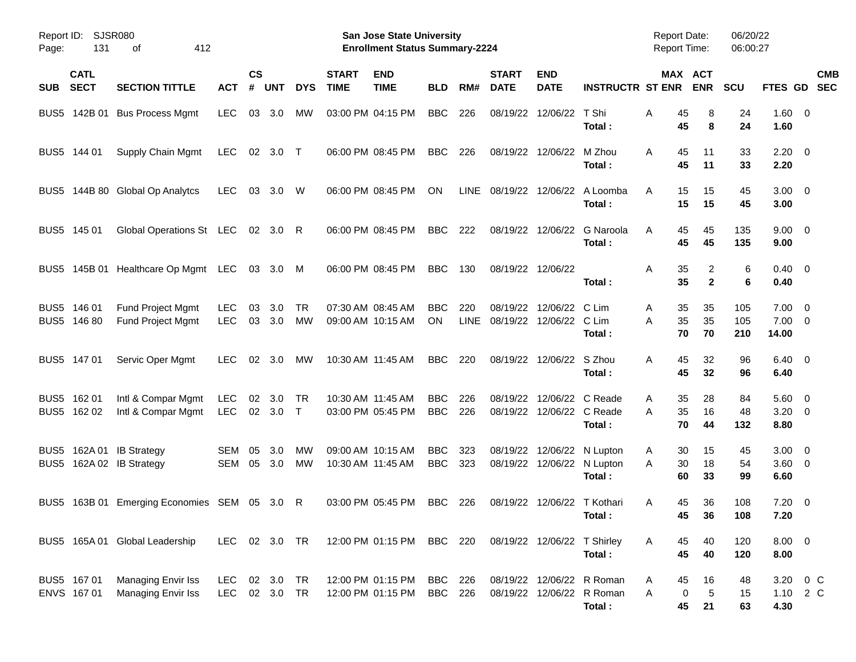| Page:            | Report ID: SJSR080<br>131  | 412<br>оf                                       |                          |                    |                        |                 |                             | San Jose State University<br><b>Enrollment Status Summary-2224</b> |                          |                    |                                     |                                               |                                                                  | <b>Report Date:</b><br><b>Report Time:</b> |                                   | 06/20/22<br>06:00:27 |                                      |                      |            |
|------------------|----------------------------|-------------------------------------------------|--------------------------|--------------------|------------------------|-----------------|-----------------------------|--------------------------------------------------------------------|--------------------------|--------------------|-------------------------------------|-----------------------------------------------|------------------------------------------------------------------|--------------------------------------------|-----------------------------------|----------------------|--------------------------------------|----------------------|------------|
| <b>SUB</b>       | <b>CATL</b><br><b>SECT</b> | <b>SECTION TITTLE</b>                           | <b>ACT</b>               | $\mathsf{cs}$<br># | <b>UNT</b>             | <b>DYS</b>      | <b>START</b><br><b>TIME</b> | <b>END</b><br><b>TIME</b>                                          | <b>BLD</b>               | RM#                | <b>START</b><br><b>DATE</b>         | <b>END</b><br><b>DATE</b>                     | <b>INSTRUCTR ST ENR</b>                                          |                                            | MAX ACT<br><b>ENR</b>             | <b>SCU</b>           | FTES GD                              | <b>SEC</b>           | <b>CMB</b> |
| BUS <sub>5</sub> | 142B 01                    | <b>Bus Process Mgmt</b>                         | <b>LEC</b>               | 03                 | 3.0                    | <b>MW</b>       |                             | 03:00 PM 04:15 PM                                                  | <b>BBC</b>               | 226                | 08/19/22                            | 12/06/22                                      | T Shi<br>Total:                                                  | Α<br>45<br>45                              | 8<br>8                            | 24<br>24             | $1.60 \t 0$<br>1.60                  |                      |            |
|                  | BUS5 144 01                | Supply Chain Mgmt                               | <b>LEC</b>               |                    | 02 3.0 T               |                 |                             | 06:00 PM 08:45 PM                                                  | <b>BBC</b>               | 226                |                                     | 08/19/22 12/06/22                             | M Zhou<br>Total:                                                 | A<br>45<br>45                              | 11<br>11                          | 33<br>33             | $2.20 \t 0$<br>2.20                  |                      |            |
| BUS <sub>5</sub> |                            | 144B 80 Global Op Analytcs                      | <b>LEC</b>               | 03                 | 3.0                    | W               |                             | 06:00 PM 08:45 PM                                                  | ΟN                       | LINE               | 08/19/22 12/06/22                   |                                               | A Loomba<br>Total:                                               | A<br>15<br>15                              | 15<br>15                          | 45<br>45             | $3.00 \ 0$<br>3.00                   |                      |            |
|                  | BUS5 145 01                | Global Operations St LEC                        |                          |                    | 02 3.0 R               |                 |                             | 06:00 PM 08:45 PM                                                  | BBC                      | 222                |                                     | 08/19/22 12/06/22                             | G Naroola<br>Total:                                              | A<br>45<br>45                              | 45<br>45                          | 135<br>135           | $9.00 \quad 0$<br>9.00               |                      |            |
|                  |                            | BUS5 145B 01 Healthcare Op Mgmt LEC             |                          |                    | 03 3.0 M               |                 |                             | 06:00 PM 08:45 PM                                                  | <b>BBC</b>               | 130                | 08/19/22 12/06/22                   |                                               | Total:                                                           | Α<br>35<br>35                              | 2<br>$\mathbf{2}$                 | 6<br>6               | $0.40 \quad 0$<br>0.40               |                      |            |
|                  | BUS5 146 01<br>BUS5 146 80 | Fund Project Mgmt<br><b>Fund Project Mgmt</b>   | <b>LEC</b><br><b>LEC</b> | 03                 | 3.0<br>03 3.0          | <b>TR</b><br>МW |                             | 07:30 AM 08:45 AM<br>09:00 AM 10:15 AM                             | <b>BBC</b><br>ON.        | 220<br><b>LINE</b> | 08/19/22<br>08/19/22 12/06/22 C Lim | 12/06/22                                      | C Lim<br>Total:                                                  | 35<br>Α<br>35<br>Α<br>70                   | 35<br>35<br>70                    | 105<br>105<br>210    | $7.00 \t 0$<br>$7.00 \t 0$<br>14.00  |                      |            |
|                  | BUS5 147 01                | Servic Oper Mgmt                                | <b>LEC</b>               |                    | $02 \quad 3.0$         | МW              |                             | 10:30 AM 11:45 AM                                                  | <b>BBC</b>               | 220                |                                     | 08/19/22 12/06/22 S Zhou                      | Total:                                                           | Α<br>45<br>45                              | 32<br>32                          | 96<br>96             | $6.40 \quad 0$<br>6.40               |                      |            |
|                  | BUS5 162 01<br>BUS5 162 02 | Intl & Compar Mgmt<br>Intl & Compar Mgmt        | <b>LEC</b><br>LEC        |                    | 02 3.0<br>02 3.0       | TR<br>$\top$    |                             | 10:30 AM 11:45 AM<br>03:00 PM 05:45 PM                             | <b>BBC</b><br><b>BBC</b> | 226<br>226         | 08/19/22                            | 12/06/22 C Reade<br>08/19/22 12/06/22 C Reade | Total:                                                           | 35<br>Α<br>35<br>Α<br>70                   | 28<br>16<br>44                    | 84<br>48<br>132      | $5.60$ 0<br>$3.20 \ 0$<br>8.80       |                      |            |
| BUS <sub>5</sub> |                            | 162A 01 IB Strategy<br>BUS5 162A 02 IB Strategy | SEM<br>SEM               | 05<br>05           | 3.0<br>3.0             | МW<br>МW        |                             | 09:00 AM 10:15 AM<br>10:30 AM 11:45 AM                             | <b>BBC</b><br><b>BBC</b> | 323<br>323         | 08/19/22                            | 08/19/22 12/06/22 N Lupton                    | 12/06/22 N Lupton<br>Total:                                      | 30<br>Α<br>Α<br>30<br>60                   | 15<br>18<br>33                    | 45<br>54<br>99       | $3.00 \quad 0$<br>$3.60 \ 0$<br>6.60 |                      |            |
|                  |                            | BUS5 163B 01 Emerging Economies SEM 05 3.0 R    |                          |                    |                        |                 |                             | 03:00 PM 05:45 PM                                                  | <b>BBC</b>               | 226                | 08/19/22                            | 12/06/22 T Kothari                            | Total:                                                           | 45<br>A                                    | 36<br>45<br>36                    | 108<br>108           | $7.20 \t 0$<br>7.20                  |                      |            |
|                  |                            | BUS5 165A 01 Global Leadership                  | LEC 02 3.0 TR            |                    |                        |                 |                             | 12:00 PM 01:15 PM BBC 220                                          |                          |                    | 08/19/22 12/06/22 T Shirley         |                                               | Total:                                                           | 45<br>A<br>45                              | 40<br>40                          | 120<br>120           | 8.00 0<br>8.00                       |                      |            |
|                  | BUS5 167 01<br>ENVS 167 01 | Managing Envir Iss<br>Managing Envir Iss        | LEC<br><b>LEC</b>        |                    | 02 3.0 TR<br>02 3.0 TR |                 |                             | 12:00 PM 01:15 PM BBC 226<br>12:00 PM 01:15 PM                     | BBC 226                  |                    |                                     |                                               | 08/19/22 12/06/22 R Roman<br>08/19/22 12/06/22 R Roman<br>Total: | 45<br>A<br>A                               | 16<br>$\sqrt{5}$<br>0<br>45<br>21 | 48<br>15<br>63       | 4.30                                 | 3.20 0 C<br>1.10 2 C |            |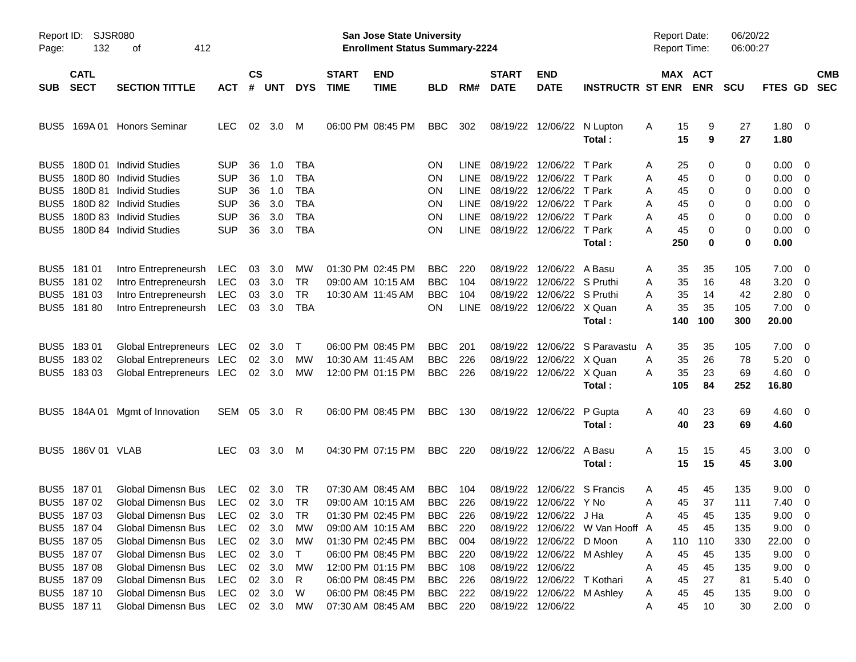| Page:            | Report ID: SJSR080<br>132<br>412<br>οf |                                  |            |                    |                |            |                             | <b>San Jose State University</b><br><b>Enrollment Status Summary-2224</b> |                |             |                               |                             |                                 | <b>Report Date:</b><br><b>Report Time:</b> |                       | 06/20/22<br>06:00:27 |                        |                          |
|------------------|----------------------------------------|----------------------------------|------------|--------------------|----------------|------------|-----------------------------|---------------------------------------------------------------------------|----------------|-------------|-------------------------------|-----------------------------|---------------------------------|--------------------------------------------|-----------------------|----------------------|------------------------|--------------------------|
| <b>SUB</b>       | <b>CATL</b><br><b>SECT</b>             | <b>SECTION TITTLE</b>            | <b>ACT</b> | $\mathsf{cs}$<br># | <b>UNT</b>     | <b>DYS</b> | <b>START</b><br><b>TIME</b> | <b>END</b><br><b>TIME</b>                                                 | <b>BLD</b>     | RM#         | <b>START</b><br><b>DATE</b>   | <b>END</b><br><b>DATE</b>   | <b>INSTRUCTR ST ENR</b>         |                                            | MAX ACT<br><b>ENR</b> | <b>SCU</b>           | FTES GD                | <b>CMB</b><br><b>SEC</b> |
| BUS5             |                                        | 169A 01 Honors Seminar           | LEC.       | 02 <sub>o</sub>    | 3.0            | M          |                             | 06:00 PM 08:45 PM                                                         | <b>BBC</b>     | 302         |                               | 08/19/22 12/06/22           | N Lupton<br>Total:              | Α<br>15<br>15                              | 9<br>9                | 27<br>27             | 1.80 0<br>1.80         |                          |
| BUS5             |                                        | 180D 01 Individ Studies          | <b>SUP</b> | 36                 | 1.0            | TBA        |                             |                                                                           | <b>ON</b>      | LINE.       |                               | 08/19/22 12/06/22           | T Park                          | 25<br>A                                    | 0                     | 0                    | $0.00 \ 0$             |                          |
| BUS5             |                                        | 180D 80 Individ Studies          | <b>SUP</b> | 36                 | 1.0            | <b>TBA</b> |                             |                                                                           | ON             | <b>LINE</b> | 08/19/22 12/06/22 T Park      |                             |                                 | 45<br>Α                                    | 0                     | 0                    | $0.00 \quad 0$         |                          |
| BUS <sub>5</sub> |                                        | 180D 81 Individ Studies          | <b>SUP</b> | 36                 | 1.0            | <b>TBA</b> |                             |                                                                           | ON             | <b>LINE</b> |                               | 08/19/22 12/06/22 T Park    |                                 | 45<br>Α                                    | 0                     | 0                    | $0.00 \t 0$            |                          |
| BUS <sub>5</sub> |                                        | 180D 82 Individ Studies          | <b>SUP</b> | 36                 | 3.0            | <b>TBA</b> |                             |                                                                           | <b>ON</b>      | <b>LINE</b> |                               | 08/19/22 12/06/22 T Park    |                                 | Α<br>45                                    | 0                     | 0                    | $0.00 \t 0$            |                          |
| BUS5             |                                        | 180D 83 Individ Studies          | <b>SUP</b> | 36                 | 3.0            | <b>TBA</b> |                             |                                                                           | ON             | <b>LINE</b> |                               | 08/19/22 12/06/22 T Park    |                                 | Α<br>45                                    | 0                     | 0                    | $0.00 \quad 0$         |                          |
| BUS5             |                                        | 180D 84 Individ Studies          | <b>SUP</b> | 36                 | 3.0            | <b>TBA</b> |                             |                                                                           | ΟN             |             | LINE 08/19/22 12/06/22 T Park |                             |                                 | А<br>45                                    | 0                     | 0                    | $0.00 \t 0$            |                          |
|                  |                                        |                                  |            |                    |                |            |                             |                                                                           |                |             |                               |                             | Total:                          | 250                                        | 0                     | 0                    | 0.00                   |                          |
|                  | BUS5 181 01                            | Intro Entrepreneursh             | LEC        | 03                 | 3.0            | <b>MW</b>  |                             | 01:30 PM 02:45 PM                                                         | <b>BBC</b>     | 220         |                               | 08/19/22 12/06/22 A Basu    |                                 | 35<br>A                                    | 35                    | 105                  | $7.00 \t 0$            |                          |
| BUS <sub>5</sub> | 181 02                                 | Intro Entrepreneursh             | LEC        | 03                 | 3.0            | TR         |                             | 09:00 AM 10:15 AM                                                         | <b>BBC</b>     | 104         |                               | 08/19/22 12/06/22 S Pruthi  |                                 | 35<br>Α                                    | 16                    | 48                   | $3.20 \ 0$             |                          |
| BUS <sub>5</sub> | 18103                                  | Intro Entrepreneursh             | LEC        | 03                 | 3.0            | <b>TR</b>  |                             | 10:30 AM 11:45 AM                                                         | <b>BBC</b>     | 104         |                               | 08/19/22 12/06/22 S Pruthi  |                                 | 35<br>Α                                    | 14                    | 42                   | $2.80 \t 0$            |                          |
|                  | BUS5 181 80                            | Intro Entrepreneursh             | LEC        | 03                 | 3.0            | <b>TBA</b> |                             |                                                                           | ON.            |             | LINE 08/19/22 12/06/22 X Quan |                             |                                 | 35<br>А                                    | 35                    | 105                  | $7.00 \t 0$            |                          |
|                  |                                        |                                  |            |                    |                |            |                             |                                                                           |                |             |                               |                             | Total:                          | 140                                        | 100                   | 300                  | 20.00                  |                          |
|                  | BUS5 183 01                            | Global Entrepreneurs LEC         |            |                    | $02 \quad 3.0$ | $\top$     |                             | 06:00 PM 08:45 PM                                                         | <b>BBC</b>     | 201         |                               |                             | 08/19/22 12/06/22 S Paravastu   | 35<br>A                                    | 35                    | 105                  | $7.00 \t 0$            |                          |
| BUS <sub>5</sub> | 18302                                  | Global Entrepreneurs LEC         |            |                    | $02 \quad 3.0$ | МW         |                             | 10:30 AM 11:45 AM                                                         | <b>BBC</b>     | 226         |                               | 08/19/22 12/06/22 X Quan    |                                 | 35<br>Α                                    | 26                    | 78                   | $5.20 \t 0$            |                          |
|                  | BUS5 183 03                            | Global Entrepreneurs LEC         |            |                    | 02 3.0         | МW         |                             | 12:00 PM 01:15 PM                                                         | <b>BBC</b>     | 226         |                               | 08/19/22 12/06/22 X Quan    |                                 | 35<br>Α                                    | 23                    | 69                   | $4.60$ 0               |                          |
|                  |                                        |                                  |            |                    |                |            |                             |                                                                           |                |             |                               |                             | Total:                          | 105                                        | 84                    | 252                  | 16.80                  |                          |
| BUS5             |                                        | 184A 01 Mgmt of Innovation       | SEM 05 3.0 |                    |                | R          |                             | 06:00 PM 08:45 PM                                                         | BBC            | 130         |                               | 08/19/22 12/06/22 P Gupta   | Total:                          | A<br>40<br>40                              | 23<br>23              | 69<br>69             | $4.60 \ 0$<br>4.60     |                          |
|                  | BUS5 186V 01 VLAB                      |                                  | LEC        | 03                 | 3.0            | M          |                             | 04:30 PM 07:15 PM                                                         | BBC            | 220         |                               | 08/19/22 12/06/22 A Basu    | Total:                          | A<br>15<br>15                              | 15<br>15              | 45<br>45             | $3.00 \quad 0$<br>3.00 |                          |
| BUS5             | 187 01                                 | <b>Global Dimensn Bus</b>        | <b>LEC</b> | 02                 | - 3.0          | TR         |                             | 07:30 AM 08:45 AM                                                         | <b>BBC</b>     | 104         |                               | 08/19/22 12/06/22 S Francis |                                 | 45<br>A                                    | 45                    | 135                  | $9.00 \quad 0$         |                          |
|                  | BUS5 187 02                            | Global Dimensn Bus LEC           |            |                    | $02 \quad 3.0$ | TR         |                             | 09:00 AM 10:15 AM                                                         | <b>BBC</b>     | 226         |                               | 08/19/22 12/06/22 Y No      |                                 | 45<br>A                                    | 37                    | 111                  | $7.40 \quad 0$         |                          |
|                  | BUS5 187 03                            | Global Dimensn Bus LEC 02 3.0 TR |            |                    |                |            |                             | 01:30 PM 02:45 PM                                                         | <b>BBC</b>     | 226         |                               | 08/19/22 12/06/22 J Ha      |                                 | Α                                          | 45 45                 | 135                  | 9.00 0                 |                          |
|                  | BUS5 187 04                            | Global Dimensn Bus               | LEC        |                    | 02 3.0         | МW         |                             | 09:00 AM 10:15 AM                                                         | BBC            | 220         |                               |                             | 08/19/22 12/06/22 W Van Hooff A | 45                                         | 45                    | 135                  | $9.00 \t 0$            |                          |
|                  | BUS5 187 05                            | Global Dimensn Bus               | LEC        |                    | 02 3.0         | МW         |                             | 01:30 PM 02:45 PM                                                         | BBC            | - 004       |                               | 08/19/22 12/06/22 D Moon    |                                 | 110<br>A                                   | 110                   | 330                  | 22.00 0                |                          |
|                  | BUS5 187 07                            | Global Dimensn Bus               | LEC        |                    | 02 3.0         | $\top$     |                             | 06:00 PM 08:45 PM                                                         | BBC            | -220        |                               | 08/19/22 12/06/22 M Ashley  |                                 | 45<br>A                                    | 45                    | 135                  | $9.00 \t 0$            |                          |
|                  | BUS5 187 08                            | Global Dimensn Bus               | LEC        |                    | 02 3.0         | МW         |                             | 12:00 PM 01:15 PM                                                         | <b>BBC</b> 108 |             |                               | 08/19/22 12/06/22           |                                 | 45<br>Α                                    | 45                    | 135                  | $9.00 \t 0$            |                          |
|                  | BUS5 187 09                            | Global Dimensn Bus               | LEC        |                    | 02 3.0         | R          |                             | 06:00 PM 08:45 PM                                                         | BBC            | - 226       |                               | 08/19/22 12/06/22 T Kothari |                                 | 45<br>Α                                    | 27                    | 81                   | $5.40 \ 0$             |                          |
|                  | BUS5 187 10                            | <b>Global Dimensn Bus</b>        | LEC        |                    | 02 3.0         | W          |                             | 06:00 PM 08:45 PM                                                         | BBC            | 222         |                               | 08/19/22 12/06/22 M Ashley  |                                 | 45<br>A                                    | 45                    | 135                  | $9.00 \t 0$            |                          |
|                  | BUS5 187 11                            | Global Dimensn Bus               | LEC 02 3.0 |                    |                | MW         |                             | 07:30 AM 08:45 AM                                                         | <b>BBC</b> 220 |             |                               | 08/19/22 12/06/22           |                                 | 45<br>A                                    | 10                    | 30                   | $2.00 \t 0$            |                          |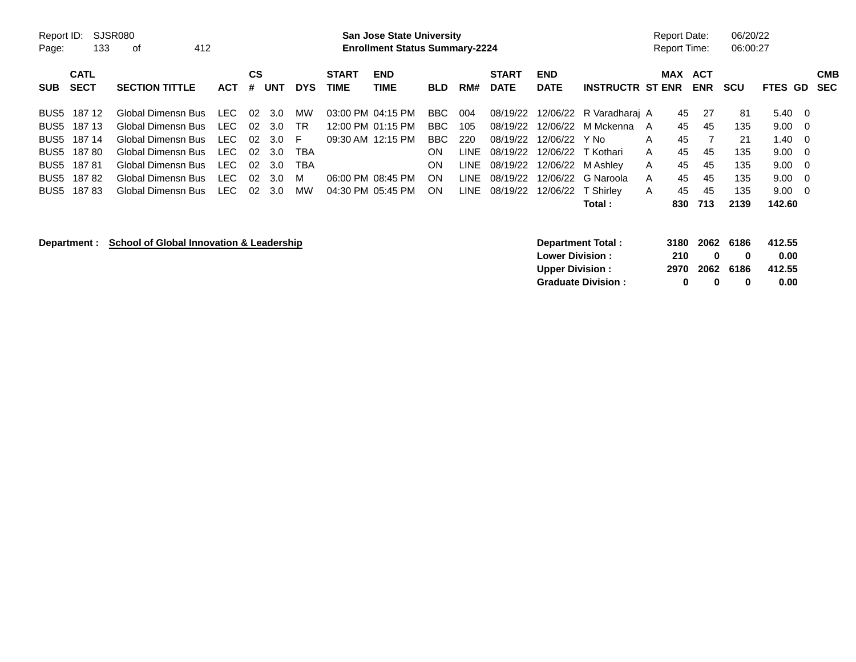| Report ID:<br>Page: | SJSR080<br>133<br>412<br>οf<br><b>CATL</b><br>СS |                       |            |     |                | <b>San Jose State University</b><br><b>Enrollment Status Summary-2224</b> |                             |                           |            |      |                             | <b>Report Date:</b><br>Report Time: |                         | 06/20/22<br>06:00:27 |                       |            |                |                |                   |
|---------------------|--------------------------------------------------|-----------------------|------------|-----|----------------|---------------------------------------------------------------------------|-----------------------------|---------------------------|------------|------|-----------------------------|-------------------------------------|-------------------------|----------------------|-----------------------|------------|----------------|----------------|-------------------|
| <b>SUB</b>          | SECT                                             | <b>SECTION TITTLE</b> | <b>ACT</b> | #   | UNT            | <b>DYS</b>                                                                | <b>START</b><br><b>TIME</b> | <b>END</b><br><b>TIME</b> | <b>BLD</b> | RM#  | <b>START</b><br><b>DATE</b> | <b>END</b><br><b>DATE</b>           | <b>INSTRUCTR ST ENR</b> |                      | MAX ACT<br><b>ENR</b> | <b>SCU</b> | <b>FTES GD</b> |                | <b>CMB</b><br>SEC |
| BUS5                | 187 12                                           | Global Dimensn Bus    | LEC        | 02. | 3.0            | MW                                                                        | 03:00 PM 04:15 PM           |                           | BBC        | 004  | 08/19/22                    |                                     | 12/06/22 R Varadharai A | 45                   | 27                    | -81        | $5.40 \quad 0$ |                |                   |
| BUS5                | 187 13                                           | Global Dimensn Bus    | LEC        |     | $02 \quad 3.0$ | .TR                                                                       | 12:00 PM 01:15 PM           |                           | BBC.       | 105  | 08/19/22                    |                                     | 12/06/22 M Mckenna A    | 45                   | 45                    | 135        | $9.00 \quad 0$ |                |                   |
| BUS5                | 187 14                                           | Global Dimensn Bus    | <b>LEC</b> | -02 | 3.0            | F.                                                                        | 09:30 AM 12:15 PM           |                           | BBC.       | 220  | 08/19/22                    | 12/06/22 Y No                       |                         | 45<br>A              |                       | 21         | 1.40           | $\overline{0}$ |                   |
|                     | BUS5 18780                                       | Global Dimensn Bus    | LEC        | 02. | 3.0            | TBA                                                                       |                             |                           | ON         | LINE | 08/19/22                    |                                     | 12/06/22 T Kothari      | 45<br>A              | 45                    | 135        | $9.00 \quad 0$ |                |                   |
| BUS5                | 18781                                            | Global Dimensn Bus    | LEC        | 02  | 3.0            | TBA                                                                       |                             |                           | ON         | LINE | 08/19/22                    |                                     | 12/06/22 M Ashley       | 45<br>$\mathsf{A}$   | 45                    | 135        | 9.00           | $\overline{0}$ |                   |
|                     | BUS5 18782                                       | Global Dimensn Bus    | LEC        | -02 | -3.0           | м                                                                         | 06:00 PM 08:45 PM           |                           | 0N         | LINE | 08/19/22                    |                                     | 12/06/22 G Naroola      | 45<br>A              | 45                    | 135        | $9.00 \quad 0$ |                |                   |
| BUS5                | 18783                                            | Global Dimensn Bus    | LEC        | 02  | 3.0            | MW                                                                        |                             | 04:30 PM 05:45 PM         | ON         |      | LINE 08/19/22               |                                     | 12/06/22 T Shirley      | 45<br>A              | 45                    | 135        | $9.00 \quad 0$ |                |                   |
|                     |                                                  |                       |            |     |                |                                                                           |                             |                           |            |      |                             |                                     | Total :                 | 830                  | 713                   | 2139       | 142.60         |                |                   |

**Department : School of Global Innovation & Leadership** 

|     |              |              | 412.55                           |
|-----|--------------|--------------|----------------------------------|
| 210 | $\mathbf{u}$ | $\mathbf{u}$ | 0.00                             |
|     |              |              | 412.55                           |
| o   | n            | o            | 0.00                             |
|     |              |              | 3180 2062 6186<br>2970 2062 6186 |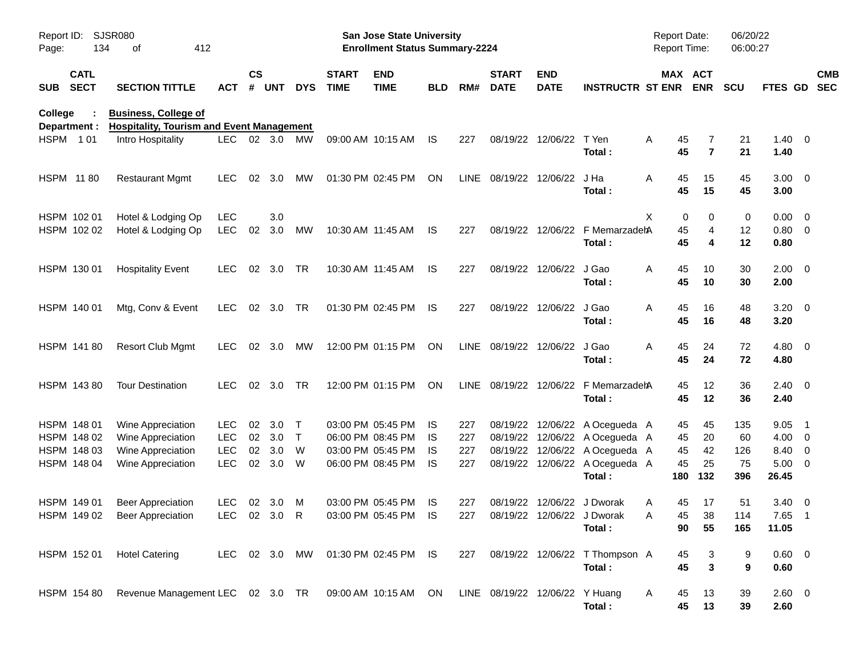| Report ID:<br>Page: | 134                        | SJSR080<br>412<br>οf                                                            |                          |                    |                |                        |                             | <b>San Jose State University</b><br><b>Enrollment Status Summary-2224</b> |           |            |                                |                           |                                                                        | Report Date:<br>Report Time: |                       | 06/20/22<br>06:00:27 |                                 |                                                     |
|---------------------|----------------------------|---------------------------------------------------------------------------------|--------------------------|--------------------|----------------|------------------------|-----------------------------|---------------------------------------------------------------------------|-----------|------------|--------------------------------|---------------------------|------------------------------------------------------------------------|------------------------------|-----------------------|----------------------|---------------------------------|-----------------------------------------------------|
| <b>SUB</b>          | <b>CATL</b><br><b>SECT</b> | <b>SECTION TITTLE</b>                                                           | <b>ACT</b>               | $\mathsf{cs}$<br># | <b>UNT</b>     | <b>DYS</b>             | <b>START</b><br><b>TIME</b> | <b>END</b><br><b>TIME</b>                                                 | BLD       | RM#        | <b>START</b><br><b>DATE</b>    | <b>END</b><br><b>DATE</b> | <b>INSTRUCTR ST ENR</b>                                                |                              | MAX ACT<br><b>ENR</b> | <b>SCU</b>           | FTES GD                         | <b>CMB</b><br><b>SEC</b>                            |
| College             | Department :               | <b>Business, College of</b><br><b>Hospitality, Tourism and Event Management</b> |                          |                    |                |                        |                             |                                                                           |           |            |                                |                           |                                                                        |                              |                       |                      |                                 |                                                     |
|                     | HSPM 101                   | Intro Hospitality                                                               | <b>LEC</b>               |                    | 02 3.0         | МW                     |                             | 09:00 AM 10:15 AM                                                         | IS.       | 227        | 08/19/22                       | 12/06/22                  | T Yen<br>Total:                                                        | Α<br>45<br>45                | 7<br>$\overline{7}$   | 21<br>21             | $1.40 \ 0$<br>1.40              |                                                     |
|                     | HSPM 1180                  | <b>Restaurant Mgmt</b>                                                          | <b>LEC</b>               | 02                 | 3.0            | МW                     |                             | 01:30 PM 02:45 PM                                                         | ON        | LINE       |                                | 08/19/22 12/06/22         | J Ha<br>Total:                                                         | Α<br>45<br>45                | 15<br>15              | 45<br>45             | $3.00 \ 0$<br>3.00              |                                                     |
|                     | HSPM 102 01<br>HSPM 102 02 | Hotel & Lodging Op<br>Hotel & Lodging Op                                        | <b>LEC</b><br><b>LEC</b> | 02                 | 3.0<br>3.0     | <b>MW</b>              |                             | 10:30 AM 11:45 AM                                                         | IS.       | 227        | 08/19/22                       | 12/06/22                  | F MemarzadehA<br>Total:                                                | Χ<br>0<br>45<br>45           | 0<br>4<br>4           | 0<br>12<br>12        | $0.00 \t 0$<br>0.80 0<br>0.80   |                                                     |
|                     | HSPM 130 01                | <b>Hospitality Event</b>                                                        | <b>LEC</b>               |                    | 02 3.0         | TR                     |                             | 10:30 AM 11:45 AM                                                         | IS.       | 227        | 08/19/22                       | 12/06/22                  | J Gao<br>Total:                                                        | 45<br>Α<br>45                | 10<br>10              | 30<br>30             | $2.00 \t 0$<br>2.00             |                                                     |
|                     | HSPM 140 01                | Mtg, Conv & Event                                                               | <b>LEC</b>               |                    | 02 3.0         | TR                     |                             | 01:30 PM 02:45 PM                                                         | IS.       | 227        | 08/19/22                       | 12/06/22                  | J Gao<br>Total:                                                        | Α<br>45<br>45                | 16<br>16              | 48<br>48             | $3.20 \ 0$<br>3.20              |                                                     |
|                     | HSPM 141 80                | <b>Resort Club Mgmt</b>                                                         | LEC.                     |                    | 02 3.0         | МW                     |                             | 12:00 PM 01:15 PM                                                         | ON        | LINE       | 08/19/22                       | 12/06/22                  | J Gao<br>Total:                                                        | Α<br>45<br>45                | 24<br>24              | 72<br>72             | $4.80$ 0<br>4.80                |                                                     |
|                     | HSPM 143 80                | <b>Tour Destination</b>                                                         | <b>LEC</b>               |                    | 02 3.0         | <b>TR</b>              |                             | 12:00 PM 01:15 PM                                                         | <b>ON</b> | LINE       | 08/19/22                       |                           | 12/06/22 F MemarzadehA<br>Total:                                       | 45<br>45                     | 12<br>12              | 36<br>36             | $2.40 \ 0$<br>2.40              |                                                     |
|                     | HSPM 148 01<br>HSPM 148 02 | Wine Appreciation<br>Wine Appreciation                                          | <b>LEC</b><br><b>LEC</b> | 02<br>02           | 3.0<br>3.0     | $\top$<br>$\mathsf{T}$ |                             | 03:00 PM 05:45 PM<br>06:00 PM 08:45 PM                                    | IS.<br>IS | 227<br>227 | 08/19/22<br>08/19/22           |                           | 12/06/22 A Ocegueda A<br>12/06/22 A Ocegueda A                         | 45<br>45                     | 45<br>20              | 135<br>60            | 9.05<br>4.00                    | - 1<br>$\overline{\phantom{0}}$                     |
|                     | HSPM 148 03<br>HSPM 148 04 | Wine Appreciation<br>Wine Appreciation                                          | <b>LEC</b><br><b>LEC</b> | 02<br>02           | 3.0<br>3.0     | W<br>W                 |                             | 03:00 PM 05:45 PM<br>06:00 PM 08:45 PM                                    | IS<br>IS  | 227<br>227 | 08/19/22                       |                           | 12/06/22 A Ocegueda A<br>08/19/22 12/06/22 A Ocegueda A<br>Total:      | 45<br>45<br>180              | 42<br>25<br>132       | 126<br>75<br>396     | 8.40<br>5.00<br>26.45           | $\overline{\mathbf{0}}$<br>$\overline{\phantom{0}}$ |
|                     | HSPM 149 01                | <b>Beer Appreciation</b><br>HSPM 149 02 Beer Appreciation                       | LEC.<br>LEC 02 3.0 R     |                    | $02 \quad 3.0$ | M                      |                             | 03:00 PM 05:45 PM<br>03:00 PM 05:45 PM IS                                 | IS        | 227        |                                |                           | 08/19/22 12/06/22 J Dworak<br>227 08/19/22 12/06/22 J Dworak<br>Total: | 45<br>A<br>45<br>Α<br>90     | 17<br>$38\,$<br>55    | 51<br>114<br>165     | $3.40 \ 0$<br>$7.65$ 1<br>11.05 |                                                     |
|                     | HSPM 152 01                | <b>Hotel Catering</b>                                                           | LEC 02 3.0 MW            |                    |                |                        |                             | 01:30 PM 02:45 PM IS                                                      |           | 227        |                                |                           | 08/19/22 12/06/22 T Thompson A<br>Total:                               | 45<br>45                     | 3<br>$\mathbf 3$      | 9<br>9               | 0.60 0<br>0.60                  |                                                     |
|                     | HSPM 154 80                | Revenue Management LEC 02 3.0 TR 09:00 AM 10:15 AM ON                           |                          |                    |                |                        |                             |                                                                           |           |            | LINE 08/19/22 12/06/22 Y Huang |                           | Total:                                                                 | 45<br>A<br>45                | 13<br>13              | 39<br>39             | 2.60 0<br>2.60                  |                                                     |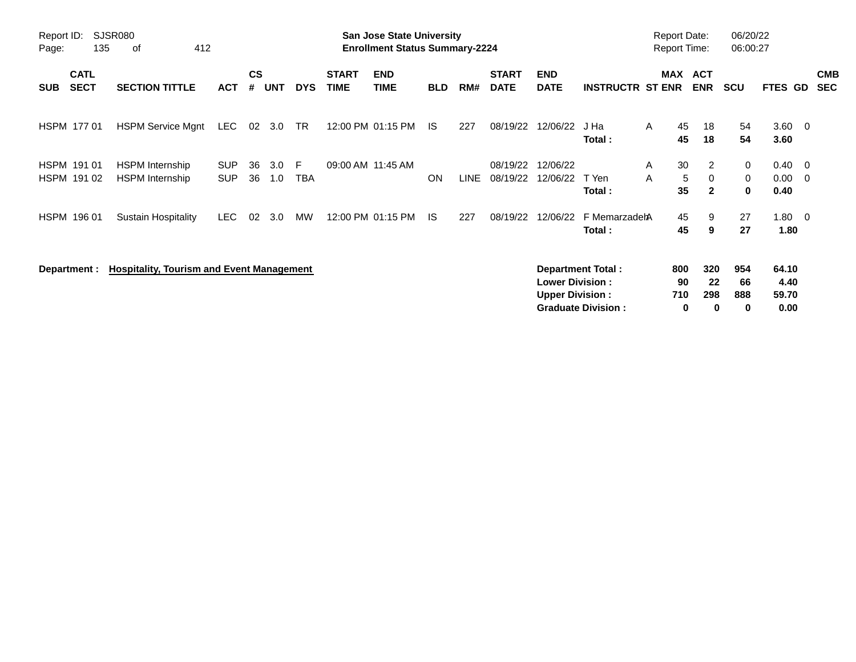| Report ID:<br>Page:        | <b>SJSR080</b><br>412<br>135<br>0f<br><b>CATL</b> |                                                  |                          |                    |            |            |                             | <b>San Jose State University</b><br><b>Enrollment Status Summary-2224</b> |            |             |                             |                                                  |                                                       | <b>Report Date:</b><br><b>Report Time:</b> |                              | 06/20/22<br>06:00:27  |                                          |                          |
|----------------------------|---------------------------------------------------|--------------------------------------------------|--------------------------|--------------------|------------|------------|-----------------------------|---------------------------------------------------------------------------|------------|-------------|-----------------------------|--------------------------------------------------|-------------------------------------------------------|--------------------------------------------|------------------------------|-----------------------|------------------------------------------|--------------------------|
| <b>SUB</b>                 | <b>SECT</b>                                       | <b>SECTION TITTLE</b>                            | <b>ACT</b>               | $\mathsf{cs}$<br># | <b>UNT</b> | <b>DYS</b> | <b>START</b><br><b>TIME</b> | <b>END</b><br><b>TIME</b>                                                 | <b>BLD</b> | RM#         | <b>START</b><br><b>DATE</b> | <b>END</b><br><b>DATE</b>                        | <b>INSTRUCTR ST ENR</b>                               |                                            | <b>MAX ACT</b><br><b>ENR</b> | <b>SCU</b>            | FTES GD                                  | <b>CMB</b><br><b>SEC</b> |
| HSPM 177 01                |                                                   | <b>HSPM Service Mgnt</b>                         | <b>LEC</b>               | 02                 | 3.0        | TR         |                             | 12:00 PM 01:15 PM                                                         | IS         | 227         | 08/19/22                    | 12/06/22                                         | J Ha<br>Total:                                        | 45<br>Α<br>45                              | 18<br>18                     | 54<br>54              | $3.60 \quad 0$<br>3.60                   |                          |
| HSPM 191 01<br>HSPM 191 02 |                                                   | <b>HSPM</b> Internship<br><b>HSPM</b> Internship | <b>SUP</b><br><b>SUP</b> | 36<br>36           | 3.0<br>1.0 | F.<br>TBA  |                             | 09:00 AM 11:45 AM                                                         | <b>ON</b>  | <b>LINE</b> | 08/19/22<br>08/19/22        | 12/06/22<br>12/06/22                             | T Yen<br>Total:                                       | 30<br>A<br>5<br>A<br>35                    | 2<br>0<br>$\mathbf{2}$       | 0<br>0<br>$\mathbf 0$ | $0.40 \quad 0$<br>$0.00 \quad 0$<br>0.40 |                          |
| HSPM 196 01                |                                                   | <b>Sustain Hospitality</b>                       | LEC.                     | 02                 | 3.0        | MW         |                             | 12:00 PM 01:15 PM                                                         | IS.        | 227         | 08/19/22                    | 12/06/22                                         | F MemarzadehA<br>Total:                               | 45<br>45                                   | 9<br>9                       | 27<br>27              | $1.80 \t 0$<br>1.80                      |                          |
| Department :               |                                                   | <b>Hospitality, Tourism and Event Management</b> |                          |                    |            |            |                             |                                                                           |            |             |                             | <b>Lower Division:</b><br><b>Upper Division:</b> | <b>Department Total:</b><br><b>Graduate Division:</b> | 800<br>90<br>710<br>0                      | 320<br>22<br>298<br>0        | 954<br>66<br>888<br>0 | 64.10<br>4.40<br>59.70<br>0.00           |                          |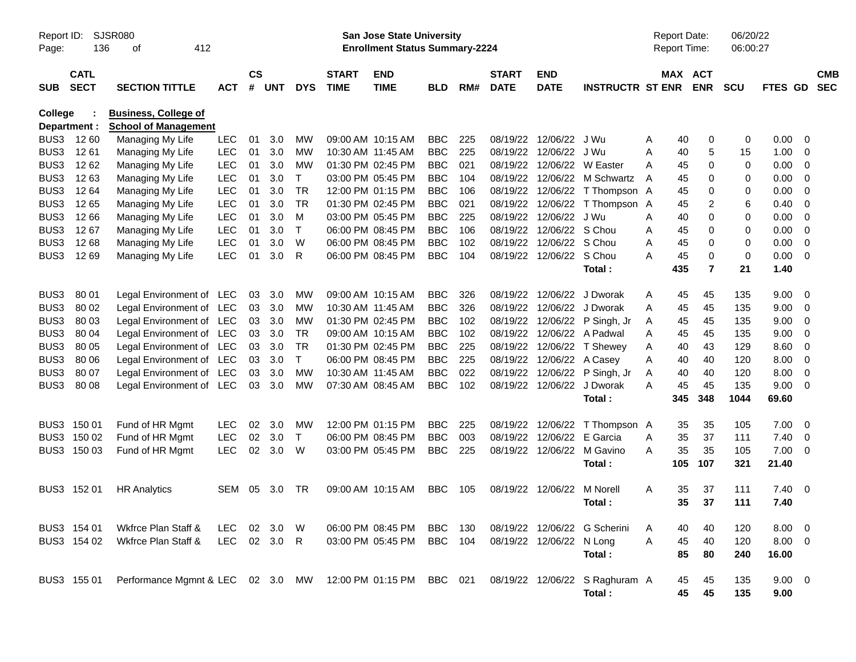| Page:            | SJSR080<br>Report ID:<br>136<br>412<br>оf |                                                             |              |                    |          |              |                             | <b>San Jose State University</b><br><b>Enrollment Status Summary-2224</b> |                |     |                             |                           |                                | <b>Report Date:</b><br>Report Time: |                              | 06/20/22<br>06:00:27 |                |                         |                          |
|------------------|-------------------------------------------|-------------------------------------------------------------|--------------|--------------------|----------|--------------|-----------------------------|---------------------------------------------------------------------------|----------------|-----|-----------------------------|---------------------------|--------------------------------|-------------------------------------|------------------------------|----------------------|----------------|-------------------------|--------------------------|
| <b>SUB</b>       | <b>CATL</b><br><b>SECT</b>                | <b>SECTION TITTLE</b>                                       | <b>ACT</b>   | $\mathsf{cs}$<br># | UNT      | <b>DYS</b>   | <b>START</b><br><b>TIME</b> | <b>END</b><br><b>TIME</b>                                                 | <b>BLD</b>     | RM# | <b>START</b><br><b>DATE</b> | <b>END</b><br><b>DATE</b> | <b>INSTRUCTR ST ENR</b>        |                                     | <b>MAX ACT</b><br><b>ENR</b> | <b>SCU</b>           | <b>FTES GD</b> |                         | <b>CMB</b><br><b>SEC</b> |
| <b>College</b>   | Department :                              | <b>Business, College of</b><br><b>School of Management</b>  |              |                    |          |              |                             |                                                                           |                |     |                             |                           |                                |                                     |                              |                      |                |                         |                          |
| BUS3             | 12 60                                     | Managing My Life                                            | <b>LEC</b>   | 01                 | 3.0      | MW           |                             | 09:00 AM 10:15 AM                                                         | <b>BBC</b>     | 225 | 08/19/22                    | 12/06/22                  | J Wu                           | Α                                   | 40<br>0                      | 0                    | 0.00           | 0                       |                          |
| BUS3             | 1261                                      | Managing My Life                                            | <b>LEC</b>   | 01                 | 3.0      | <b>MW</b>    |                             | 10:30 AM 11:45 AM                                                         | <b>BBC</b>     | 225 | 08/19/22                    | 12/06/22 J Wu             |                                | A                                   | 40<br>5                      | 15                   | 1.00           | 0                       |                          |
| BUS <sub>3</sub> | 12 62                                     | Managing My Life                                            | <b>LEC</b>   | 01                 | 3.0      | <b>MW</b>    |                             | 01:30 PM 02:45 PM                                                         | <b>BBC</b>     | 021 | 08/19/22                    |                           | 12/06/22 W Easter              | A                                   | 45<br>0                      | 0                    | 0.00           | 0                       |                          |
| BUS3             | 1263                                      | Managing My Life                                            | <b>LEC</b>   | 01                 | 3.0      | $\mathsf{T}$ |                             | 03:00 PM 05:45 PM                                                         | <b>BBC</b>     | 104 | 08/19/22                    |                           | 12/06/22 M Schwartz            | A                                   | 45<br>0                      | 0                    | 0.00           | 0                       |                          |
| BUS3             | 12 64                                     | Managing My Life                                            | <b>LEC</b>   | 01                 | 3.0      | <b>TR</b>    |                             | 12:00 PM 01:15 PM                                                         | <b>BBC</b>     | 106 | 08/19/22                    |                           | 12/06/22 T Thompson A          |                                     | 45<br>0                      | 0                    | 0.00           | 0                       |                          |
| BUS <sub>3</sub> | 1265                                      | Managing My Life                                            | <b>LEC</b>   | 01                 | 3.0      | <b>TR</b>    |                             | 01:30 PM 02:45 PM                                                         | <b>BBC</b>     | 021 | 08/19/22                    |                           | 12/06/22 T Thompson            | A                                   | 45<br>2                      | 6                    | 0.40           | 0                       |                          |
| BUS3             | 12 66                                     | Managing My Life                                            | <b>LEC</b>   | 01                 | 3.0      | м            |                             | 03:00 PM 05:45 PM                                                         | <b>BBC</b>     | 225 | 08/19/22                    | 12/06/22 J Wu             |                                | A                                   | 0<br>40                      | 0                    | 0.00           | 0                       |                          |
| BUS3             | 12 67                                     | Managing My Life                                            | <b>LEC</b>   | 01                 | 3.0      | $\top$       |                             | 06:00 PM 08:45 PM                                                         | <b>BBC</b>     | 106 | 08/19/22                    | 12/06/22 S Chou           |                                | A                                   | 45<br>0                      | 0                    | 0.00           | 0                       |                          |
| BUS3             | 1268                                      | Managing My Life                                            | <b>LEC</b>   | 01                 | 3.0      | W            |                             | 06:00 PM 08:45 PM                                                         | <b>BBC</b>     | 102 | 08/19/22                    | 12/06/22 S Chou           |                                | A                                   | 45<br>0                      | 0                    | 0.00           | 0                       |                          |
| BUS3             | 12 69                                     | Managing My Life                                            | <b>LEC</b>   | 01                 | 3.0      | R            |                             | 06:00 PM 08:45 PM                                                         | <b>BBC</b>     | 104 |                             | 08/19/22 12/06/22 S Chou  |                                | А                                   | 45<br>0                      | 0                    | 0.00           | 0                       |                          |
|                  |                                           |                                                             |              |                    |          |              |                             |                                                                           |                |     |                             |                           | Total:                         | 435                                 | $\overline{7}$               | 21                   | 1.40           |                         |                          |
|                  |                                           |                                                             |              |                    |          |              |                             |                                                                           |                |     |                             |                           |                                |                                     |                              |                      |                |                         |                          |
| BUS3             | 80 01                                     | Legal Environment of LEC                                    |              | 03                 | 3.0      | MW           |                             | 09:00 AM 10:15 AM                                                         | <b>BBC</b>     | 326 |                             |                           | 08/19/22 12/06/22 J Dworak     | A                                   | 45<br>45                     | 135                  | 9.00           | $\overline{0}$          |                          |
| BUS3             | 80 02                                     | Legal Environment of LEC                                    |              | 03                 | 3.0      | <b>MW</b>    |                             | 10:30 AM 11:45 AM                                                         | <b>BBC</b>     | 326 | 08/19/22                    |                           | 12/06/22 J Dworak              | 45<br>A                             | 45                           | 135                  | 9.00           | 0                       |                          |
| BUS3             | 80 03                                     | Legal Environment of LEC                                    |              | 03                 | 3.0      | <b>MW</b>    |                             | 01:30 PM 02:45 PM                                                         | <b>BBC</b>     | 102 | 08/19/22                    |                           | 12/06/22 P Singh, Jr           | 45<br>A                             | 45                           | 135                  | 9.00           | 0                       |                          |
| BUS <sub>3</sub> | 80 04                                     | Legal Environment of LEC                                    |              | 03                 | 3.0      | <b>TR</b>    |                             | 09:00 AM 10:15 AM                                                         | <b>BBC</b>     | 102 |                             |                           | 08/19/22 12/06/22 A Padwal     | 45<br>A                             | 45                           | 135                  | 9.00           | 0                       |                          |
| BUS3             | 80 05                                     | Legal Environment of LEC                                    |              | 03                 | 3.0      | <b>TR</b>    |                             | 01:30 PM 02:45 PM                                                         | <b>BBC</b>     | 225 | 08/19/22                    |                           | 12/06/22 T Shewey              | Α                                   | 43<br>40                     | 129                  | 8.60           | 0                       |                          |
| BUS3             | 80 06                                     | Legal Environment of LEC                                    |              | 03                 | 3.0      | $\mathsf{T}$ |                             | 06:00 PM 08:45 PM                                                         | <b>BBC</b>     | 225 | 08/19/22                    | 12/06/22 A Casey          |                                | A                                   | 40<br>40                     | 120                  | 8.00           | 0                       |                          |
| BUS3             | 80 07                                     | Legal Environment of LEC                                    |              | 03                 | 3.0      | <b>MW</b>    |                             | 10:30 AM 11:45 AM                                                         | <b>BBC</b>     | 022 |                             |                           | 08/19/22 12/06/22 P Singh, Jr  | A                                   | 40<br>40                     | 120                  | 8.00           | 0                       |                          |
| BUS3             | 80 08                                     | Legal Environment of LEC                                    |              | 03                 | 3.0      | <b>MW</b>    |                             | 07:30 AM 08:45 AM                                                         | <b>BBC</b>     | 102 |                             |                           | 08/19/22 12/06/22 J Dworak     | A                                   | 45<br>45                     | 135                  | 9.00           | 0                       |                          |
|                  |                                           |                                                             |              |                    |          |              |                             |                                                                           |                |     |                             |                           | Total:                         | 345                                 | 348                          | 1044                 | 69.60          |                         |                          |
|                  | BUS3 150 01                               | Fund of HR Mgmt                                             | <b>LEC</b>   | 02                 | 3.0      | MW           |                             | 12:00 PM 01:15 PM                                                         | <b>BBC</b>     | 225 |                             | 08/19/22 12/06/22         | T Thompson A                   |                                     | 35<br>35                     | 105                  | 7.00           | $\overline{\mathbf{0}}$ |                          |
|                  | BUS3 150 02                               | Fund of HR Mgmt                                             | <b>LEC</b>   | 02                 | 3.0      | $\mathsf{T}$ |                             | 06:00 PM 08:45 PM                                                         | <b>BBC</b>     | 003 | 08/19/22                    | 12/06/22                  | E Garcia                       | A                                   | 35<br>37                     | 111                  | 7.40           | 0                       |                          |
|                  | BUS3 150 03                               | Fund of HR Mgmt                                             | <b>LEC</b>   | 02                 | 3.0      | W            |                             | 03:00 PM 05:45 PM                                                         | <b>BBC</b>     | 225 |                             | 08/19/22 12/06/22         | M Gavino                       | A                                   | 35<br>35                     | 105                  | 7.00           | - 0                     |                          |
|                  |                                           |                                                             |              |                    |          |              |                             |                                                                           |                |     |                             |                           | Total:                         | 105                                 | 107                          | 321                  | 21.40          |                         |                          |
|                  | BUS3 152 01                               | <b>HR Analytics</b>                                         | <b>SEM</b>   | 05                 | 3.0      | TR           |                             | 09:00 AM 10:15 AM                                                         | <b>BBC</b>     | 105 |                             | 08/19/22 12/06/22         | M Norell                       | A                                   | 35<br>37                     | 111                  | $7.40 \quad 0$ |                         |                          |
|                  |                                           |                                                             |              |                    |          |              |                             |                                                                           |                |     |                             |                           | Total :                        |                                     | 35<br>37                     | 111                  | 7.40           |                         |                          |
|                  | BUS3 154 01                               | Wkfrce Plan Staff &                                         | LEC.         |                    | 02 3.0 W |              |                             | 06:00 PM 08:45 PM                                                         | BBC            | 130 |                             |                           | 08/19/22 12/06/22 G Scherini   | A                                   | 40<br>40                     | 120                  | $8.00 \t 0$    |                         |                          |
|                  | BUS3 154 02                               | Wkfrce Plan Staff &                                         | LEC 02 3.0 R |                    |          |              |                             | 03:00 PM 05:45 PM                                                         | <b>BBC</b> 104 |     |                             | 08/19/22 12/06/22 N Long  |                                | Α                                   | 45<br>40                     | 120                  | $8.00 \t 0$    |                         |                          |
|                  |                                           |                                                             |              |                    |          |              |                             |                                                                           |                |     |                             |                           | Total:                         |                                     | 85<br>80                     | 240                  | 16.00          |                         |                          |
|                  | BUS3 155 01                               | Performance Mgmnt & LEC 02 3.0 MW 12:00 PM 01:15 PM BBC 021 |              |                    |          |              |                             |                                                                           |                |     |                             |                           | 08/19/22 12/06/22 S Raghuram A |                                     | 45<br>45                     | 135                  | $9.00 \t 0$    |                         |                          |
|                  |                                           |                                                             |              |                    |          |              |                             |                                                                           |                |     |                             |                           | Total:                         |                                     | 45<br>45                     | 135                  | 9.00           |                         |                          |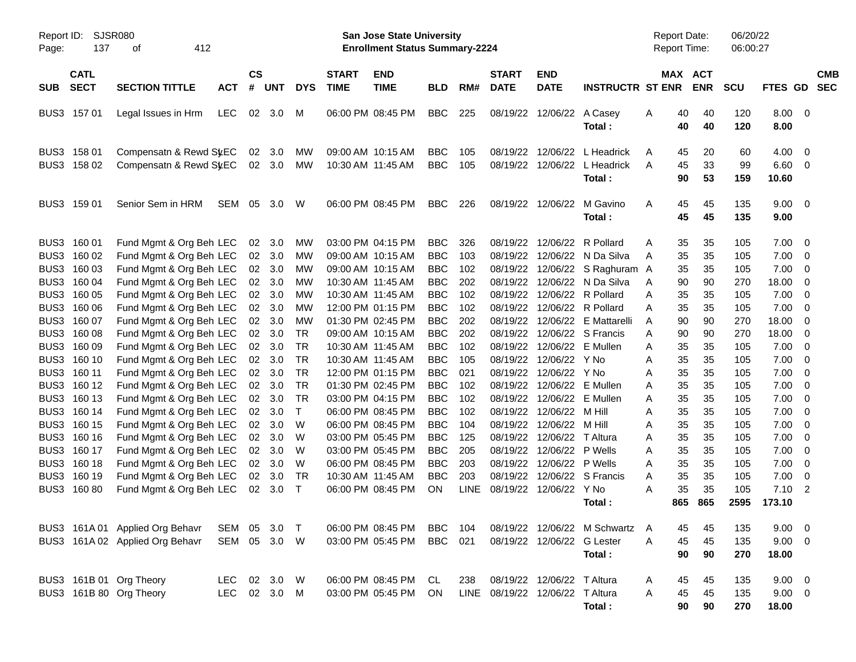| Report ID:<br>Page:  | 137                        | SJSR080<br>412<br>оf                                                          |                    |                                          |                            |                                     |                                        | <b>San Jose State University</b><br><b>Enrollment Status Summary-2224</b> |                                        |                   |                                 |                                                         |                                                                                               | <b>Report Date:</b><br>Report Time: |                       | 06/20/22<br>06:00:27 |                                     |                                                    |            |
|----------------------|----------------------------|-------------------------------------------------------------------------------|--------------------|------------------------------------------|----------------------------|-------------------------------------|----------------------------------------|---------------------------------------------------------------------------|----------------------------------------|-------------------|---------------------------------|---------------------------------------------------------|-----------------------------------------------------------------------------------------------|-------------------------------------|-----------------------|----------------------|-------------------------------------|----------------------------------------------------|------------|
| <b>SUB</b>           | <b>CATL</b><br><b>SECT</b> | <b>SECTION TITTLE</b>                                                         | <b>ACT</b>         | <b>CS</b><br>#                           | <b>UNT</b>                 | <b>DYS</b>                          | <b>START</b><br><b>TIME</b>            | <b>END</b><br><b>TIME</b>                                                 | <b>BLD</b>                             | RM#               | <b>START</b><br><b>DATE</b>     | <b>END</b><br><b>DATE</b>                               | <b>INSTRUCTR ST ENR</b>                                                                       |                                     | MAX ACT<br><b>ENR</b> | SCU                  | FTES GD SEC                         |                                                    | <b>CMB</b> |
|                      | BUS3 157 01                | Legal Issues in Hrm                                                           | LEC.               | 02                                       | 3.0                        | M                                   |                                        | 06:00 PM 08:45 PM                                                         | <b>BBC</b>                             | 225               |                                 | 08/19/22 12/06/22                                       | A Casey<br>Total:                                                                             | 40<br>A<br>40                       | 40<br>40              | 120<br>120           | $8.00 \t 0$<br>8.00                 |                                                    |            |
| BUS3                 | 158 01<br>BUS3 158 02      | Compensatn & Rewd SyEC<br>Compensatn & Rewd St.EC                             |                    | 02                                       | 3.0<br>02 3.0              | MW<br>МW                            | 10:30 AM 11:45 AM                      | 09:00 AM 10:15 AM                                                         | <b>BBC</b><br><b>BBC</b>               | 105<br>105        | 08/19/22                        | 12/06/22<br>08/19/22 12/06/22                           | L Headrick<br>L Headrick<br>Total:                                                            | 45<br>A<br>45<br>Α<br>90            | 20<br>33<br>53        | 60<br>99<br>159      | 4.00<br>6.60<br>10.60               | $\overline{\mathbf{0}}$<br>$\overline{\mathbf{0}}$ |            |
|                      | BUS3 159 01                | Senior Sem in HRM                                                             | SEM                | 05                                       | 3.0                        | W                                   |                                        | 06:00 PM 08:45 PM                                                         | BBC.                                   | 226               | 08/19/22 12/06/22               |                                                         | M Gavino<br>Total:                                                                            | 45<br>Α<br>45                       | 45<br>45              | 135<br>135           | 9.00<br>9.00                        | $\overline{\phantom{0}}$                           |            |
| BUS3                 | 160 01<br>BUS3 160 02      | Fund Mgmt & Org Beh LEC<br>Fund Mgmt & Org Beh LEC                            |                    | 02<br>02 <sub>o</sub>                    | 3.0<br>3.0                 | MW<br>MW                            |                                        | 03:00 PM 04:15 PM<br>09:00 AM 10:15 AM                                    | <b>BBC</b><br><b>BBC</b>               | 326<br>103        |                                 | 08/19/22 12/06/22                                       | R Pollard<br>08/19/22 12/06/22 N Da Silva                                                     | 35<br>A<br>35<br>Α                  | 35<br>35              | 105<br>105           | 7.00<br>7.00                        | $\overline{\mathbf{0}}$<br>$\overline{\mathbf{0}}$ |            |
| BUS3<br>BUS3<br>BUS3 | 160 03<br>160 04<br>160 05 | Fund Mgmt & Org Beh LEC<br>Fund Mgmt & Org Beh LEC<br>Fund Mgmt & Org Beh LEC |                    |                                          | 02 3.0<br>02 3.0<br>02 3.0 | MW<br>MW<br>MW                      | 10:30 AM 11:45 AM<br>10:30 AM 11:45 AM | 09:00 AM 10:15 AM                                                         | <b>BBC</b><br><b>BBC</b><br><b>BBC</b> | 102<br>202<br>102 |                                 |                                                         | 08/19/22 12/06/22 S Raghuram A<br>08/19/22 12/06/22 N Da Silva<br>08/19/22 12/06/22 R Pollard | 35<br>90<br>A<br>35<br>Α            | 35<br>90<br>35        | 105<br>270<br>105    | 7.00<br>18.00<br>7.00               | $\overline{\mathbf{0}}$<br>0<br>0                  |            |
| BUS3<br>BUS3<br>BUS3 | 160 06<br>160 07<br>160 08 | Fund Mgmt & Org Beh LEC<br>Fund Mgmt & Org Beh LEC<br>Fund Mgmt & Org Beh LEC |                    |                                          | 02 3.0<br>02 3.0<br>02 3.0 | MW<br>MW<br>TR                      |                                        | 12:00 PM 01:15 PM<br>01:30 PM 02:45 PM<br>09:00 AM 10:15 AM               | <b>BBC</b><br><b>BBC</b><br><b>BBC</b> | 102<br>202<br>202 | 08/19/22                        | 08/19/22 12/06/22                                       | 12/06/22 R Pollard<br>E Mattarelli<br>08/19/22 12/06/22 S Francis                             | 35<br>Α<br>90<br>A<br>90<br>Α       | 35<br>90<br>90        | 105<br>270<br>270    | 7.00<br>18.00<br>18.00              | $\overline{\mathbf{0}}$<br>0<br>0                  |            |
| BUS3<br>BUS3<br>BUS3 | 160 09<br>160 10<br>160 11 | Fund Mgmt & Org Beh LEC<br>Fund Mgmt & Org Beh LEC<br>Fund Mgmt & Org Beh LEC |                    |                                          | 02 3.0<br>02 3.0           | <b>TR</b><br><b>TR</b><br><b>TR</b> | 10:30 AM 11:45 AM<br>10:30 AM 11:45 AM | 12:00 PM 01:15 PM                                                         | <b>BBC</b><br><b>BBC</b><br><b>BBC</b> | 102<br>105<br>021 | 08/19/22                        | 12/06/22<br>08/19/22 12/06/22 Y No<br>08/19/22 12/06/22 | E Mullen<br>Y No                                                                              | 35<br>Α<br>35<br>Α<br>35<br>Α       | 35<br>35<br>35        | 105<br>105<br>105    | 7.00<br>7.00<br>7.00                | $\overline{\mathbf{0}}$<br>0<br>0                  |            |
| BUS3<br>BUS3         | 160 12<br>160 13           | Fund Mgmt & Org Beh LEC<br>Fund Mgmt & Org Beh LEC                            |                    |                                          | 02 3.0<br>02 3.0<br>02 3.0 | <b>TR</b><br>TR                     |                                        | 01:30 PM 02:45 PM<br>03:00 PM 04:15 PM                                    | <b>BBC</b><br><b>BBC</b>               | 102<br>102        | 08/19/22<br>08/19/22            | 12/06/22<br>12/06/22                                    | E Mullen<br>E Mullen                                                                          | 35<br>Α<br>35<br>Α                  | 35<br>35              | 105<br>105           | 7.00<br>7.00                        | $\overline{\mathbf{0}}$<br>$\overline{\mathbf{0}}$ |            |
| BUS3<br>BUS3<br>BUS3 | 160 14<br>160 15<br>160 16 | Fund Mgmt & Org Beh LEC<br>Fund Mgmt & Org Beh LEC<br>Fund Mgmt & Org Beh LEC |                    | 02<br>02 <sub>2</sub><br>02 <sub>2</sub> | 3.0<br>3.0<br>3.0          | $\mathsf{T}$<br>W<br>W              |                                        | 06:00 PM 08:45 PM<br>06:00 PM 08:45 PM<br>03:00 PM 05:45 PM               | <b>BBC</b><br><b>BBC</b><br><b>BBC</b> | 102<br>104<br>125 | 08/19/22<br>08/19/22            | 08/19/22 12/06/22 M Hill<br>12/06/22<br>12/06/22        | m Hill<br>T Altura                                                                            | 35<br>Α<br>35<br>Α<br>35<br>Α       | 35<br>35<br>35        | 105<br>105<br>105    | 7.00<br>7.00<br>7.00                | 0<br>0<br>0                                        |            |
| BUS3<br>BUS3<br>BUS3 | 160 17<br>160 18<br>160 19 | Fund Mgmt & Org Beh LEC<br>Fund Mgmt & Org Beh LEC<br>Fund Mgmt & Org Beh LEC |                    | 02<br>02<br>02                           | 3.0<br>3.0<br>3.0          | W<br>W<br>TR                        | 10:30 AM 11:45 AM                      | 03:00 PM 05:45 PM<br>06:00 PM 08:45 PM                                    | <b>BBC</b><br><b>BBC</b><br><b>BBC</b> | 205<br>203<br>203 | 08/19/22<br>08/19/22            | 08/19/22 12/06/22<br>12/06/22<br>12/06/22               | P Wells<br>P Wells<br>S Francis                                                               | 35<br>Α<br>35<br>Α<br>35<br>Α       | 35<br>35<br>35        | 105<br>105<br>105    | 7.00<br>7.00<br>7.00                | 0<br>0<br>$\mathbf 0$                              |            |
|                      | BUS3 160 80                | Fund Mgmt & Org Beh LEC                                                       |                    |                                          | 02 3.0                     | $\top$                              |                                        | 06:00 PM 08:45 PM                                                         | ON                                     | <b>LINE</b>       |                                 | 08/19/22 12/06/22 Y No                                  | Total:                                                                                        | A<br>35<br>865                      | 35<br>865             | 105<br>2595          | $7.10$ 2<br>173.10                  |                                                    |            |
|                      |                            | BUS3 161A 01 Applied Org Behavr<br>BUS3 161A 02 Applied Org Behavr            | SEM<br>SEM         |                                          | 05 3.0<br>05 3.0 W         | $\top$                              |                                        | 06:00 PM 08:45 PM<br>03:00 PM 05:45 PM                                    | BBC<br><b>BBC</b>                      | 104<br>021        |                                 | 08/19/22 12/06/22 G Lester                              | 08/19/22 12/06/22 M Schwartz A<br>Total:                                                      | 45<br>45<br>Α<br>90                 | 45<br>45<br>90        | 135<br>135<br>270    | $9.00 \t 0$<br>$9.00 \t 0$<br>18.00 |                                                    |            |
|                      |                            | BUS3 161B 01 Org Theory<br>BUS3 161B 80 Org Theory                            | LEC.<br><b>LEC</b> |                                          | 02 3.0 W<br>02 3.0 M       |                                     |                                        | 06:00 PM 08:45 PM<br>03:00 PM 05:45 PM                                    | CL.<br>ON                              | 238               | LINE 08/19/22 12/06/22 T Altura | 08/19/22 12/06/22 T Altura                              | Total:                                                                                        | 45<br>A<br>Α<br>45<br>90            | 45<br>45<br>90        | 135<br>135<br>270    | $9.00 \t 0$<br>$9.00 \t 0$<br>18.00 |                                                    |            |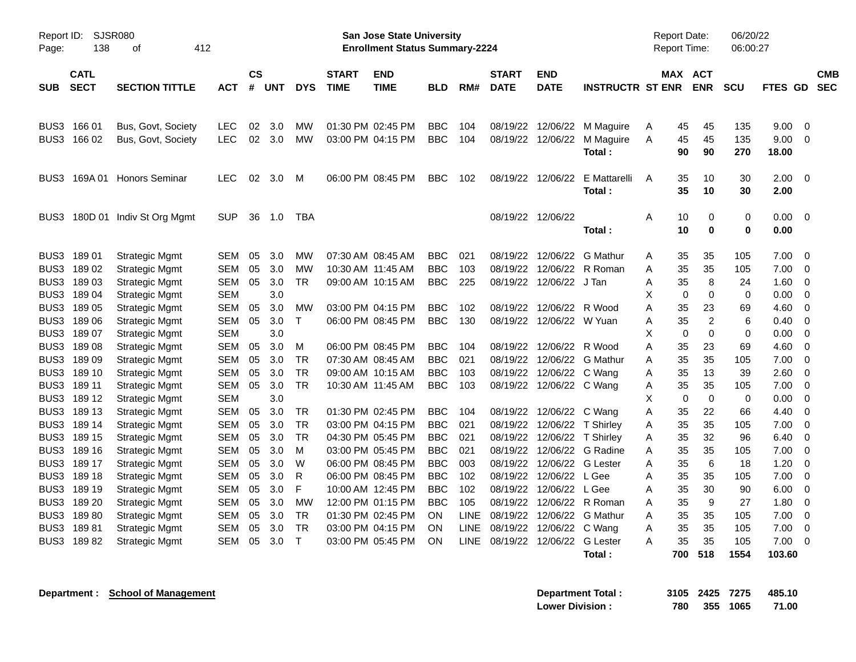| Report ID:<br>Page: | 138                        | SJSR080<br>412<br>οf                           |                          |                    |            |              |                                        | <b>San Jose State University</b><br><b>Enrollment Status Summary-2224</b> |            |             |                             |                          |                         | <b>Report Date:</b><br>Report Time: |                               | 06/20/22<br>06:00:27 |               |                            |
|---------------------|----------------------------|------------------------------------------------|--------------------------|--------------------|------------|--------------|----------------------------------------|---------------------------------------------------------------------------|------------|-------------|-----------------------------|--------------------------|-------------------------|-------------------------------------|-------------------------------|----------------------|---------------|----------------------------|
| <b>SUB</b>          | <b>CATL</b><br><b>SECT</b> | <b>SECTION TITTLE</b>                          | ACT                      | $\mathsf{cs}$<br># | UNT        | <b>DYS</b>   | <b>START</b><br><b>TIME</b>            | <b>END</b><br>TIME                                                        | <b>BLD</b> | RM#         | <b>START</b><br><b>DATE</b> | END<br><b>DATE</b>       | <b>INSTRUCTR ST ENR</b> |                                     | MAX ACT<br><b>ENR</b>         | <b>SCU</b>           | FTES GD       | <b>CMB</b><br><b>SEC</b>   |
| BUS3                | BUS3 166 01<br>166 02      | Bus, Govt, Society<br>Bus, Govt, Society       | LEC<br>LEC               | 02<br>02           | 3.0<br>3.0 | МW<br>MW     | 01:30 PM 02:45 PM<br>03:00 PM 04:15 PM |                                                                           | BBC<br>BBC | 104<br>104  | 08/19/22<br>08/19/22        | 12/06/22<br>12/06/22     | M Maguire<br>M Maguire  | A<br>Α                              | 45<br>45<br>45<br>45          | 135<br>135           | 9.00<br>9.00  | $\mathbf 0$<br>$\mathbf 0$ |
| BUS3                | 169A 01                    | Honors Seminar                                 | LEC                      | 02                 | 3.0        | M            | 06:00 PM 08:45 PM                      |                                                                           | BBC        | 102         | 08/19/22                    | 12/06/22                 | Total:<br>E Mattarelli  | A                                   | 90<br>90<br>35<br>10          | 270<br>30            | 18.00<br>2.00 | $\mathbf 0$                |
| BUS3                |                            | 180D 01 Indiv St Org Mgmt                      | <b>SUP</b>               | 36                 | 1.0        | TBA          |                                        |                                                                           |            |             |                             | 08/19/22 12/06/22        | Total:                  | A                                   | 35<br>10<br>$\mathbf 0$<br>10 | 30<br>0              | 2.00<br>0.00  | $\mathbf 0$                |
|                     |                            |                                                |                          |                    |            |              |                                        |                                                                           |            |             |                             |                          | Total :                 |                                     | $\bf{0}$<br>10                | $\bf{0}$             | 0.00          |                            |
|                     | BUS3 189 01                | <b>Strategic Mgmt</b>                          | <b>SEM</b>               | 05                 | 3.0        | мw           | 07:30 AM 08:45 AM                      |                                                                           | <b>BBC</b> | 021         | 08/19/22                    | 12/06/22                 | G Mathur                | A                                   | 35<br>35                      | 105                  | 7.00          | $\Omega$                   |
| BUS3                | 18902                      | <b>Strategic Mgmt</b>                          | <b>SEM</b>               | 05                 | 3.0        | MW           | 10:30 AM 11:45 AM                      |                                                                           | <b>BBC</b> | 103         | 08/19/22                    | 12/06/22                 | R Roman                 | A                                   | 35<br>35                      | 105                  | 7.00          | $\mathbf 0$                |
| BUS3                | 18903                      | <b>Strategic Mgmt</b>                          | SEM                      | 05                 | 3.0        | TR           |                                        | 09:00 AM 10:15 AM                                                         | BBC        | 225         | 08/19/22                    | 12/06/22 J Tan           |                         | Α                                   | 8<br>35                       | 24                   | 1.60          | 0                          |
| BUS3<br>BUS3        | 18904<br>18905             | <b>Strategic Mgmt</b>                          | <b>SEM</b><br><b>SEM</b> | 05                 | 3.0<br>3.0 | MW           | 03:00 PM 04:15 PM                      |                                                                           | <b>BBC</b> | 102         |                             | 08/19/22 12/06/22 R Wood |                         | X<br>A                              | $\mathbf 0$<br>0<br>35<br>23  | 0<br>69              | 0.00<br>4.60  | $\mathbf 0$<br>$\mathbf 0$ |
| BUS3                | 18906                      | <b>Strategic Mgmt</b><br><b>Strategic Mgmt</b> | <b>SEM</b>               | 05                 | 3.0        | $\mathsf{T}$ | 06:00 PM 08:45 PM                      |                                                                           | <b>BBC</b> | 130         | 08/19/22                    | 12/06/22 W Yuan          |                         | A                                   | $\sqrt{2}$<br>35              | 6                    | 0.40          | $\mathbf 0$                |
| BUS3                | 189 07                     | <b>Strategic Mgmt</b>                          | <b>SEM</b>               |                    | 3.0        |              |                                        |                                                                           |            |             |                             |                          |                         | Χ                                   | $\mathbf 0$<br>0              | 0                    | 0.00          | 0                          |
| BUS3                | 18908                      | <b>Strategic Mgmt</b>                          | SEM                      | 05                 | 3.0        | М            | 06:00 PM 08:45 PM                      |                                                                           | <b>BBC</b> | 104         | 08/19/22                    | 12/06/22 R Wood          |                         | A                                   | 35<br>23                      | 69                   | 4.60          | $\mathbf 0$                |
| BUS3                | 18909                      | <b>Strategic Mgmt</b>                          | <b>SEM</b>               | 05                 | 3.0        | TR           | 07:30 AM 08:45 AM                      |                                                                           | <b>BBC</b> | 021         | 08/19/22                    | 12/06/22                 | G Mathur                | Α                                   | 35<br>35                      | 105                  | 7.00          | $\mathbf 0$                |
| BUS3                | 189 10                     | <b>Strategic Mgmt</b>                          | SEM                      | 05                 | 3.0        | <b>TR</b>    | 09:00 AM 10:15 AM                      |                                                                           | <b>BBC</b> | 103         | 08/19/22                    | 12/06/22 C Wang          |                         | Α                                   | 35<br>13                      | 39                   | 2.60          | $\mathbf 0$                |
| BUS3                | 189 11                     | <b>Strategic Mgmt</b>                          | <b>SEM</b>               | 05                 | 3.0        | <b>TR</b>    | 10:30 AM 11:45 AM                      |                                                                           | <b>BBC</b> | 103         | 08/19/22                    | 12/06/22 C Wang          |                         | Α                                   | 35<br>35                      | 105                  | 7.00          | $\mathbf 0$                |
| BUS3                | 189 12                     | <b>Strategic Mgmt</b>                          | <b>SEM</b>               |                    | 3.0        |              |                                        |                                                                           |            |             |                             |                          |                         | X                                   | $\mathbf 0$<br>$\mathbf 0$    | $\mathbf 0$          | 0.00          | $\mathbf 0$                |
| BUS3                | 189 13                     | <b>Strategic Mgmt</b>                          | <b>SEM</b>               | 05                 | 3.0        | <b>TR</b>    | 01:30 PM 02:45 PM                      |                                                                           | <b>BBC</b> | 104         |                             | 08/19/22 12/06/22 C Wang |                         | A                                   | 35<br>22                      | 66                   | 4.40          | $\mathbf 0$                |
| BUS3                | 189 14                     | <b>Strategic Mgmt</b>                          | SEM                      | 05                 | 3.0        | <b>TR</b>    | 03:00 PM 04:15 PM                      |                                                                           | <b>BBC</b> | 021         | 08/19/22                    |                          | 12/06/22 T Shirley      | A                                   | 35<br>35                      | 105                  | 7.00          | $\Omega$                   |
| BUS3                | 189 15                     | <b>Strategic Mgmt</b>                          | <b>SEM</b>               | 05                 | 3.0        | <b>TR</b>    | 04:30 PM 05:45 PM                      |                                                                           | <b>BBC</b> | 021         | 08/19/22                    | 12/06/22 T Shirley       |                         | A                                   | 35<br>32                      | 96                   | 6.40          | $\mathbf 0$                |
| BUS3                | 189 16                     | <b>Strategic Mgmt</b>                          | <b>SEM</b>               | 05                 | 3.0        | м            | 03:00 PM 05:45 PM                      |                                                                           | <b>BBC</b> | 021         | 08/19/22                    | 12/06/22                 | G Radine                | A                                   | 35<br>35                      | 105                  | 7.00          | $\mathbf 0$                |
| BUS3                | 189 17                     | <b>Strategic Mgmt</b>                          | <b>SEM</b>               | 05                 | 3.0        | W            | 06:00 PM 08:45 PM                      |                                                                           | <b>BBC</b> | 003         | 08/19/22                    | 12/06/22                 | <b>G</b> Lester         | A                                   | $6\phantom{1}6$<br>35         | 18                   | 1.20          | $\mathbf 0$                |
| BUS3                | 189 18                     | <b>Strategic Mgmt</b>                          | SEM                      | 05                 | 3.0        | R            | 06:00 PM 08:45 PM                      |                                                                           | <b>BBC</b> | 102         | 08/19/22                    | 12/06/22 L Gee           |                         | А                                   | 35<br>35                      | 105                  | 7.00          | $\mathbf 0$                |
| BUS3                | 189 19                     | <b>Strategic Mgmt</b>                          | SEM                      | 05                 | 3.0        | F            |                                        | 10:00 AM 12:45 PM                                                         | <b>BBC</b> | 102         | 08/19/22                    | 12/06/22 L Gee           |                         | А                                   | 35<br>30                      | 90                   | 6.00          | $\Omega$                   |
| BUS3                | 189 20                     | <b>Strategic Mgmt</b>                          | SEM                      | 05                 | 3.0        | MW           | 12:00 PM 01:15 PM                      |                                                                           | <b>BBC</b> | 105         | 08/19/22                    | 12/06/22                 | R Roman                 | A                                   | 35<br>9                       | 27                   | 1.80          | 0                          |
| BUS3                | 18980                      | <b>Strategic Mgmt</b>                          | SEM                      | 05                 | 3.0        | TR           | 01:30 PM 02:45 PM                      |                                                                           | <b>ON</b>  | <b>LINE</b> | 08/19/22                    | 12/06/22                 | G Mathur                | A                                   | 35<br>35                      | 105                  | 7.00          | $\mathbf 0$                |
| BUS3                | 18981                      | <b>Strategic Mgmt</b>                          | SEM                      | 05                 | 3.0        | <b>TR</b>    | 03:00 PM 04:15 PM                      |                                                                           | <b>ON</b>  | <b>LINE</b> | 08/19/22                    | 12/06/22                 | C Wang                  | A                                   | 35<br>35                      | 105                  | 7.00          | 0                          |
| BUS3                | 18982                      | <b>Strategic Mgmt</b>                          | <b>SEM</b>               | 05                 | 3.0        | $\mathsf{T}$ | 03:00 PM 05:45 PM                      |                                                                           | ON         | <b>LINE</b> | 08/19/22                    | 12/06/22                 | <b>G</b> Lester         | A                                   | 35<br>35                      | 105                  | 7.00          | 0                          |
|                     |                            |                                                |                          |                    |            |              |                                        |                                                                           |            |             |                             |                          | Total :                 | 700                                 | 518                           | 1554                 | 103.60        |                            |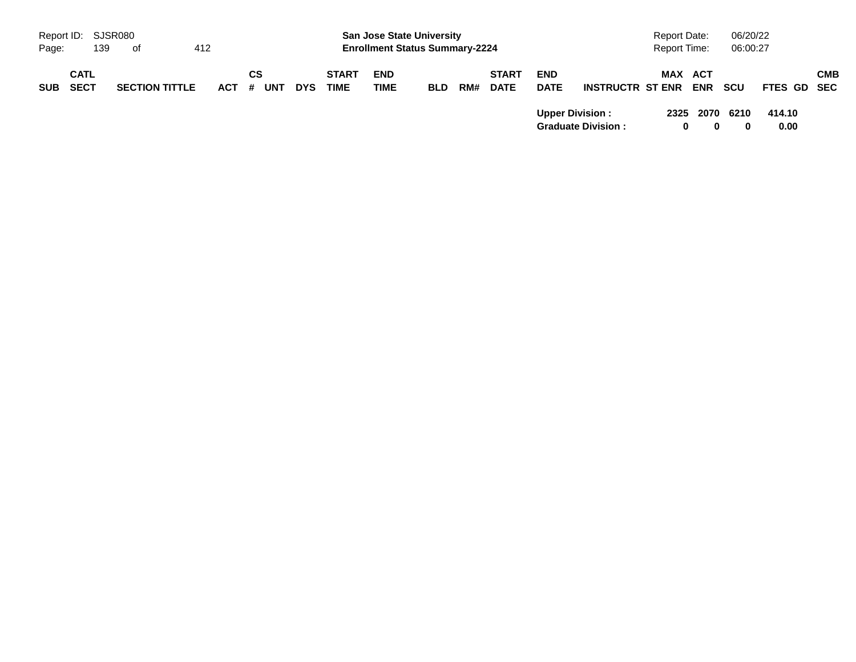|            | Report ID: SJSR080         |     |                       |     |         |    |     |            |                             | <b>San Jose State University</b>      |            |     |                             |                           |                           | <b>Report Date:</b> |   |                | 06/20/22         |                |     |
|------------|----------------------------|-----|-----------------------|-----|---------|----|-----|------------|-----------------------------|---------------------------------------|------------|-----|-----------------------------|---------------------------|---------------------------|---------------------|---|----------------|------------------|----------------|-----|
| Page:      |                            | 139 | of                    | 412 |         |    |     |            |                             | <b>Enrollment Status Summary-2224</b> |            |     |                             |                           |                           | Report Time:        |   |                | 06:00:27         |                |     |
| <b>SUB</b> | <b>CATL</b><br><b>SECT</b> |     | <b>SECTION TITTLE</b> |     | $ACT$ # | СS | UNT | <b>DYS</b> | <b>START</b><br><b>TIME</b> | <b>END</b><br>TIME                    | <b>BLD</b> | RM# | <b>START</b><br><b>DATE</b> | <b>END</b><br><b>DATE</b> | <b>INSTRUCTR ST ENR</b>   |                     |   | MAX ACT<br>ENR | scu              | FTES GD SEC    | CMB |
|            |                            |     |                       |     |         |    |     |            |                             |                                       |            |     |                             | <b>Upper Division:</b>    | <b>Graduate Division:</b> |                     | 0 | 2325 2070      | 6210<br>$\bf{0}$ | 414.10<br>0.00 |     |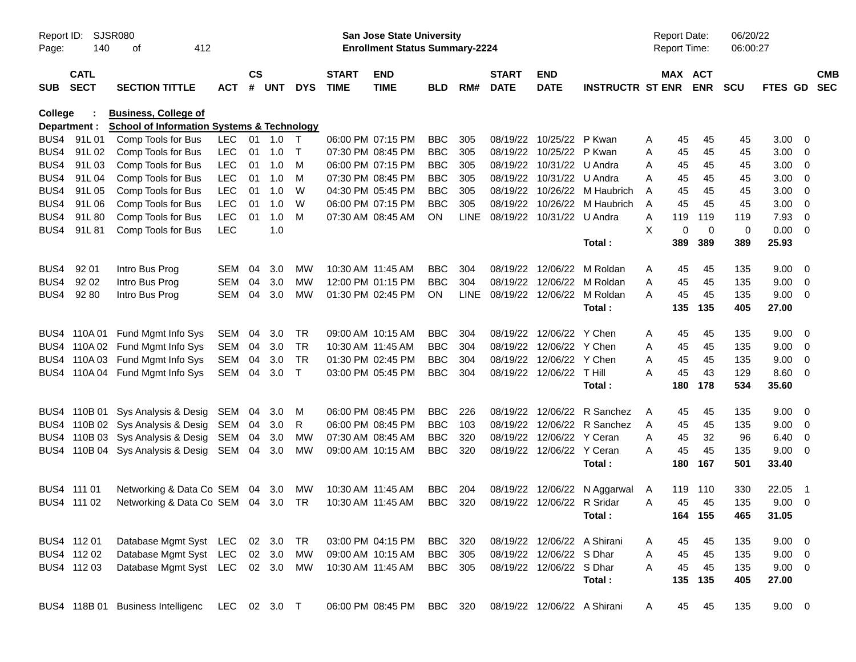| Report ID:<br>Page: | 140                        | SJSR080<br>412<br>оf                                  |            |                    |            |              |                             | San Jose State University<br><b>Enrollment Status Summary-2224</b> |                |             |                             |                             |                              | Report Date:<br><b>Report Time:</b> |                       | 06/20/22<br>06:00:27 |             |                          |            |
|---------------------|----------------------------|-------------------------------------------------------|------------|--------------------|------------|--------------|-----------------------------|--------------------------------------------------------------------|----------------|-------------|-----------------------------|-----------------------------|------------------------------|-------------------------------------|-----------------------|----------------------|-------------|--------------------------|------------|
| <b>SUB</b>          | <b>CATL</b><br><b>SECT</b> | <b>SECTION TITTLE</b>                                 | <b>ACT</b> | $\mathsf{cs}$<br># | <b>UNT</b> | <b>DYS</b>   | <b>START</b><br><b>TIME</b> | <b>END</b><br><b>TIME</b>                                          | <b>BLD</b>     | RM#         | <b>START</b><br><b>DATE</b> | <b>END</b><br><b>DATE</b>   | <b>INSTRUCTR ST ENR</b>      |                                     | MAX ACT<br><b>ENR</b> | <b>SCU</b>           | FTES GD SEC |                          | <b>CMB</b> |
| College             |                            | <b>Business, College of</b>                           |            |                    |            |              |                             |                                                                    |                |             |                             |                             |                              |                                     |                       |                      |             |                          |            |
|                     | Department :               | <b>School of Information Systems &amp; Technology</b> |            |                    |            |              |                             |                                                                    |                |             |                             |                             |                              |                                     |                       |                      |             |                          |            |
|                     | BUS4 91L01                 | Comp Tools for Bus                                    | LEC.       |                    | 01 1.0     | $\top$       |                             | 06:00 PM 07:15 PM                                                  | <b>BBC</b>     | 305         |                             | 08/19/22 10/25/22 P Kwan    |                              | 45<br>Α                             | 45                    | 45                   | 3.00        | $\overline{\mathbf{0}}$  |            |
| BUS4                | 91L02                      | Comp Tools for Bus                                    | <b>LEC</b> | 01                 | 1.0        | $\top$       |                             | 07:30 PM 08:45 PM                                                  | <b>BBC</b>     | 305         |                             | 08/19/22 10/25/22 P Kwan    |                              | 45<br>A                             | 45                    | 45                   | 3.00        | $\overline{\phantom{0}}$ |            |
| BUS4                | 91L03                      | Comp Tools for Bus                                    | <b>LEC</b> | 01                 | 1.0        | M            |                             | 06:00 PM 07:15 PM                                                  | <b>BBC</b>     | 305         |                             | 08/19/22 10/31/22 U Andra   |                              | 45<br>A                             | 45                    | 45                   | 3.00        | $\overline{\phantom{0}}$ |            |
| BUS4                | 91L04                      | Comp Tools for Bus                                    | <b>LEC</b> | 01                 | 1.0        | M            |                             | 07:30 PM 08:45 PM                                                  | <b>BBC</b>     | 305         |                             | 08/19/22 10/31/22 U Andra   |                              | 45<br>A                             | 45                    | 45                   | 3.00        | $\overline{\mathbf{0}}$  |            |
| BUS4                | 91L05                      | Comp Tools for Bus                                    | <b>LEC</b> | 01                 | 1.0        | W            |                             | 04:30 PM 05:45 PM                                                  | <b>BBC</b>     | 305         |                             |                             | 08/19/22 10/26/22 M Haubrich | 45<br>Α                             | 45                    | 45                   | 3.00        | $\overline{\mathbf{0}}$  |            |
| BUS4                | 91L06                      | Comp Tools for Bus                                    | <b>LEC</b> | 01                 | 1.0        | W            |                             | 06:00 PM 07:15 PM                                                  | <b>BBC</b>     | 305         |                             |                             | 08/19/22 10/26/22 M Haubrich | 45<br>A                             | 45                    | 45                   | 3.00        | $\overline{\mathbf{0}}$  |            |
| BUS4                | 91L80                      | Comp Tools for Bus                                    | <b>LEC</b> | 01                 | 1.0        | M            |                             | 07:30 AM 08:45 AM                                                  | ON             | <b>LINE</b> |                             | 08/19/22 10/31/22 U Andra   |                              | 119<br>Α                            | 119                   | 119                  | 7.93        | $\overline{\mathbf{0}}$  |            |
| BUS4                | 91L81                      | Comp Tools for Bus                                    | <b>LEC</b> |                    | 1.0        |              |                             |                                                                    |                |             |                             |                             |                              | X                                   | 0<br>$\overline{0}$   | 0                    | 0.00        | $\overline{\phantom{0}}$ |            |
|                     |                            |                                                       |            |                    |            |              |                             |                                                                    |                |             |                             |                             | Total:                       | 389                                 | 389                   | 389                  | 25.93       |                          |            |
| BUS4                | 92 01                      | Intro Bus Prog                                        | <b>SEM</b> | 04                 | 3.0        | MW           | 10:30 AM 11:45 AM           |                                                                    | <b>BBC</b>     | 304         |                             | 08/19/22 12/06/22           | M Roldan                     | Α<br>45                             | 45                    | 135                  | 9.00        | $\overline{\mathbf{0}}$  |            |
| BUS4                | 92 02                      | Intro Bus Prog                                        | <b>SEM</b> | 04                 | 3.0        | MW           |                             | 12:00 PM 01:15 PM                                                  | <b>BBC</b>     | 304         |                             |                             | 08/19/22 12/06/22 M Roldan   | 45<br>A                             | 45                    | 135                  | 9.00        | $\overline{\phantom{0}}$ |            |
| BUS4                | 92 80                      | Intro Bus Prog                                        | <b>SEM</b> | 04                 | 3.0        | MW           |                             | 01:30 PM 02:45 PM                                                  | ON.            | <b>LINE</b> |                             |                             | 08/19/22 12/06/22 M Roldan   | 45<br>Α                             | 45                    | 135                  | 9.00        | $\overline{\phantom{0}}$ |            |
|                     |                            |                                                       |            |                    |            |              |                             |                                                                    |                |             |                             |                             | Total:                       | 135                                 | 135                   | 405                  | 27.00       |                          |            |
|                     | BUS4 110A01                | Fund Mgmt Info Sys                                    | SEM        | 04                 | 3.0        | TR           |                             | 09:00 AM 10:15 AM                                                  | <b>BBC</b>     | 304         |                             | 08/19/22 12/06/22           | Y Chen                       | 45<br>Α                             | 45                    | 135                  | 9.00        | $\overline{\phantom{0}}$ |            |
|                     |                            | BUS4 110A 02 Fund Mgmt Info Sys                       | <b>SEM</b> | 04                 | 3.0        | <b>TR</b>    | 10:30 AM 11:45 AM           |                                                                    | <b>BBC</b>     | 304         |                             | 08/19/22 12/06/22 Y Chen    |                              | 45<br>A                             | 45                    | 135                  | 9.00        | $\overline{\phantom{0}}$ |            |
|                     |                            | BUS4 110A 03 Fund Mgmt Info Sys                       | SEM        | 04                 | 3.0        | <b>TR</b>    |                             | 01:30 PM 02:45 PM                                                  | <b>BBC</b>     | 304         |                             | 08/19/22 12/06/22 Y Chen    |                              | 45<br>A                             | 45                    | 135                  | 9.00        | $\overline{\phantom{0}}$ |            |
|                     |                            | BUS4 110A 04 Fund Mgmt Info Sys                       | SEM        | 04                 | 3.0        | $\mathsf{T}$ |                             | 03:00 PM 05:45 PM                                                  | <b>BBC</b>     | 304         |                             | 08/19/22 12/06/22 T Hill    |                              | 45<br>А                             | 43                    | 129                  | 8.60        | $\overline{\mathbf{0}}$  |            |
|                     |                            |                                                       |            |                    |            |              |                             |                                                                    |                |             |                             |                             | Total:                       | 180                                 | 178                   | 534                  | 35.60       |                          |            |
|                     |                            | BUS4 110B 01 Sys Analysis & Desig SEM                 |            | 04                 | 3.0        | M            |                             | 06:00 PM 08:45 PM                                                  | <b>BBC</b>     | 226         |                             |                             | 08/19/22 12/06/22 R Sanchez  | 45<br>A                             | 45                    | 135                  | 9.00        | $\overline{\mathbf{0}}$  |            |
|                     |                            | BUS4 110B 02 Sys Analysis & Desig SEM                 |            | 04                 | 3.0        | R            |                             | 06:00 PM 08:45 PM                                                  | <b>BBC</b>     | 103         |                             |                             | 08/19/22 12/06/22 R Sanchez  | 45<br>Α                             | 45                    | 135                  | 9.00        | $\overline{\phantom{0}}$ |            |
|                     |                            | BUS4 110B 03 Sys Analysis & Desig SEM                 |            | 04                 | 3.0        | MW           |                             | 07:30 AM 08:45 AM                                                  | <b>BBC</b>     | 320         |                             | 08/19/22 12/06/22 Y Ceran   |                              | 45<br>A                             | 32                    | 96                   | 6.40        | $\overline{\mathbf{0}}$  |            |
|                     |                            | BUS4 110B 04 Sys Analysis & Desig SEM                 |            | 04                 | 3.0        | MW           |                             | 09:00 AM 10:15 AM                                                  | <b>BBC</b>     | 320         |                             | 08/19/22 12/06/22 Y Ceran   |                              | 45<br>A                             | 45                    | 135                  | 9.00        | $\overline{\phantom{0}}$ |            |
|                     |                            |                                                       |            |                    |            |              |                             |                                                                    |                |             |                             |                             | Total:                       | 180                                 | 167                   | 501                  | 33.40       |                          |            |
|                     | BUS4 111 01                | Networking & Data Co SEM 04                           |            |                    | 3.0        | МW           | 10:30 AM 11:45 AM           |                                                                    | <b>BBC</b>     | 204         | 08/19/22                    |                             | 12/06/22 N Aggarwal          | 119<br>A                            | 110                   | 330                  | 22.05       | - 1                      |            |
|                     | BUS4 111 02                | Networking & Data Co SEM 04 3.0                       |            |                    |            | TR           | 10:30 AM 11:45 AM           |                                                                    | <b>BBC</b>     | 320         |                             | 08/19/22 12/06/22 R Sridar  |                              | 45<br>A                             | 45                    | 135                  | 9.00        | $\overline{\mathbf{0}}$  |            |
|                     |                            |                                                       |            |                    |            |              |                             |                                                                    |                |             |                             |                             | Total:                       |                                     | 164 155               | 465                  | 31.05       |                          |            |
|                     | BUS4 112 01                | Database Mgmt Syst LEC 02 3.0                         |            |                    |            | TR           |                             | 03:00 PM 04:15 PM                                                  | <b>BBC</b> 320 |             |                             | 08/19/22 12/06/22 A Shirani |                              | 45<br>A                             | 45                    | 135                  | $9.00 \t 0$ |                          |            |
|                     | BUS4 112 02                | Database Mgmt Syst LEC 02 3.0                         |            |                    |            | MW           |                             | 09:00 AM 10:15 AM                                                  | <b>BBC</b>     | 305         |                             | 08/19/22 12/06/22 S Dhar    |                              | 45<br>A                             | 45                    | 135                  | $9.00 \t 0$ |                          |            |
|                     | BUS4 112 03                | Database Mgmt Syst LEC 02 3.0 MW                      |            |                    |            |              |                             | 10:30 AM 11:45 AM                                                  | <b>BBC</b> 305 |             |                             | 08/19/22 12/06/22 S Dhar    |                              | 45<br>A                             | 45                    | 135                  | $9.00 \t 0$ |                          |            |
|                     |                            |                                                       |            |                    |            |              |                             |                                                                    |                |             |                             |                             | Total:                       |                                     | 135 135               | 405                  | 27.00       |                          |            |
|                     |                            | BUS4 118B 01 Business Intelligenc LEC 02 3.0 T        |            |                    |            |              |                             | 06:00 PM 08:45 PM                                                  | BBC 320        |             |                             | 08/19/22 12/06/22 A Shirani |                              | A                                   | 45<br>45              | 135                  | $9.00 \t 0$ |                          |            |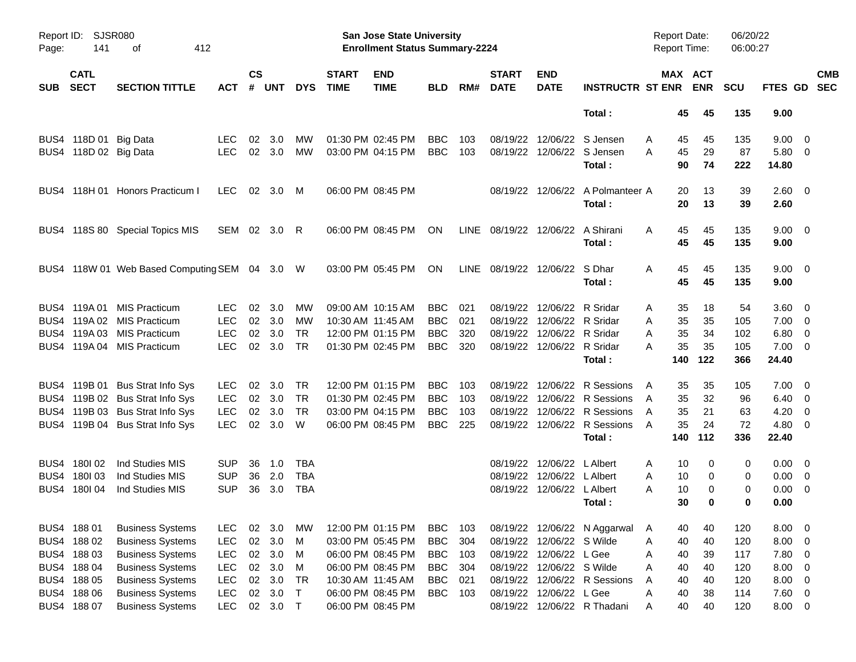| Report ID:<br>Page: | <b>SJSR080</b><br>141      | 412<br>оf                                     |              |                    |            |            |                             | San Jose State University<br><b>Enrollment Status Summary-2224</b> |            |     |                                  |                            |                                            | <b>Report Date:</b><br><b>Report Time:</b> |                       | 06/20/22<br>06:00:27 |                     |            |
|---------------------|----------------------------|-----------------------------------------------|--------------|--------------------|------------|------------|-----------------------------|--------------------------------------------------------------------|------------|-----|----------------------------------|----------------------------|--------------------------------------------|--------------------------------------------|-----------------------|----------------------|---------------------|------------|
| <b>SUB</b>          | <b>CATL</b><br><b>SECT</b> | <b>SECTION TITTLE</b>                         | ACT          | $\mathsf{cs}$<br># | <b>UNT</b> | <b>DYS</b> | <b>START</b><br><b>TIME</b> | <b>END</b><br><b>TIME</b>                                          | <b>BLD</b> | RM# | <b>START</b><br><b>DATE</b>      | <b>END</b><br><b>DATE</b>  | <b>INSTRUCTR ST ENR</b>                    |                                            | MAX ACT<br><b>ENR</b> | <b>SCU</b>           | FTES GD SEC         | <b>CMB</b> |
|                     |                            |                                               |              |                    |            |            |                             |                                                                    |            |     |                                  |                            | Total:                                     | 45                                         | 45                    | 135                  | 9.00                |            |
|                     | BUS4 118D 01 Big Data      |                                               | <b>LEC</b>   | 02                 | 3.0        | MW         | 01:30 PM 02:45 PM           |                                                                    | <b>BBC</b> | 103 | 08/19/22                         |                            | 12/06/22 S Jensen                          | Α<br>45                                    | 45                    | 135                  | $9.00 \t 0$         |            |
|                     | BUS4 118D 02 Big Data      |                                               | <b>LEC</b>   |                    | 02 3.0     | MW         | 03:00 PM 04:15 PM           |                                                                    | <b>BBC</b> | 103 |                                  |                            | 08/19/22 12/06/22 S Jensen<br>Total:       | 45<br>A<br>90                              | 29<br>74              | 87<br>222            | 5.80 0<br>14.80     |            |
|                     |                            | BUS4 118H 01 Honors Practicum I               | LEC.         |                    | 02 3.0 M   |            | 06:00 PM 08:45 PM           |                                                                    |            |     |                                  |                            | 08/19/22 12/06/22 A Polmanteer A<br>Total: | 20<br>20                                   | 13<br>13              | 39<br>39             | 2.60 0<br>2.60      |            |
|                     |                            | BUS4 118S 80 Special Topics MIS               | SEM 02 3.0 R |                    |            |            |                             | 06:00 PM 08:45 PM                                                  | ON         |     | LINE 08/19/22 12/06/22 A Shirani |                            | Total:                                     | 45<br>A<br>45                              | 45<br>45              | 135<br>135           | $9.00 \t 0$<br>9.00 |            |
|                     |                            | BUS4 118W 01 Web Based Computing SEM 04 3.0 W |              |                    |            |            |                             | 03:00 PM 05:45 PM                                                  | ON         |     | LINE 08/19/22 12/06/22 S Dhar    |                            | Total:                                     | 45<br>A<br>45                              | 45<br>45              | 135<br>135           | $9.00 \t 0$<br>9.00 |            |
|                     | BUS4 119A 01               | <b>MIS Practicum</b>                          | LEC.         | 02                 | 3.0        | MW         | 09:00 AM 10:15 AM           |                                                                    | <b>BBC</b> | 021 | 08/19/22                         | 12/06/22 R Sridar          |                                            | 35<br>Α                                    | 18                    | 54                   | $3.60 \ 0$          |            |
|                     |                            | BUS4 119A 02 MIS Practicum                    | <b>LEC</b>   |                    | 02 3.0     | MW         | 10:30 AM 11:45 AM           |                                                                    | <b>BBC</b> | 021 |                                  | 08/19/22 12/06/22 R Sridar |                                            | 35<br>A                                    | 35                    | 105                  | $7.00 \t 0$         |            |
|                     |                            | BUS4 119A 03 MIS Practicum                    | <b>LEC</b>   | 02                 | 3.0        | <b>TR</b>  |                             | 12:00 PM 01:15 PM                                                  | <b>BBC</b> | 320 |                                  | 08/19/22 12/06/22 R Sridar |                                            | 35<br>Α                                    | 34                    | 102                  | 6.80 0              |            |
|                     |                            | BUS4 119A 04 MIS Practicum                    | <b>LEC</b>   |                    | 02 3.0     | <b>TR</b>  |                             | 01:30 PM 02:45 PM                                                  | <b>BBC</b> | 320 |                                  | 08/19/22 12/06/22 R Sridar |                                            | 35<br>А                                    | 35                    | 105                  | $7.00 \t 0$         |            |
|                     |                            |                                               |              |                    |            |            |                             |                                                                    |            |     |                                  |                            | Total:                                     | 140                                        | 122                   | 366                  | 24.40               |            |
|                     |                            | BUS4 119B 01 Bus Strat Info Sys               | <b>LEC</b>   | 02                 | 3.0        | TR         |                             | 12:00 PM 01:15 PM                                                  | <b>BBC</b> | 103 | 08/19/22                         |                            | 12/06/22 R Sessions                        | 35<br>A                                    | 35                    | 105                  | $7.00 \t 0$         |            |
|                     |                            | BUS4 119B 02 Bus Strat Info Sys               | <b>LEC</b>   |                    | 02 3.0     | <b>TR</b>  |                             | 01:30 PM 02:45 PM                                                  | <b>BBC</b> | 103 |                                  |                            | 08/19/22 12/06/22 R Sessions               | 35<br>A                                    | 32                    | 96                   | $6.40\ 0$           |            |
|                     |                            | BUS4 119B 03 Bus Strat Info Sys               | <b>LEC</b>   | 02                 | 3.0        | <b>TR</b>  |                             | 03:00 PM 04:15 PM                                                  | <b>BBC</b> | 103 | 08/19/22                         |                            | 12/06/22 R Sessions                        | 35<br>A                                    | 21                    | 63                   | $4.20 \ 0$          |            |
|                     |                            | BUS4 119B 04 Bus Strat Info Sys               | <b>LEC</b>   |                    | 02 3.0     | W          |                             | 06:00 PM 08:45 PM                                                  | <b>BBC</b> | 225 |                                  |                            | 08/19/22 12/06/22 R Sessions<br>Total:     | 35<br>A<br>140                             | 24<br>112             | 72<br>336            | $4.80$ 0<br>22.40   |            |
|                     |                            |                                               |              |                    |            |            |                             |                                                                    |            |     |                                  |                            |                                            |                                            |                       |                      |                     |            |
|                     | BUS4 180102                | Ind Studies MIS                               | <b>SUP</b>   | 36                 | 1.0        | TBA        |                             |                                                                    |            |     | 08/19/22                         | 12/06/22 L Albert          |                                            | 10<br>Α                                    | 0                     | 0                    | $0.00 \t 0$         |            |
|                     | BUS4 180103                | Ind Studies MIS                               | <b>SUP</b>   | 36                 | 2.0        | <b>TBA</b> |                             |                                                                    |            |     |                                  | 08/19/22 12/06/22 LAIbert  |                                            | 10<br>Α                                    | 0                     | 0                    | $0.00 \t 0$         |            |
|                     | BUS4 180104                | Ind Studies MIS                               | <b>SUP</b>   | 36                 | 3.0        | <b>TBA</b> |                             |                                                                    |            |     |                                  | 08/19/22 12/06/22 LAIbert  |                                            | 10<br>Α                                    | 0                     | 0                    | $0.00 \t 0$         |            |
|                     |                            |                                               |              |                    |            |            |                             |                                                                    |            |     |                                  |                            | Total:                                     | 30                                         | 0                     | 0                    | 0.00                |            |
|                     | BUS4 188 01                | <b>Business Systems</b>                       | <b>LEC</b>   | 02                 | 3.0        | MW         |                             | 12:00 PM 01:15 PM                                                  | BBC        | 103 |                                  |                            | 08/19/22 12/06/22 N Aggarwal               | 40<br>A                                    | 40                    | 120                  | $8.00 \t 0$         |            |
|                     | BUS4 188 02                | <b>Business Systems</b>                       | <b>LEC</b>   | 02                 | 3.0        | M          |                             | 03:00 PM 05:45 PM                                                  | <b>BBC</b> | 304 |                                  | 08/19/22 12/06/22 S Wilde  |                                            | 40<br>Α                                    | 40                    | 120                  | $8.00 \t 0$         |            |
|                     | BUS4 188 03                | <b>Business Systems</b>                       | <b>LEC</b>   | 02                 | 3.0        | M          |                             | 06:00 PM 08:45 PM                                                  | <b>BBC</b> | 103 |                                  | 08/19/22 12/06/22 L Gee    |                                            | Α<br>40                                    | 39                    | 117                  | 7.80 0              |            |
|                     | BUS4 188 04                | <b>Business Systems</b>                       | <b>LEC</b>   | 02                 | 3.0        | M          |                             | 06:00 PM 08:45 PM                                                  | <b>BBC</b> | 304 |                                  | 08/19/22 12/06/22 S Wilde  |                                            | 40<br>Α                                    | 40                    | 120                  | $8.00 \t 0$         |            |
|                     | BUS4 188 05                | <b>Business Systems</b>                       | <b>LEC</b>   | 02                 | 3.0        | <b>TR</b>  |                             | 10:30 AM 11:45 AM                                                  | <b>BBC</b> | 021 | 08/19/22                         |                            | 12/06/22 R Sessions                        | 40<br>Α                                    | 40                    | 120                  | $8.00 \t 0$         |            |
|                     | BUS4 188 06                | <b>Business Systems</b>                       | <b>LEC</b>   | 02                 | 3.0        | T          |                             | 06:00 PM 08:45 PM                                                  | <b>BBC</b> | 103 | 08/19/22                         | 12/06/22 L Gee             |                                            | Α<br>40                                    | 38                    | 114                  | 7.60 0              |            |
|                     | BUS4 188 07                | <b>Business Systems</b>                       | <b>LEC</b>   |                    | 02 3.0 T   |            |                             | 06:00 PM 08:45 PM                                                  |            |     | 08/19/22                         |                            | 12/06/22 R Thadani                         | 40<br>Α                                    | 40                    | 120                  | $8.00 \t 0$         |            |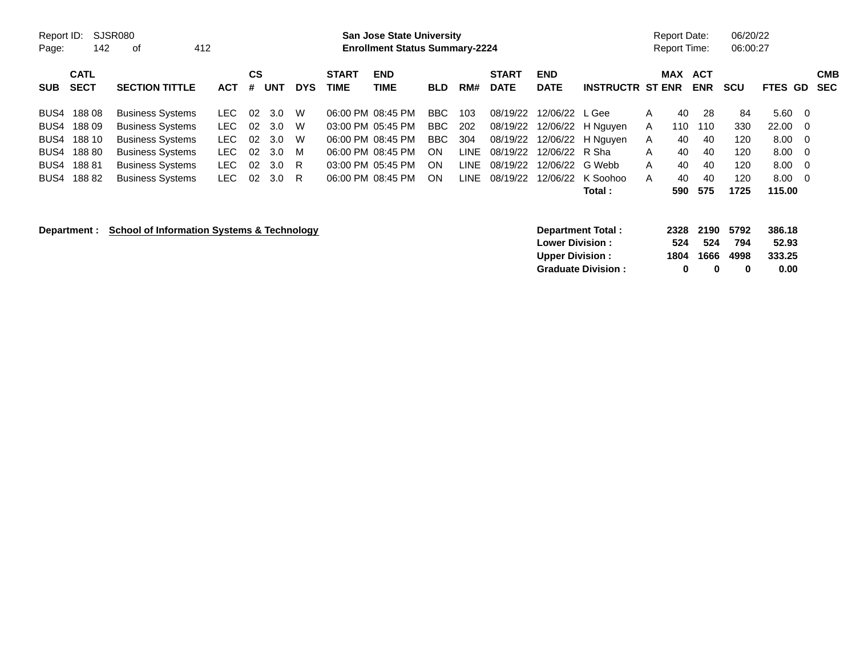| Report ID:<br>Page:                          | 142                                                  | SJSR080<br>412<br>оf                                                                                                                                           |                                             |                                   |                                        |                             |                             | <b>San Jose State University</b><br><b>Enrollment Status Summary-2224</b>                                                  |                                            |                                                  |                                                                      |                                                                             |                                                       |                            | <b>Report Date:</b><br><b>Report Time:</b> |                                          | 06/20/22<br>06:00:27                          |                                                         |                                        |
|----------------------------------------------|------------------------------------------------------|----------------------------------------------------------------------------------------------------------------------------------------------------------------|---------------------------------------------|-----------------------------------|----------------------------------------|-----------------------------|-----------------------------|----------------------------------------------------------------------------------------------------------------------------|--------------------------------------------|--------------------------------------------------|----------------------------------------------------------------------|-----------------------------------------------------------------------------|-------------------------------------------------------|----------------------------|--------------------------------------------|------------------------------------------|-----------------------------------------------|---------------------------------------------------------|----------------------------------------|
| <b>SUB</b>                                   | <b>CATL</b><br><b>SECT</b>                           | <b>SECTION TITTLE</b>                                                                                                                                          | <b>ACT</b>                                  | $\mathsf{cs}$<br>#                | <b>UNT</b>                             | <b>DYS</b>                  | <b>START</b><br><b>TIME</b> | <b>END</b><br><b>TIME</b>                                                                                                  | <b>BLD</b>                                 | RM#                                              | <b>START</b><br><b>DATE</b>                                          | <b>END</b><br><b>DATE</b>                                                   | <b>INSTRUCTR ST ENR</b>                               |                            | <b>MAX</b>                                 | <b>ACT</b><br><b>ENR</b>                 | <b>SCU</b>                                    | FTES GD                                                 | <b>CMB</b><br><b>SEC</b>               |
| BUS4<br>BUS4<br>BUS4<br>BUS4<br>BUS4<br>BUS4 | 18808<br>18809<br>188 10<br>188 80<br>18881<br>18882 | <b>Business Systems</b><br><b>Business Systems</b><br><b>Business Systems</b><br><b>Business Systems</b><br><b>Business Systems</b><br><b>Business Systems</b> | LEC<br>LEC.<br>LEC.<br>LEC.<br>LEC.<br>LEC. | 02<br>02<br>02<br>02<br>02<br>-02 | 3.0<br>3.0<br>3.0<br>3.0<br>3.0<br>3.0 | W<br>W<br>W<br>M<br>R<br>R. |                             | 06:00 PM 08:45 PM<br>03:00 PM 05:45 PM<br>06:00 PM 08:45 PM<br>06:00 PM 08:45 PM<br>03:00 PM 05:45 PM<br>06:00 PM 08:45 PM | BBC<br>BBC<br><b>BBC</b><br>ON<br>ON<br>ON | 103<br>202<br>304<br><b>LINE</b><br>LINE<br>LINE | 08/19/22<br>08/19/22<br>08/19/22<br>08/19/22<br>08/19/22<br>08/19/22 | 12/06/22 L Gee<br>12/06/22<br>12/06/22 R Sha<br>12/06/22 G Webb<br>12/06/22 | 12/06/22 H Nguyen<br>H Nguyen<br>K Soohoo<br>Total :  | A<br>A<br>A<br>A<br>A<br>A | 40<br>110<br>40<br>40<br>40<br>40<br>590   | 28<br>110<br>40<br>40<br>40<br>40<br>575 | 84<br>330<br>120<br>120<br>120<br>120<br>1725 | 5.60<br>22.00<br>8.00<br>8.00<br>8.00<br>8.00<br>115.00 | - 0<br>- 0<br>- 0<br>- 0<br>- 0<br>- 0 |
|                                              | Department :                                         | <b>School of Information Systems &amp; Technology</b>                                                                                                          |                                             |                                   |                                        |                             |                             |                                                                                                                            |                                            |                                                  |                                                                      | <b>Lower Division:</b><br><b>Upper Division:</b>                            | <b>Department Total:</b><br><b>Graduate Division:</b> |                            | 2328<br>524<br>1804<br>0                   | 2190<br>524<br>1666<br>0                 | 5792<br>794<br>4998<br>0                      | 386.18<br>52.93<br>333.25<br>0.00                       |                                        |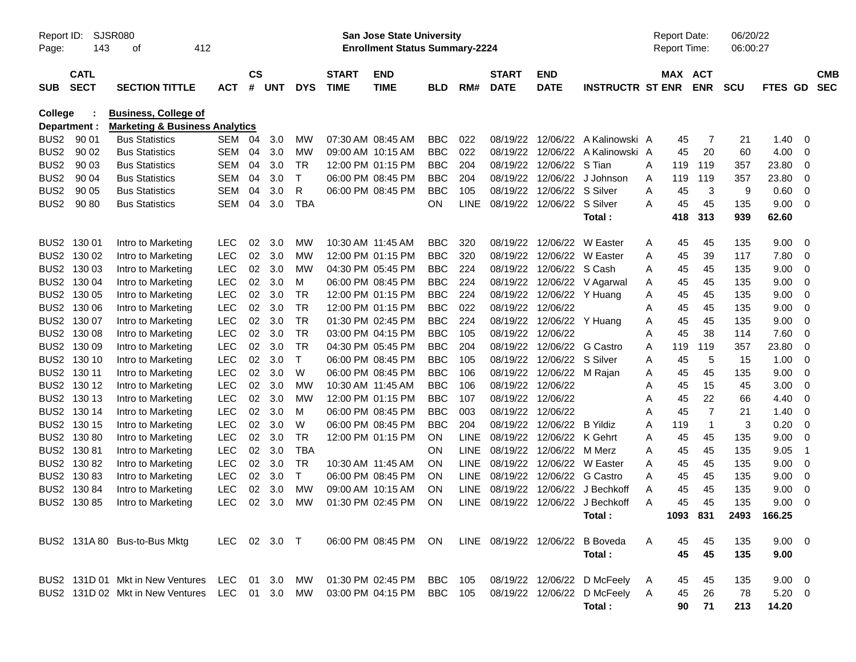| Page:            | SJSR080<br>Report ID:<br>143<br>412<br>οf |                                                                          |              |           |     |            |                   | <b>San Jose State University</b><br><b>Enrollment Status Summary-2224</b> |            |             |                            |                   |                              |   | <b>Report Date:</b><br>Report Time: |                | 06/20/22<br>06:00:27 |             |                |            |
|------------------|-------------------------------------------|--------------------------------------------------------------------------|--------------|-----------|-----|------------|-------------------|---------------------------------------------------------------------------|------------|-------------|----------------------------|-------------------|------------------------------|---|-------------------------------------|----------------|----------------------|-------------|----------------|------------|
|                  | <b>CATL</b>                               |                                                                          |              | <b>CS</b> |     |            | <b>START</b>      | <b>END</b>                                                                |            |             | <b>START</b>               | <b>END</b>        |                              |   | MAX                                 | <b>ACT</b>     |                      |             |                | <b>CMB</b> |
| <b>SUB</b>       | <b>SECT</b>                               | <b>SECTION TITTLE</b>                                                    | <b>ACT</b>   | #         | UNT | <b>DYS</b> | <b>TIME</b>       | <b>TIME</b>                                                               | <b>BLD</b> | RM#         | <b>DATE</b>                | <b>DATE</b>       | <b>INSTRUCTR ST ENR</b>      |   |                                     | <b>ENR</b>     | <b>SCU</b>           | FTES GD     |                | <b>SEC</b> |
| <b>College</b>   |                                           | <b>Business, College of</b><br><b>Marketing &amp; Business Analytics</b> |              |           |     |            |                   |                                                                           |            |             |                            |                   |                              |   |                                     |                |                      |             |                |            |
| BUS <sub>2</sub> | Department :<br>90 01                     | <b>Bus Statistics</b>                                                    | SEM          | 04        | 3.0 | МW         | 07:30 AM 08:45 AM |                                                                           | <b>BBC</b> | 022         | 08/19/22                   | 12/06/22          | A Kalinowski A               |   | 45                                  | 7              | 21                   | 1.40        | 0              |            |
| BUS <sub>2</sub> | 90 02                                     | <b>Bus Statistics</b>                                                    | SEM          | 04        | 3.0 | MW         | 09:00 AM 10:15 AM |                                                                           | <b>BBC</b> | 022         | 08/19/22                   | 12/06/22          | A Kalinowski A               |   | 45                                  | 20             | 60                   | 4.00        | 0              |            |
| BUS <sub>2</sub> | 90 03                                     | <b>Bus Statistics</b>                                                    | SEM          | 04        | 3.0 | TR         |                   | 12:00 PM 01:15 PM                                                         | <b>BBC</b> | 204         | 08/19/22                   | 12/06/22          | S Tian                       | Α | 119                                 | 119            | 357                  | 23.80       | 0              |            |
| BUS <sub>2</sub> | 90 04                                     | <b>Bus Statistics</b>                                                    | SEM          | 04        | 3.0 | Т          |                   | 06:00 PM 08:45 PM                                                         | <b>BBC</b> | 204         | 08/19/22                   | 12/06/22          | J Johnson                    | Α | 119                                 | 119            | 357                  | 23.80       | 0              |            |
| BUS <sub>2</sub> | 90 05                                     | <b>Bus Statistics</b>                                                    | SEM          | 04        | 3.0 | R          |                   | 06:00 PM 08:45 PM                                                         | <b>BBC</b> | 105         | 08/19/22                   | 12/06/22          | S Silver                     | Α | 45                                  | 3              | 9                    | 0.60        | 0              |            |
| BUS <sub>2</sub> | 90 80                                     | <b>Bus Statistics</b>                                                    | SEM          | 04        | 3.0 | TBA        |                   |                                                                           | OΝ         | <b>LINE</b> | 08/19/22 12/06/22 S Silver |                   |                              | Α | 45                                  | 45             | 135                  | 9.00        | 0              |            |
|                  |                                           |                                                                          |              |           |     |            |                   |                                                                           |            |             |                            |                   | Total:                       |   | 418                                 | 313            | 939                  | 62.60       |                |            |
|                  | BUS2 130 01                               | Intro to Marketing                                                       | <b>LEC</b>   | 02        | 3.0 | MW         | 10:30 AM 11:45 AM |                                                                           | <b>BBC</b> | 320         | 08/19/22                   | 12/06/22          | W Easter                     | A | 45                                  | 45             | 135                  | 9.00        | 0              |            |
|                  | BUS2 130 02                               | Intro to Marketing                                                       | <b>LEC</b>   | 02        | 3.0 | MW         |                   | 12:00 PM 01:15 PM                                                         | <b>BBC</b> | 320         | 08/19/22                   |                   | 12/06/22 W Easter            | Α | 45                                  | 39             | 117                  | 7.80        | 0              |            |
|                  | BUS2 130 03                               | Intro to Marketing                                                       | LEC          | 02        | 3.0 | MW         | 04:30 PM 05:45 PM |                                                                           | <b>BBC</b> | 224         | 08/19/22                   | 12/06/22 S Cash   |                              | Α | 45                                  | 45             | 135                  | 9.00        | 0              |            |
|                  | BUS2 130 04                               | Intro to Marketing                                                       | LEC          | 02        | 3.0 | м          |                   | 06:00 PM 08:45 PM                                                         | <b>BBC</b> | 224         | 08/19/22                   |                   | 12/06/22 V Agarwal           | Α | 45                                  | 45             | 135                  | 9.00        | 0              |            |
|                  | BUS2 130 05                               | Intro to Marketing                                                       | LEC          | 02        | 3.0 | TR         |                   | 12:00 PM 01:15 PM                                                         | <b>BBC</b> | 224         | 08/19/22                   | 12/06/22 Y Huang  |                              | Α | 45                                  | 45             | 135                  | 9.00        | 0              |            |
|                  | BUS2 130 06                               | Intro to Marketing                                                       | LEC          | 02        | 3.0 | <b>TR</b>  |                   | 12:00 PM 01:15 PM                                                         | <b>BBC</b> | 022         | 08/19/22 12/06/22          |                   |                              | Α | 45                                  | 45             | 135                  | 9.00        | 0              |            |
|                  | BUS2 130 07                               | Intro to Marketing                                                       | LEC          | 02        | 3.0 | TR         | 01:30 PM 02:45 PM |                                                                           | <b>BBC</b> | 224         | 08/19/22                   | 12/06/22          | Y Huang                      | A | 45                                  | 45             | 135                  | 9.00        | 0              |            |
|                  | BUS2 130 08                               | Intro to Marketing                                                       | LEC          | 02        | 3.0 | <b>TR</b>  |                   | 03:00 PM 04:15 PM                                                         | <b>BBC</b> | 105         | 08/19/22                   | 12/06/22          |                              | Α | 45                                  | 38             | 114                  | 7.60        | 0              |            |
|                  | BUS2 130 09                               | Intro to Marketing                                                       | LEC          | 02        | 3.0 | <b>TR</b>  | 04:30 PM 05:45 PM |                                                                           | <b>BBC</b> | 204         | 08/19/22                   | 12/06/22          | G Castro                     | Α | 119                                 | 119            | 357                  | 23.80       | 0              |            |
|                  | BUS2 130 10                               | Intro to Marketing                                                       | LEC          | 02        | 3.0 | $\top$     |                   | 06:00 PM 08:45 PM                                                         | <b>BBC</b> | 105         | 08/19/22                   | 12/06/22          | S Silver                     | Α | 45                                  | 5              | 15                   | 1.00        | 0              |            |
|                  | BUS2 130 11                               | Intro to Marketing                                                       | LEC          | 02        | 3.0 | W          |                   | 06:00 PM 08:45 PM                                                         | <b>BBC</b> | 106         | 08/19/22                   | 12/06/22          | M Rajan                      | A | 45                                  | 45             | 135                  | 9.00        | 0              |            |
|                  | BUS2 130 12                               | Intro to Marketing                                                       | LEC          | 02        | 3.0 | MW         | 10:30 AM 11:45 AM |                                                                           | <b>BBC</b> | 106         | 08/19/22                   | 12/06/22          |                              | Α | 45                                  | 15             | 45                   | 3.00        | 0              |            |
|                  | BUS2 130 13                               | Intro to Marketing                                                       | LEC          | 02        | 3.0 | MW         |                   | 12:00 PM 01:15 PM                                                         | <b>BBC</b> | 107         | 08/19/22                   | 12/06/22          |                              | Α | 45                                  | 22             | 66                   | 4.40        | 0              |            |
|                  | BUS2 130 14                               | Intro to Marketing                                                       | LEC          | 02        | 3.0 | м          |                   | 06:00 PM 08:45 PM                                                         | <b>BBC</b> | 003         | 08/19/22                   | 12/06/22          |                              | Α | 45                                  | $\overline{7}$ | 21                   | 1.40        | 0              |            |
|                  | BUS2 130 15                               | Intro to Marketing                                                       | LEC          | 02        | 3.0 | W          |                   | 06:00 PM 08:45 PM                                                         | <b>BBC</b> | 204         | 08/19/22                   | 12/06/22          | <b>B</b> Yildiz              | Α | 119                                 | $\overline{1}$ | 3                    | 0.20        | 0              |            |
|                  | BUS2 130 80                               | Intro to Marketing                                                       | LEC          | 02        | 3.0 | TR         |                   | 12:00 PM 01:15 PM                                                         | ON         | <b>LINE</b> | 08/19/22                   | 12/06/22          | K Gehrt                      | Α | 45                                  | 45             | 135                  | 9.00        | 0              |            |
|                  | BUS2 130 81                               | Intro to Marketing                                                       | LEC          | 02        | 3.0 | TBA        |                   |                                                                           | ON         | LINE        | 08/19/22                   | 12/06/22          | M Merz                       | Α | 45                                  | 45             | 135                  | 9.05        | $\overline{1}$ |            |
|                  | BUS2 130 82                               | Intro to Marketing                                                       | LEC          | 02        | 3.0 | TR         | 10:30 AM 11:45 AM |                                                                           | ΟN         | LINE        | 08/19/22                   | 12/06/22          | W Easter                     | Α | 45                                  | 45             | 135                  | 9.00        | 0              |            |
|                  | BUS2 130 83                               | Intro to Marketing                                                       | LEC          | 02        | 3.0 | $\top$     |                   | 06:00 PM 08:45 PM                                                         | ON         | LINE        | 08/19/22                   | 12/06/22          | G Castro                     | Α | 45                                  | 45             | 135                  | 9.00        | 0              |            |
|                  | BUS2 130 84                               | Intro to Marketing                                                       | <b>LEC</b>   | 02        | 3.0 | МW         | 09:00 AM 10:15 AM |                                                                           | ΟN         | LINE        | 08/19/22                   | 12/06/22          | J Bechkoff                   | Α | 45                                  | 45             | 135                  | 9.00        | 0              |            |
|                  | BUS2 130 85                               | Intro to Marketing                                                       | <b>LEC</b>   | 02        | 3.0 | МW         |                   | 01:30 PM 02:45 PM                                                         | ΟN         | <b>LINE</b> |                            |                   | 08/19/22 12/06/22 J Bechkoff | A | 45                                  | 45             | 135                  | 9.00        | 0              |            |
|                  |                                           |                                                                          |              |           |     |            |                   |                                                                           |            |             |                            |                   | Total:                       |   |                                     | 1093 831       |                      | 2493 166.25 |                |            |
|                  |                                           | BUS2 131A 80 Bus-to-Bus Mktg                                             | LEC 02 3.0 T |           |     |            |                   | 06:00 PM 08:45 PM ON LINE 08/19/22 12/06/22 B Boveda                      |            |             |                            |                   |                              | A | 45                                  | 45             | 135                  | $9.00 \t 0$ |                |            |
|                  |                                           |                                                                          |              |           |     |            |                   |                                                                           |            |             |                            |                   | Total:                       |   | 45                                  | 45             | 135                  | 9.00        |                |            |
|                  |                                           | BUS2 131D 01 Mkt in New Ventures LEC 01 3.0                              |              |           |     | MW         |                   | 01:30 PM 02:45 PM                                                         | BBC        | 105         |                            |                   | 08/19/22 12/06/22 D McFeely  | A | 45                                  | 45             | 135                  | $9.00 \t 0$ |                |            |
|                  |                                           | BUS2 131D 02 Mkt in New Ventures LEC 01 3.0                              |              |           |     | MW         |                   | 03:00 PM 04:15 PM                                                         | BBC 105    |             |                            | 08/19/22 12/06/22 | D McFeely                    | A | 45                                  | 26             | 78                   | $5.20 \t 0$ |                |            |
|                  |                                           |                                                                          |              |           |     |            |                   |                                                                           |            |             |                            |                   | Total:                       |   | 90                                  | 71             | 213                  | 14.20       |                |            |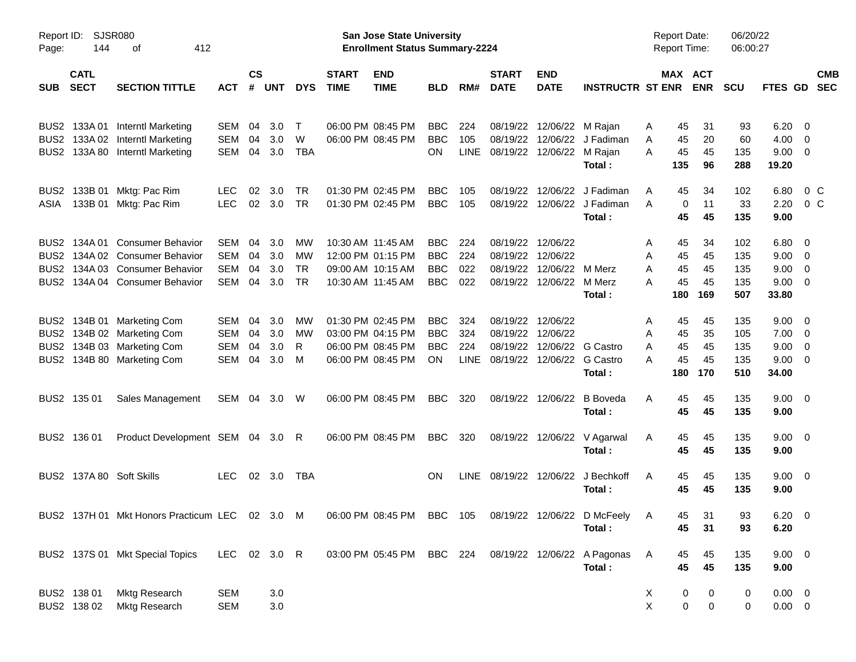| Page:            | SJSR080<br>Report ID:<br>144<br>412<br>оf |                                                                                                      |                          |                |            |                        |                             | San Jose State University<br><b>Enrollment Status Summary-2224</b> |                          |                    |                             |                           |                                       | <b>Report Date:</b><br><b>Report Time:</b>           |                  | 06/20/22<br>06:00:27 |                            |                          |
|------------------|-------------------------------------------|------------------------------------------------------------------------------------------------------|--------------------------|----------------|------------|------------------------|-----------------------------|--------------------------------------------------------------------|--------------------------|--------------------|-----------------------------|---------------------------|---------------------------------------|------------------------------------------------------|------------------|----------------------|----------------------------|--------------------------|
| <b>SUB</b>       | <b>CATL</b><br><b>SECT</b>                | <b>SECTION TITTLE</b>                                                                                | <b>ACT</b>               | <b>CS</b><br># | <b>UNT</b> | <b>DYS</b>             | <b>START</b><br><b>TIME</b> | <b>END</b><br><b>TIME</b>                                          | <b>BLD</b>               | RM#                | <b>START</b><br><b>DATE</b> | <b>END</b><br><b>DATE</b> | <b>INSTRUCTR ST ENR</b>               | MAX ACT                                              | <b>ENR</b>       | <b>SCU</b>           | <b>FTES GD</b>             | <b>CMB</b><br><b>SEC</b> |
| BUS2             | 133A 01                                   | <b>Interntl Marketing</b>                                                                            | <b>SEM</b>               | 04             | 3.0        | $\mathsf{T}$           |                             | 06:00 PM 08:45 PM                                                  | <b>BBC</b>               | 224                | 08/19/22                    | 12/06/22                  | M Rajan                               | 45<br>Α                                              | 31               | 93                   | 6.20                       | - 0                      |
| BUS <sub>2</sub> | 133A 02                                   | <b>Interntl Marketing</b>                                                                            | <b>SEM</b>               | 04             | 3.0        | W                      |                             | 06:00 PM 08:45 PM                                                  | <b>BBC</b>               | 105                | 08/19/22                    | 12/06/22                  | J Fadiman                             | Α<br>45                                              | 20               | 60                   | 4.00                       | 0                        |
| BUS <sub>2</sub> | 133A 80                                   | Interntl Marketing                                                                                   | <b>SEM</b>               |                | 04 3.0     | TBA                    |                             |                                                                    | ON.                      | <b>LINE</b>        | 08/19/22                    | 12/06/22                  | M Rajan<br>Total:                     | A<br>45<br>135                                       | 45<br>96         | 135<br>288           | 9.00<br>19.20              | $\mathbf 0$              |
| BUS <sub>2</sub> | 133B 01                                   | Mktg: Pac Rim                                                                                        | <b>LEC</b>               | 02             | 3.0        | TR                     |                             | 01:30 PM 02:45 PM                                                  | <b>BBC</b>               | 105                | 08/19/22                    | 12/06/22                  | J Fadiman                             | 45<br>Α                                              | 34               | 102                  | 6.80                       | $0\,C$                   |
| ASIA             | 133B 01                                   | Mktg: Pac Rim                                                                                        | <b>LEC</b>               | 02             | 3.0        | <b>TR</b>              |                             | 01:30 PM 02:45 PM                                                  | <b>BBC</b>               | 105                | 08/19/22                    | 12/06/22                  | J Fadiman<br>Total:                   | A<br>0<br>45                                         | 11<br>45         | 33<br>135            | 2.20<br>9.00               | 0 <sup>o</sup>           |
| BUS2             | 134A 01                                   | <b>Consumer Behavior</b>                                                                             | <b>SEM</b>               | 04             | 3.0        | MW                     |                             | 10:30 AM 11:45 AM                                                  | <b>BBC</b>               | 224                | 08/19/22                    | 12/06/22                  |                                       | 45<br>Α                                              | 34               | 102                  | 6.80                       | 0                        |
| BUS <sub>2</sub> |                                           | 134A 02 Consumer Behavior                                                                            | <b>SEM</b>               | 04             | 3.0        | MW                     |                             | 12:00 PM 01:15 PM                                                  | <b>BBC</b>               | 224                | 08/19/22                    | 12/06/22                  |                                       | 45<br>A                                              | 45               | 135                  | 9.00                       | 0                        |
| BUS <sub>2</sub> |                                           | 134A 03 Consumer Behavior                                                                            | <b>SEM</b>               | 04             | 3.0        | <b>TR</b><br><b>TR</b> |                             | 09:00 AM 10:15 AM                                                  | <b>BBC</b>               | 022                | 08/19/22                    | 12/06/22                  | M Merz<br>M Merz                      | 45<br>Α<br>А                                         | 45<br>45         | 135                  | 9.00                       | 0                        |
| BUS2             |                                           | 134A 04 Consumer Behavior                                                                            | <b>SEM</b>               | 04             | 3.0        |                        |                             | 10:30 AM 11:45 AM                                                  | <b>BBC</b>               | 022                | 08/19/22                    | 12/06/22                  | Total:                                | 45<br>180                                            | 169              | 135<br>507           | 9.00<br>33.80              | 0                        |
| BUS2             | 134B 01                                   | <b>Marketing Com</b>                                                                                 | <b>SEM</b>               | 04             | 3.0        | MW                     |                             | 01:30 PM 02:45 PM                                                  | <b>BBC</b>               | 324                | 08/19/22                    | 12/06/22                  |                                       | 45<br>Α                                              | 45               | 135                  | 9.00                       | - 0                      |
| BUS <sub>2</sub> |                                           | 134B 02 Marketing Com                                                                                | <b>SEM</b>               | 04             | 3.0        | <b>MW</b>              |                             | 03:00 PM 04:15 PM                                                  | <b>BBC</b><br><b>BBC</b> | 324                | 08/19/22                    | 12/06/22                  | G Castro                              | 45<br>A                                              | 35               | 105                  | 7.00                       | 0                        |
| BUS <sub>2</sub> |                                           | 134B 03 Marketing Com<br>BUS2 134B 80 Marketing Com                                                  | <b>SEM</b><br><b>SEM</b> | 04<br>04       | 3.0<br>3.0 | R<br>M                 |                             | 06:00 PM 08:45 PM<br>06:00 PM 08:45 PM                             | ON                       | 224<br><b>LINE</b> | 08/19/22<br>08/19/22        | 12/06/22<br>12/06/22      | <b>G</b> Castro                       | 45<br>Α<br>45<br>А                                   | 45<br>45         | 135<br>135           | 9.00<br>9.00               | 0<br>0                   |
|                  |                                           |                                                                                                      |                          |                |            |                        |                             |                                                                    |                          |                    |                             |                           | Total:                                | 180                                                  | 170              | 510                  | 34.00                      |                          |
|                  | BUS2 135 01                               | Sales Management                                                                                     | SEM                      |                | 04 3.0     | W                      |                             | 06:00 PM 08:45 PM                                                  | BBC                      | 320                | 08/19/22                    | 12/06/22                  | <b>B</b> Boveda<br>Total:             | Α<br>45<br>45                                        | 45<br>45         | 135<br>135           | 9.00<br>9.00               | $\overline{\mathbf{0}}$  |
|                  | BUS2 136 01                               | Product Development SEM 04 3.0 R                                                                     |                          |                |            |                        |                             | 06:00 PM 08:45 PM                                                  | BBC                      | 320                | 08/19/22                    | 12/06/22                  | V Agarwal<br>Total:                   | 45<br>A<br>45                                        | 45<br>45         | 135<br>135           | 9.00<br>9.00               | $\overline{\mathbf{0}}$  |
|                  |                                           | BUS2 137A 80 Soft Skills                                                                             | <b>LEC</b>               |                | 02 3.0     | TBA                    |                             |                                                                    | ΟN                       | <b>LINE</b>        | 08/19/22 12/06/22           |                           | J Bechkoff<br>Total:                  | 45<br>A<br>45                                        | 45<br>45         | 135<br>135           | 9.00<br>9.00               | $\overline{\mathbf{0}}$  |
|                  |                                           | BUS2 137H 01 Mkt Honors Practicum LEC 02 3.0 M 06:00 PM 08:45 PM BBC 105 08/19/22 12/06/22 D McFeely |                          |                |            |                        |                             |                                                                    |                          |                    |                             |                           | Total:                                | 45<br>A<br>45                                        | 31<br>31         | 93<br>93             | $6.20 \t 0$<br>6.20        |                          |
|                  |                                           | BUS2 137S 01 Mkt Special Topics                                                                      | LEC 02 3.0 R             |                |            |                        |                             | 03:00 PM 05:45 PM BBC 224                                          |                          |                    |                             |                           | 08/19/22 12/06/22 A Pagonas<br>Total: | A<br>45<br>45                                        | 45<br>45         | 135<br>135           | $9.00 \t 0$<br>9.00        |                          |
|                  | BUS2 138 01<br>BUS2 138 02                | Mktg Research<br>Mktg Research                                                                       | <b>SEM</b><br><b>SEM</b> |                | 3.0<br>3.0 |                        |                             |                                                                    |                          |                    |                             |                           |                                       | X<br>$\boldsymbol{0}$<br>$\mathsf{X}$<br>$\mathbf 0$ | 0<br>$\mathsf 0$ | 0<br>$\pmb{0}$       | $0.00 \t 0$<br>$0.00 \t 0$ |                          |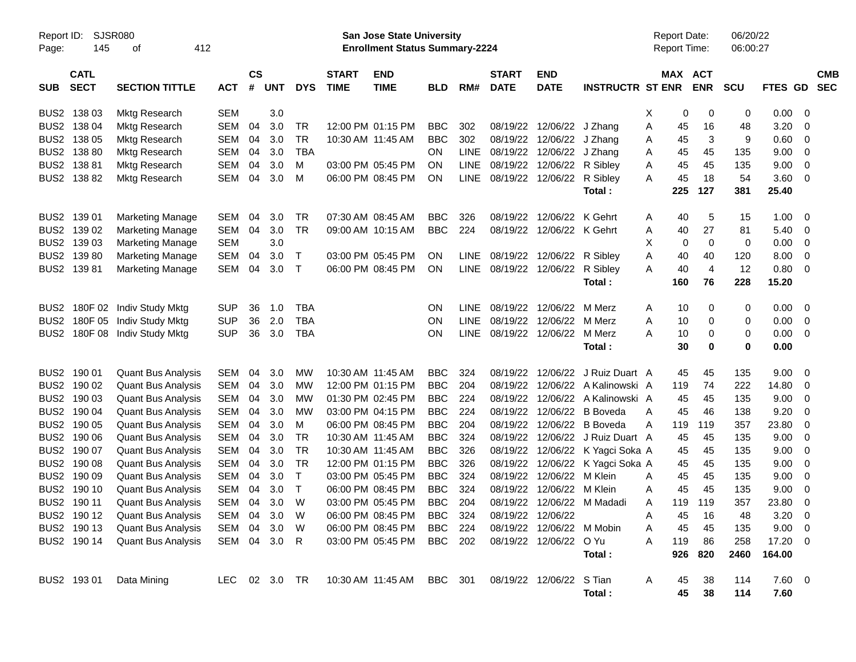| Report ID:<br>Page: | <b>SJSR080</b><br>145      |                           |            |                    |               |              | San Jose State University<br><b>Enrollment Status Summary-2224</b> |                           |                |             |                             |                           |                         | <b>Report Date:</b><br>Report Time: |         | 06/20/22<br>06:00:27 |             |         |                         |                          |
|---------------------|----------------------------|---------------------------|------------|--------------------|---------------|--------------|--------------------------------------------------------------------|---------------------------|----------------|-------------|-----------------------------|---------------------------|-------------------------|-------------------------------------|---------|----------------------|-------------|---------|-------------------------|--------------------------|
|                     |                            | 412<br>οf                 |            |                    |               |              |                                                                    |                           |                |             |                             |                           |                         |                                     |         |                      |             |         |                         |                          |
| <b>SUB</b>          | <b>CATL</b><br><b>SECT</b> | <b>SECTION TITTLE</b>     | <b>ACT</b> | $\mathsf{cs}$<br># | <b>UNT</b>    | <b>DYS</b>   | <b>START</b><br><b>TIME</b>                                        | <b>END</b><br><b>TIME</b> | <b>BLD</b>     | RM#         | <b>START</b><br><b>DATE</b> | <b>END</b><br><b>DATE</b> | <b>INSTRUCTR ST ENR</b> |                                     | MAX ACT | <b>ENR</b>           | <b>SCU</b>  | FTES GD |                         | <b>CMB</b><br><b>SEC</b> |
| BUS <sub>2</sub>    | 138 03                     | <b>Mktg Research</b>      | <b>SEM</b> |                    | 3.0           |              |                                                                    |                           |                |             |                             |                           |                         | Х                                   | 0       | 0                    | 0           | 0.00    | - 0                     |                          |
| BUS <sub>2</sub>    | 138 04                     | Mktg Research             | <b>SEM</b> | 04                 | 3.0           | <b>TR</b>    |                                                                    | 12:00 PM 01:15 PM         | <b>BBC</b>     | 302         | 08/19/22                    | 12/06/22                  | J Zhang                 | Α                                   | 45      | 16                   | 48          | 3.20    | 0                       |                          |
| BUS <sub>2</sub>    | 138 05                     | Mktg Research             | SEM        | 04                 | 3.0           | <b>TR</b>    |                                                                    | 10:30 AM 11:45 AM         | <b>BBC</b>     | 302         | 08/19/22                    | 12/06/22                  | J Zhang                 | Α                                   | 45      | 3                    | 9           | 0.60    | 0                       |                          |
| BUS <sub>2</sub>    | 138 80                     | Mktg Research             | SEM        | 04                 | 3.0           | <b>TBA</b>   |                                                                    |                           | <b>ON</b>      | <b>LINE</b> | 08/19/22                    | 12/06/22                  | J Zhang                 | Α                                   | 45      | 45                   | 135         | 9.00    | 0                       |                          |
| BUS <sub>2</sub>    | 13881                      | Mktg Research             | <b>SEM</b> | 04                 | 3.0           | м            |                                                                    | 03:00 PM 05:45 PM         | <b>ON</b>      | <b>LINE</b> | 08/19/22                    | 12/06/22                  | R Sibley                | Α                                   | 45      | 45                   | 135         | 9.00    | 0                       |                          |
|                     | BUS2 138 82                | <b>Mktg Research</b>      | <b>SEM</b> | 04                 | 3.0           | M            |                                                                    | 06:00 PM 08:45 PM         | <b>ON</b>      | <b>LINE</b> | 08/19/22                    | 12/06/22                  | R Sibley                | A                                   | 45      | 18                   | 54          | 3.60    | - 0                     |                          |
|                     |                            |                           |            |                    |               |              |                                                                    |                           |                |             |                             |                           | Total:                  |                                     | 225     | 127                  | 381         | 25.40   |                         |                          |
|                     |                            |                           |            |                    |               |              |                                                                    |                           |                |             |                             |                           |                         |                                     |         |                      |             |         |                         |                          |
| BUS <sub>2</sub>    | 139 01                     | <b>Marketing Manage</b>   | <b>SEM</b> | 04                 | 3.0           | <b>TR</b>    |                                                                    | 07:30 AM 08:45 AM         | <b>BBC</b>     | 326         | 08/19/22                    | 12/06/22                  | K Gehrt                 | A                                   | 40      | 5                    | 15          | 1.00    | -0                      |                          |
| BUS <sub>2</sub>    | 139 02                     | <b>Marketing Manage</b>   | <b>SEM</b> | 04                 | 3.0           | <b>TR</b>    |                                                                    | 09:00 AM 10:15 AM         | <b>BBC</b>     | 224         | 08/19/22                    | 12/06/22 K Gehrt          |                         | Α                                   | 40      | 27                   | 81          | 5.40    | 0                       |                          |
| BUS <sub>2</sub>    | 139 03                     | <b>Marketing Manage</b>   | <b>SEM</b> |                    | 3.0           |              |                                                                    |                           |                |             |                             |                           |                         | х                                   | 0       | $\mathbf 0$          | $\mathbf 0$ | 0.00    | 0                       |                          |
| BUS2                | 13980                      | <b>Marketing Manage</b>   | <b>SEM</b> | 04                 | 3.0           | Т            |                                                                    | 03:00 PM 05:45 PM         | <b>ON</b>      | <b>LINE</b> | 08/19/22                    | 12/06/22 R Sibley         |                         | Α                                   | 40      | 40                   | 120         | 8.00    | 0                       |                          |
|                     | BUS2 139 81                | <b>Marketing Manage</b>   | <b>SEM</b> | 04                 | 3.0           | Т            |                                                                    | 06:00 PM 08:45 PM         | <b>ON</b>      | <b>LINE</b> | 08/19/22                    | 12/06/22                  | R Sibley                | A                                   | 40      | $\overline{4}$       | 12          | 0.80    | $\overline{0}$          |                          |
|                     |                            |                           |            |                    |               |              |                                                                    |                           |                |             |                             |                           | Total:                  |                                     | 160     | 76                   | 228         | 15.20   |                         |                          |
|                     |                            |                           |            |                    |               |              |                                                                    |                           |                |             |                             |                           |                         |                                     |         |                      |             |         |                         |                          |
| BUS <sub>2</sub>    | 180F 02                    | Indiv Study Mktg          | <b>SUP</b> | 36                 | 1.0           | <b>TBA</b>   |                                                                    |                           | ON             | <b>LINE</b> | 08/19/22                    | 12/06/22                  | M Merz                  | A                                   | 10      | 0                    | 0           | 0.00    | - 0                     |                          |
| BUS <sub>2</sub>    | 180F 05                    | <b>Indiv Study Mktg</b>   | <b>SUP</b> | 36                 | 2.0           | <b>TBA</b>   |                                                                    |                           | ON             | <b>LINE</b> | 08/19/22                    | 12/06/22                  | M Merz                  | A                                   | 10      | 0                    | 0           | 0.00    | 0                       |                          |
| BUS2                | 180F08                     | Indiv Study Mktg          | <b>SUP</b> | 36                 | 3.0           | <b>TBA</b>   |                                                                    |                           | ON             | <b>LINE</b> | 08/19/22                    | 12/06/22                  | M Merz                  | Α                                   | 10      | 0<br>0               | 0<br>0      | 0.00    | - 0                     |                          |
|                     |                            |                           |            |                    |               |              |                                                                    |                           |                |             |                             |                           | Total:                  |                                     | 30      |                      |             | 0.00    |                         |                          |
| BUS <sub>2</sub>    | 190 01                     | <b>Quant Bus Analysis</b> | <b>SEM</b> | 04                 | 3.0           | <b>MW</b>    |                                                                    | 10:30 AM 11:45 AM         | <b>BBC</b>     | 324         | 08/19/22                    | 12/06/22                  | J Ruiz Duart A          |                                     | 45      | 45                   | 135         | 9.00    | -0                      |                          |
| BUS <sub>2</sub>    | 190 02                     | <b>Quant Bus Analysis</b> | <b>SEM</b> | 04                 | 3.0           | <b>MW</b>    |                                                                    | 12:00 PM 01:15 PM         | <b>BBC</b>     | 204         | 08/19/22                    | 12/06/22                  | A Kalinowski A          |                                     | 119     | 74                   | 222         | 14.80   | 0                       |                          |
| BUS <sub>2</sub>    | 190 03                     | <b>Quant Bus Analysis</b> | <b>SEM</b> | 04                 | 3.0           | <b>MW</b>    |                                                                    | 01:30 PM 02:45 PM         | <b>BBC</b>     | 224         | 08/19/22                    | 12/06/22                  | A Kalinowski A          |                                     | 45      | 45                   | 135         | 9.00    | 0                       |                          |
| BUS <sub>2</sub>    | 190 04                     | <b>Quant Bus Analysis</b> | <b>SEM</b> | 04                 | 3.0           | <b>MW</b>    |                                                                    | 03:00 PM 04:15 PM         | <b>BBC</b>     | 224         | 08/19/22                    | 12/06/22                  | <b>B</b> Boveda         | A                                   | 45      | 46                   | 138         | 9.20    | -0                      |                          |
| BUS <sub>2</sub>    | 190 05                     | <b>Quant Bus Analysis</b> | <b>SEM</b> | 04                 | 3.0           | M            |                                                                    | 06:00 PM 08:45 PM         | <b>BBC</b>     | 204         | 08/19/22                    | 12/06/22                  | <b>B</b> Boveda         | Α                                   | 119     | 119                  | 357         | 23.80   | 0                       |                          |
| BUS <sub>2</sub>    | 190 06                     | <b>Quant Bus Analysis</b> | <b>SEM</b> | 04                 | 3.0           | <b>TR</b>    |                                                                    | 10:30 AM 11:45 AM         | <b>BBC</b>     | 324         | 08/19/22                    | 12/06/22                  | J Ruiz Duart A          |                                     | 45      | 45                   | 135         | 9.00    | $\mathbf 0$             |                          |
| BUS <sub>2</sub>    | 190 07                     | <b>Quant Bus Analysis</b> | <b>SEM</b> | 04                 | 3.0           | <b>TR</b>    |                                                                    | 10:30 AM 11:45 AM         | <b>BBC</b>     | 326         | 08/19/22                    | 12/06/22                  | K Yagci Soka A          |                                     | 45      | 45                   | 135         | 9.00    | $\mathbf 0$             |                          |
| BUS <sub>2</sub>    | 190 08                     | <b>Quant Bus Analysis</b> | <b>SEM</b> | 04                 | 3.0           | <b>TR</b>    |                                                                    | 12:00 PM 01:15 PM         | <b>BBC</b>     | 326         | 08/19/22                    | 12/06/22                  | K Yagci Soka A          |                                     | 45      | 45                   | 135         | 9.00    | 0                       |                          |
| BUS <sub>2</sub>    | 190 09                     | <b>Quant Bus Analysis</b> | SEM        | 04                 | 3.0           | $\mathsf{T}$ |                                                                    | 03:00 PM 05:45 PM         | <b>BBC</b>     | 324         | 08/19/22                    | 12/06/22                  | M Klein                 | A                                   | 45      | 45                   | 135         | 9.00    | 0                       |                          |
| BUS <sub>2</sub>    | 190 10                     | <b>Quant Bus Analysis</b> | <b>SEM</b> | 04                 | 3.0           | т            |                                                                    | 06:00 PM 08:45 PM         | <b>BBC</b>     | 324         | 08/19/22                    | 12/06/22                  | M Klein                 | A                                   | 45      | 45                   | 135         | 9.00    | 0                       |                          |
|                     | BUS2 190 11                | <b>Quant Bus Analysis</b> | SEM        | 04                 | 3.0           | W            |                                                                    | 03:00 PM 05:45 PM         | <b>BBC</b>     | 204         | 08/19/22                    |                           | 12/06/22 M Madadi       | A                                   | 119     | 119                  | 357         | 23.80   | 0                       |                          |
|                     | BUS2 190 12                | <b>Quant Bus Analysis</b> | SEM 04     |                    | 3.0           | W            |                                                                    | 06:00 PM 08:45 PM         | <b>BBC</b>     | 324         |                             | 08/19/22 12/06/22         |                         | Α                                   | 45      | 16                   | 48          | 3.20    | $\overline{\mathbf{0}}$ |                          |
|                     | BUS2 190 13                | <b>Quant Bus Analysis</b> | SEM        | 04                 | 3.0           | W            |                                                                    | 06:00 PM 08:45 PM         | BBC            | 224         | 08/19/22                    | 12/06/22                  | M Mobin                 | Α                                   | 45      | 45                   | 135         | 9.00    | $\overline{0}$          |                          |
|                     | BUS2 190 14                | <b>Quant Bus Analysis</b> | SEM 04 3.0 |                    |               | R            |                                                                    | 03:00 PM 05:45 PM         | BBC 202        |             |                             | 08/19/22 12/06/22 O Yu    |                         | Α                                   | 119     | 86                   | 258         | 17.20 0 |                         |                          |
|                     |                            |                           |            |                    |               |              |                                                                    |                           |                |             |                             |                           | Total:                  |                                     | 926     | 820                  | 2460        | 164.00  |                         |                          |
|                     | BUS2 193 01                | Data Mining               |            |                    | LEC 02 3.0 TR |              |                                                                    | 10:30 AM 11:45 AM         | <b>BBC</b> 301 |             |                             | 08/19/22 12/06/22 S Tian  |                         | A                                   | 45      | 38                   | 114         | 7.60 0  |                         |                          |
|                     |                            |                           |            |                    |               |              |                                                                    |                           |                |             |                             |                           | Total:                  |                                     | 45      | 38                   | 114         | 7.60    |                         |                          |
|                     |                            |                           |            |                    |               |              |                                                                    |                           |                |             |                             |                           |                         |                                     |         |                      |             |         |                         |                          |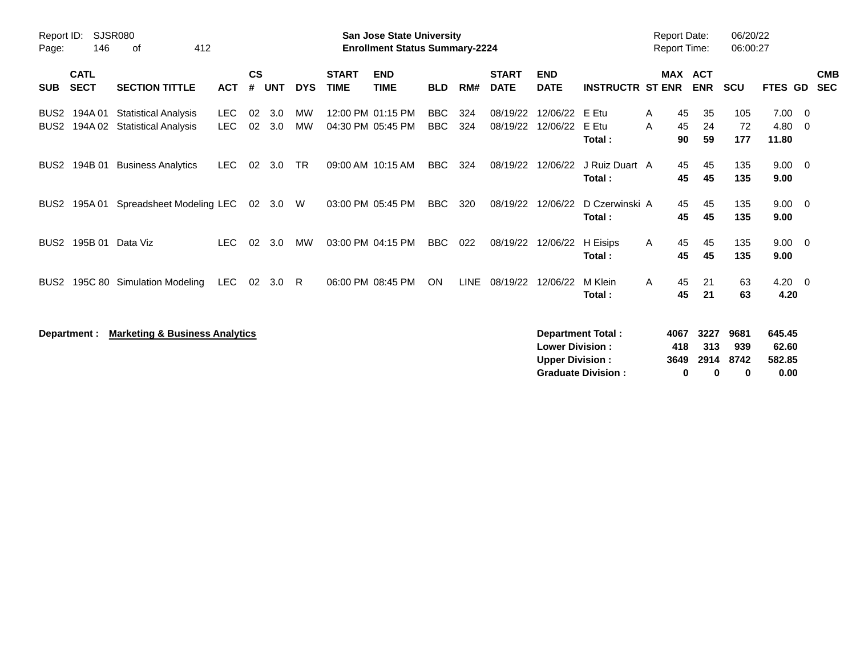| Report ID:<br>Page:                  | 146                        | SJSR080<br>412<br>of                                        |                          |                    |            |                 |                             | <b>San Jose State University</b><br><b>Enrollment Status Summary-2224</b> |                          |             |                             |                                                  |                                                       |              | <b>Report Date:</b><br><b>Report Time:</b> |                                 | 06/20/22<br>06:00:27     |                                   |                          |
|--------------------------------------|----------------------------|-------------------------------------------------------------|--------------------------|--------------------|------------|-----------------|-----------------------------|---------------------------------------------------------------------------|--------------------------|-------------|-----------------------------|--------------------------------------------------|-------------------------------------------------------|--------------|--------------------------------------------|---------------------------------|--------------------------|-----------------------------------|--------------------------|
| <b>SUB</b>                           | <b>CATL</b><br><b>SECT</b> | <b>SECTION TITTLE</b>                                       | <b>ACT</b>               | $\mathsf{cs}$<br># | <b>UNT</b> | <b>DYS</b>      | <b>START</b><br><b>TIME</b> | <b>END</b><br><b>TIME</b>                                                 | <b>BLD</b>               | RM#         | <b>START</b><br><b>DATE</b> | <b>END</b><br><b>DATE</b>                        | <b>INSTRUCTR ST ENR</b>                               |              | <b>MAX</b>                                 | <b>ACT</b><br><b>ENR</b>        | <b>SCU</b>               | <b>FTES GD</b>                    | <b>CMB</b><br><b>SEC</b> |
| BUS <sub>2</sub><br>BUS <sub>2</sub> | 194A 01                    | <b>Statistical Analysis</b><br>194A 02 Statistical Analysis | <b>LEC</b><br><b>LEC</b> | 02<br>02           | 3.0<br>3.0 | МW<br><b>MW</b> |                             | 12:00 PM 01:15 PM<br>04:30 PM 05:45 PM                                    | <b>BBC</b><br><b>BBC</b> | 324<br>324  | 08/19/22<br>08/19/22        | 12/06/22<br>12/06/22                             | E Etu<br>E Etu<br>Total:                              | A<br>A       | 45<br>45<br>90                             | 35<br>24<br>59                  | 105<br>72<br>177         | 7.00<br>$4.80\quad 0$<br>11.80    | - 0                      |
| BUS <sub>2</sub>                     | 194B 01                    | <b>Business Analytics</b>                                   | <b>LEC</b>               | 02                 | 3.0        | <b>TR</b>       |                             | 09:00 AM 10:15 AM                                                         | <b>BBC</b>               | 324         | 08/19/22                    | 12/06/22                                         | J Ruiz Duart A<br>Total:                              |              | 45<br>45                                   | 45<br>45                        | 135<br>135               | $9.00 \t 0$<br>9.00               |                          |
| BUS <sub>2</sub>                     | 195A 01                    | Spreadsheet Modeling LEC                                    |                          |                    | 02 3.0     | W               |                             | 03:00 PM 05:45 PM                                                         | <b>BBC</b>               | 320         | 08/19/22                    | 12/06/22                                         | D Czerwinski A<br>Total:                              |              | 45<br>45                                   | 45<br>45                        | 135<br>135               | $9.00 \t 0$<br>9.00               |                          |
| BUS <sub>2</sub>                     |                            | 195B 01 Data Viz                                            | <b>LEC</b>               | 02                 | 3.0        | MW              |                             | 03:00 PM 04:15 PM                                                         | <b>BBC</b>               | 022         | 08/19/22                    | 12/06/22                                         | H Eisips<br>Total:                                    | $\mathsf{A}$ | 45<br>45                                   | 45<br>45                        | 135<br>135               | $9.00 \quad 0$<br>9.00            |                          |
| BUS <sub>2</sub>                     |                            | 195C 80 Simulation Modeling                                 | LEC                      | 02                 | 3.0        | -R              |                             | 06:00 PM 08:45 PM                                                         | <b>ON</b>                | <b>LINE</b> | 08/19/22                    | 12/06/22                                         | M Klein<br>Total:                                     | $\mathsf{A}$ | 45<br>45                                   | 21<br>21                        | 63<br>63                 | $4.20 \ 0$<br>4.20                |                          |
|                                      | Department :               | <b>Marketing &amp; Business Analytics</b>                   |                          |                    |            |                 |                             |                                                                           |                          |             |                             | <b>Lower Division:</b><br><b>Upper Division:</b> | <b>Department Total:</b><br><b>Graduate Division:</b> |              | 4067<br>418<br>3649<br>0                   | 3227<br>313<br>2914<br>$\bf{0}$ | 9681<br>939<br>8742<br>0 | 645.45<br>62.60<br>582.85<br>0.00 |                          |